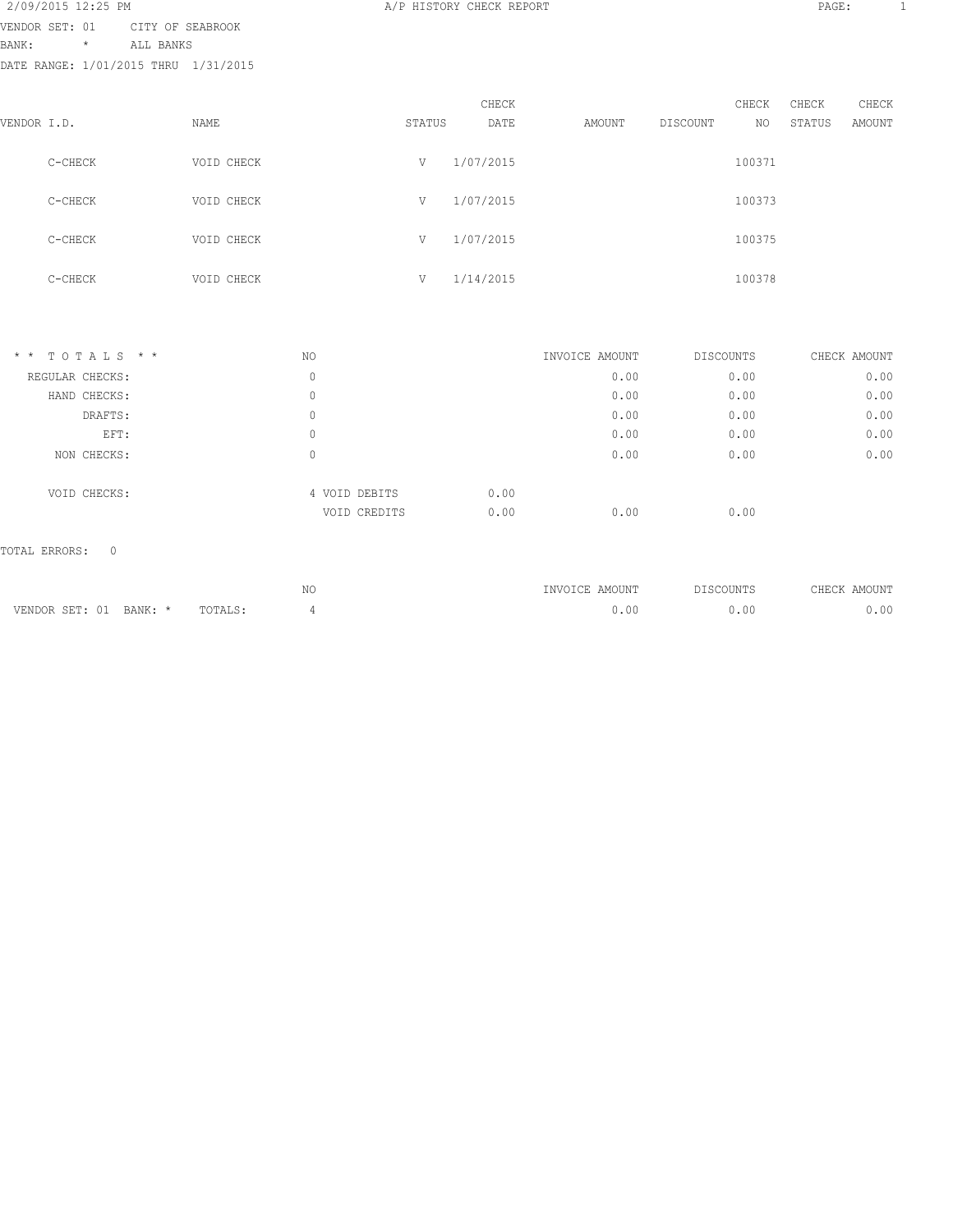| 2/09/2015 12:25 PM                   |                |                  |  |
|--------------------------------------|----------------|------------------|--|
| VENDOR SET: 01                       |                | CITY OF SEABROOK |  |
| BANK:                                | $\star$ $\sim$ | ALL BANKS        |  |
| DATE RANGE: 1/01/2015 THRU 1/31/2015 |                |                  |  |

| VENDOR I.D. |         | NAME       | STATUS | CHECK<br>DATE | AMOUNT | DISCOUNT | CHECK<br>NO. | CHECK<br>STATUS | CHECK<br>AMOUNT |
|-------------|---------|------------|--------|---------------|--------|----------|--------------|-----------------|-----------------|
|             | C-CHECK | VOID CHECK | V      | 1/07/2015     |        |          | 100371       |                 |                 |
|             | C-CHECK | VOID CHECK | V      | 1/07/2015     |        |          | 100373       |                 |                 |
|             | C-CHECK | VOID CHECK | V      | 1/07/2015     |        |          | 100375       |                 |                 |
|             | C-CHECK | VOID CHECK | V      | 1/14/2015     |        |          | 100378       |                 |                 |

| $*$ * TOTALS * * | NO |                       | INVOICE AMOUNT | DISCOUNTS | CHECK AMOUNT |
|------------------|----|-----------------------|----------------|-----------|--------------|
| REGULAR CHECKS:  | 0  |                       | 0.00           | 0.00      | 0.00         |
| HAND CHECKS:     | 0  |                       | 0.00           | 0.00      | 0.00         |
| DRAFTS:          | 0  |                       | 0.00           | 0.00      | 0.00         |
| EFT:             | 0  |                       | 0.00           | 0.00      | 0.00         |
| NON CHECKS:      | 0  |                       | 0.00           | 0.00      | 0.00         |
| VOID CHECKS:     |    | 0.00<br>4 VOID DEBITS |                |           |              |
|                  |    | 0.00<br>VOID CREDITS  | 0.00           | 0.00      |              |
|                  |    |                       |                |           |              |

## TOTAL ERRORS: 0

|                         |         | MC<br>- IV V<br>$\sim$ | AMOUNT<br>IN V | OUNTS<br>U.<br>. | MOUNT |
|-------------------------|---------|------------------------|----------------|------------------|-------|
| VENDOR SET: 01<br>BANK: | TOTALS. |                        | $.00\,$        | .00              | J.OO  |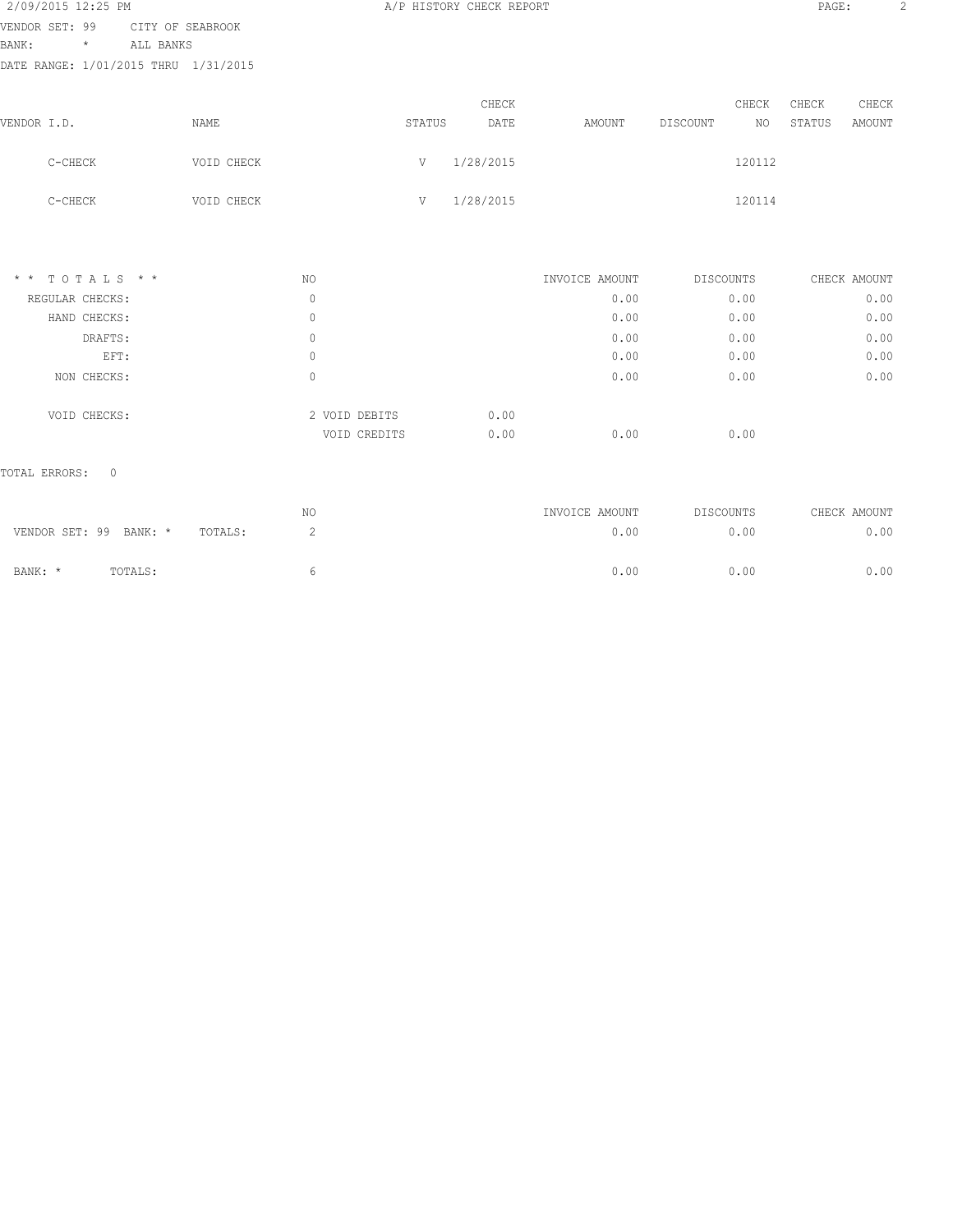| 2/09/2015 12:25 PM                   |                  |               | A/P HISTORY CHECK REPORT |                |                             | PAGE:            |
|--------------------------------------|------------------|---------------|--------------------------|----------------|-----------------------------|------------------|
| VENDOR SET: 99                       | CITY OF SEABROOK |               |                          |                |                             |                  |
| BANK:<br>ALL BANKS<br>$^\star$       |                  |               |                          |                |                             |                  |
| DATE RANGE: 1/01/2015 THRU 1/31/2015 |                  |               |                          |                |                             |                  |
|                                      |                  |               | CHECK                    |                | CHECK                       | CHECK<br>CHECK   |
| VENDOR I.D.                          | NAME             |               | STATUS<br>DATE           | AMOUNT         | DISCOUNT<br>NO <sub>1</sub> | STATUS<br>AMOUNT |
| C-CHECK                              | VOID CHECK       | V             | 1/28/2015                |                | 120112                      |                  |
| C-CHECK                              | VOID CHECK       | V             | 1/28/2015                |                | 120114                      |                  |
|                                      |                  |               |                          |                |                             |                  |
| $*$ * TOTALS * *                     |                  | NO.           |                          | INVOICE AMOUNT | DISCOUNTS                   | CHECK AMOUNT     |
| REGULAR CHECKS:                      |                  | $\mathbf{0}$  |                          | 0.00           | 0.00                        | 0.00             |
| HAND CHECKS:                         |                  | $\circ$       |                          | 0.00           | 0.00                        | 0.00             |
| DRAFTS:                              |                  | $\circ$       |                          | 0.00           | 0.00                        | 0.00             |
| EFT:                                 |                  | $\circ$       |                          | 0.00           | 0.00                        | 0.00             |
| NON CHECKS:                          |                  | $\circ$       |                          | 0.00           | 0.00                        | 0.00             |
| VOID CHECKS:                         |                  | 2 VOID DEBITS | 0.00                     |                |                             |                  |
|                                      |                  | VOID CREDITS  | 0.00                     | 0.00           | 0.00                        |                  |

|                        |         |         | NO | INVOICE AMOUNT | DISCOUNTS | CHECK AMOUNT |
|------------------------|---------|---------|----|----------------|-----------|--------------|
| VENDOR SET: 99 BANK: * |         | TOTALS: |    | 0.00           | 0.00      | 0.00         |
| BANK: *                | TOTALS: |         |    | 0.00           | 0.00      | 0.00         |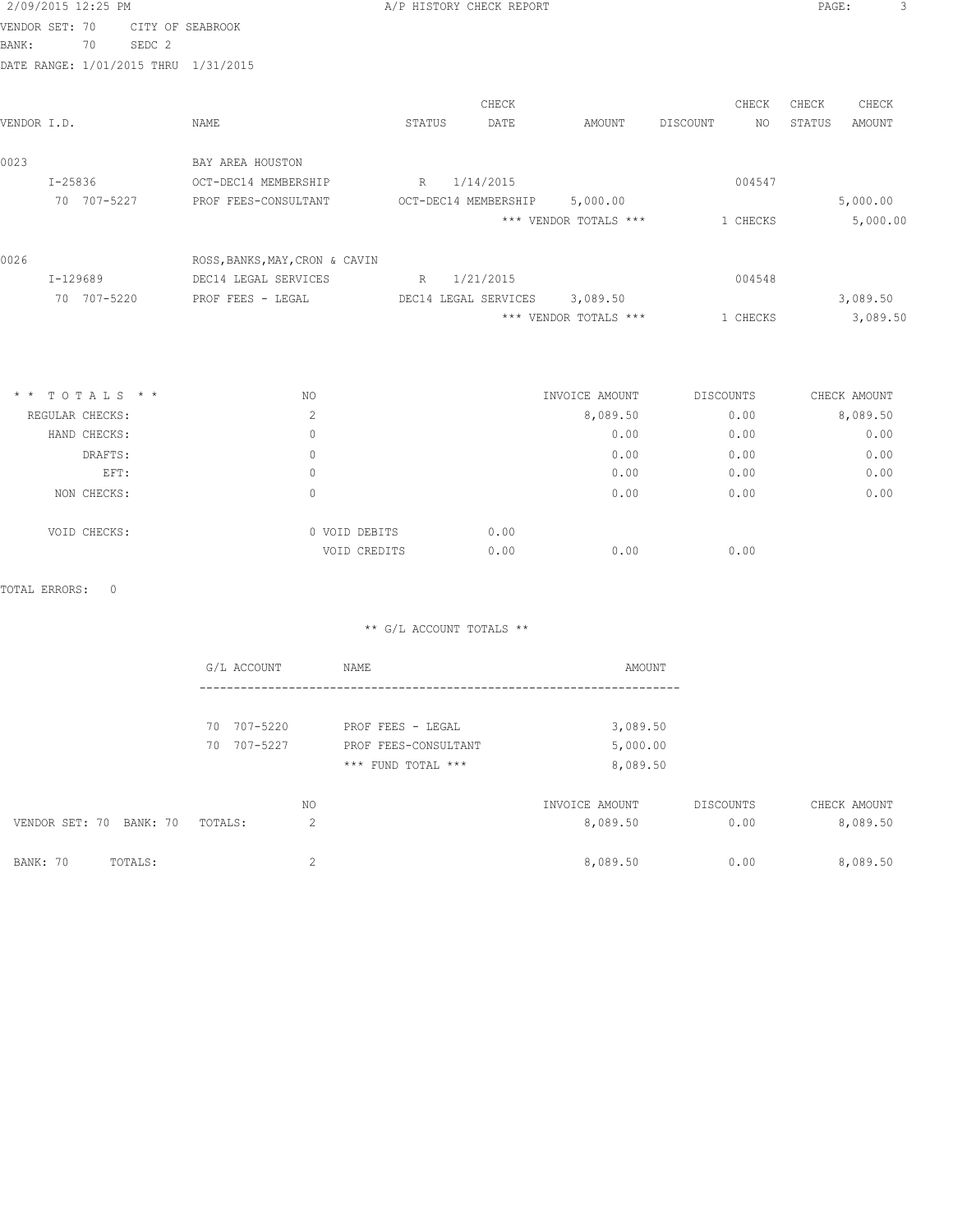| VENDOR SET: 70<br>CITY OF SEABROOK<br>BANK:<br>SEDC <sub>2</sub><br>70<br>DATE RANGE: 1/01/2015 THRU 1/31/2015<br>CHECK<br>CHECK<br>CHECK<br>DATE<br>VENDOR I.D.<br>NAME<br>STATUS<br>AMOUNT<br>DISCOUNT<br>NO.<br>STATUS<br>0023<br>BAY AREA HOUSTON<br>$I - 25836$<br>R 1/14/2015<br>004547<br>OCT-DEC14 MEMBERSHIP<br>70 707-5227<br>OCT-DEC14 MEMBERSHIP<br>5,000.00<br>PROF FEES-CONSULTANT<br>*** VENDOR TOTALS ***<br>1 CHECKS<br>0026<br>ROSS, BANKS, MAY, CRON & CAVIN<br>R<br>1/21/2015<br>004548<br>I-129689<br>DEC14 LEGAL SERVICES<br>70 707-5220<br>DEC14 LEGAL SERVICES 3,089.50<br>PROF FEES - LEGAL<br>*** VENDOR TOTALS ***<br>1 CHECKS<br>$*$ * TOTALS * *<br>NO.<br>INVOICE AMOUNT<br>DISCOUNTS<br>CHECK AMOUNT<br>2<br>8,089.50<br>8,089.50<br>REGULAR CHECKS:<br>0.00<br>0.00<br>0.00<br>$\mathbf{0}$<br>HAND CHECKS:<br>$\mathbf{0}$<br>0.00<br>0.00<br>DRAFTS: | 2/09/2015 12:25 PM |  | A/P HISTORY CHECK REPORT |  | PAGE: |               |
|----------------------------------------------------------------------------------------------------------------------------------------------------------------------------------------------------------------------------------------------------------------------------------------------------------------------------------------------------------------------------------------------------------------------------------------------------------------------------------------------------------------------------------------------------------------------------------------------------------------------------------------------------------------------------------------------------------------------------------------------------------------------------------------------------------------------------------------------------------------------------------------|--------------------|--|--------------------------|--|-------|---------------|
|                                                                                                                                                                                                                                                                                                                                                                                                                                                                                                                                                                                                                                                                                                                                                                                                                                                                                        |                    |  |                          |  |       |               |
|                                                                                                                                                                                                                                                                                                                                                                                                                                                                                                                                                                                                                                                                                                                                                                                                                                                                                        |                    |  |                          |  |       |               |
|                                                                                                                                                                                                                                                                                                                                                                                                                                                                                                                                                                                                                                                                                                                                                                                                                                                                                        |                    |  |                          |  |       |               |
|                                                                                                                                                                                                                                                                                                                                                                                                                                                                                                                                                                                                                                                                                                                                                                                                                                                                                        |                    |  |                          |  |       | CHECK         |
|                                                                                                                                                                                                                                                                                                                                                                                                                                                                                                                                                                                                                                                                                                                                                                                                                                                                                        |                    |  |                          |  |       | <b>AMOUNT</b> |
|                                                                                                                                                                                                                                                                                                                                                                                                                                                                                                                                                                                                                                                                                                                                                                                                                                                                                        |                    |  |                          |  |       |               |
|                                                                                                                                                                                                                                                                                                                                                                                                                                                                                                                                                                                                                                                                                                                                                                                                                                                                                        |                    |  |                          |  |       |               |
|                                                                                                                                                                                                                                                                                                                                                                                                                                                                                                                                                                                                                                                                                                                                                                                                                                                                                        |                    |  |                          |  |       | 5,000.00      |
|                                                                                                                                                                                                                                                                                                                                                                                                                                                                                                                                                                                                                                                                                                                                                                                                                                                                                        |                    |  |                          |  |       | 5,000.00      |
|                                                                                                                                                                                                                                                                                                                                                                                                                                                                                                                                                                                                                                                                                                                                                                                                                                                                                        |                    |  |                          |  |       |               |
|                                                                                                                                                                                                                                                                                                                                                                                                                                                                                                                                                                                                                                                                                                                                                                                                                                                                                        |                    |  |                          |  |       |               |
|                                                                                                                                                                                                                                                                                                                                                                                                                                                                                                                                                                                                                                                                                                                                                                                                                                                                                        |                    |  |                          |  |       | 3,089.50      |
|                                                                                                                                                                                                                                                                                                                                                                                                                                                                                                                                                                                                                                                                                                                                                                                                                                                                                        |                    |  |                          |  |       | 3,089.50      |
|                                                                                                                                                                                                                                                                                                                                                                                                                                                                                                                                                                                                                                                                                                                                                                                                                                                                                        |                    |  |                          |  |       |               |
|                                                                                                                                                                                                                                                                                                                                                                                                                                                                                                                                                                                                                                                                                                                                                                                                                                                                                        |                    |  |                          |  |       |               |
|                                                                                                                                                                                                                                                                                                                                                                                                                                                                                                                                                                                                                                                                                                                                                                                                                                                                                        |                    |  |                          |  |       | 0.00          |
|                                                                                                                                                                                                                                                                                                                                                                                                                                                                                                                                                                                                                                                                                                                                                                                                                                                                                        |                    |  |                          |  |       | 0.00          |
| 0.00<br>0.00<br>EFT:<br>$\circ$                                                                                                                                                                                                                                                                                                                                                                                                                                                                                                                                                                                                                                                                                                                                                                                                                                                        |                    |  |                          |  |       | 0.00          |
| 0.00<br>0.00<br>NON CHECKS:<br>$\Omega$                                                                                                                                                                                                                                                                                                                                                                                                                                                                                                                                                                                                                                                                                                                                                                                                                                                |                    |  |                          |  |       | 0.00          |

TOTAL ERRORS: 0

\*\* G/L ACCOUNT TOTALS \*\*

VOID CREDITS 0.00 0.00 0.00 0.00

VOID CHECKS: 0 VOID DEBITS 0.00

|                         | G/L ACCOUNT  | NAME                 | AMOUNT         |           |              |
|-------------------------|--------------|----------------------|----------------|-----------|--------------|
|                         |              |                      |                |           |              |
|                         | 70 707-5220  | PROF FEES - LEGAL    | 3,089.50       |           |              |
|                         | 70 707-5227  | PROF FEES-CONSULTANT | 5,000.00       |           |              |
|                         |              | *** FUND TOTAL ***   | 8,089.50       |           |              |
|                         | NO           |                      | INVOICE AMOUNT | DISCOUNTS | CHECK AMOUNT |
| VENDOR SET: 70 BANK: 70 | 2<br>TOTALS: |                      | 8,089.50       | 0.00      | 8,089.50     |
| BANK: 70<br>TOTALS:     | 2            |                      | 8,089.50       | 0.00      | 8,089.50     |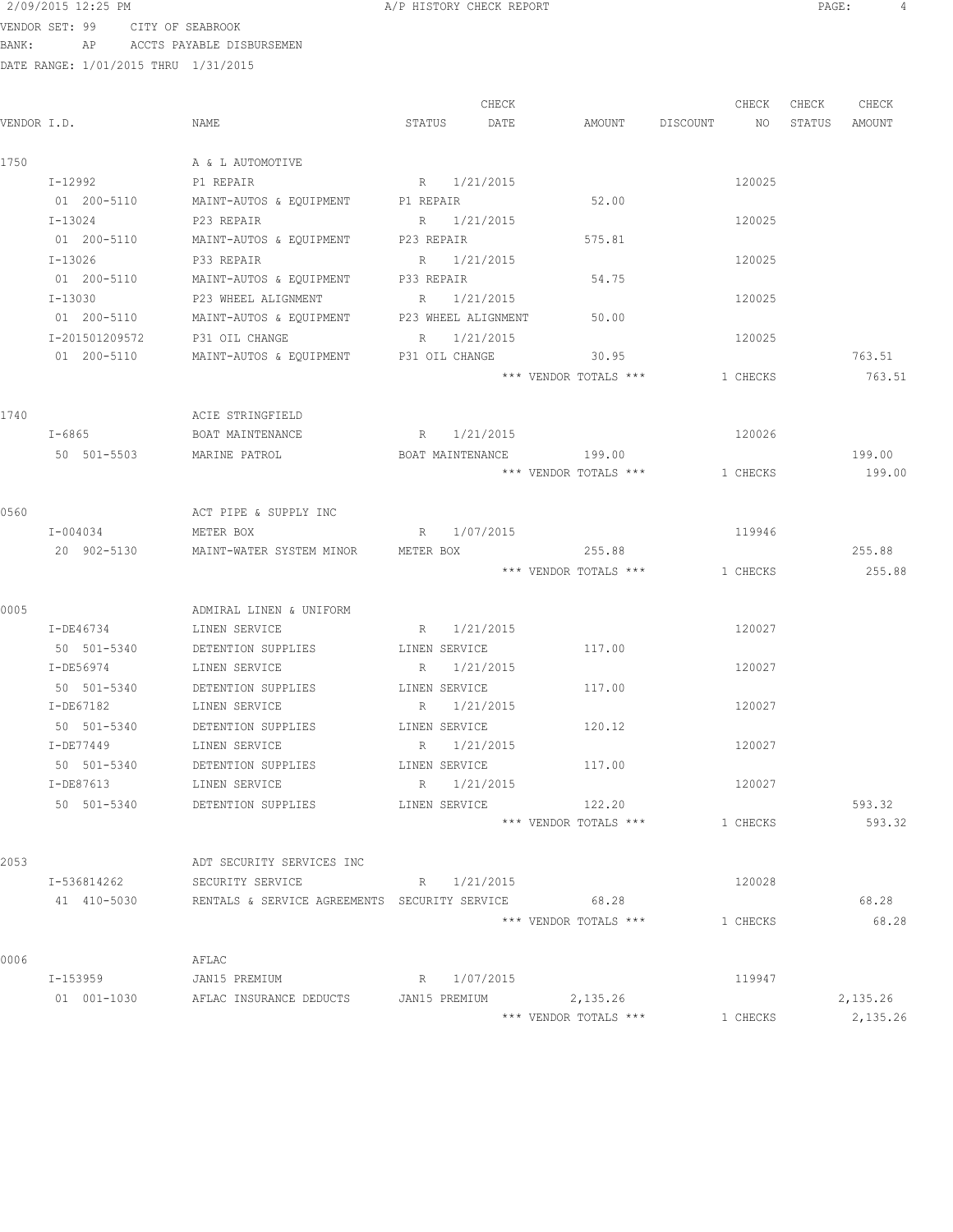VENDOR SET: 99 CITY OF SEABROOK BANK: AP ACCTS PAYABLE DISBURSEMEN

| VENDOR I.D. |                          | NAME                                                            | STATUS    | CHECK<br>DATE                | AMOUNT                | DISCOUNT NO | CHECK    | CHECK<br>STATUS | CHECK<br>AMOUNT |
|-------------|--------------------------|-----------------------------------------------------------------|-----------|------------------------------|-----------------------|-------------|----------|-----------------|-----------------|
| 1750        |                          | A & L AUTOMOTIVE                                                |           |                              |                       |             |          |                 |                 |
|             | I-12992                  | P1 REPAIR                                                       |           | R 1/21/2015                  |                       |             | 120025   |                 |                 |
|             | 01 200-5110              | MAINT-AUTOS & EQUIPMENT P1 REPAIR                               |           |                              | 52.00                 |             |          |                 |                 |
|             | I-13024                  | P23 REPAIR                                                      |           | R 1/21/2015                  |                       |             | 120025   |                 |                 |
|             | 01 200-5110              | MAINT-AUTOS & EQUIPMENT P23 REPAIR                              |           |                              | 575.81                |             |          |                 |                 |
|             | I-13026                  | P33 REPAIR                                                      |           | R 1/21/2015                  |                       |             | 120025   |                 |                 |
|             | 01 200-5110              | MAINT-AUTOS & EQUIPMENT P33 REPAIR                              |           |                              | 54.75                 |             |          |                 |                 |
|             | $T - 13030$              | P23 WHEEL ALIGNMENT                                             |           | R 1/21/2015                  |                       |             | 120025   |                 |                 |
|             | 01 200-5110              | MAINT-AUTOS & EQUIPMENT P23 WHEEL ALIGNMENT                     |           |                              | 50.00                 |             |          |                 |                 |
|             | I-201501209572           | P31 OIL CHANGE                                                  |           | R 1/21/2015                  |                       |             | 120025   |                 |                 |
|             | 01 200-5110              | MAINT-AUTOS & EQUIPMENT                                         |           | P31 OIL CHANGE               | 30.95                 |             |          |                 | 763.51          |
|             |                          |                                                                 |           |                              | *** VENDOR TOTALS *** |             | 1 CHECKS |                 | 763.51          |
| 1740        |                          | ACIE STRINGFIELD                                                |           |                              |                       |             |          |                 |                 |
|             | $I - 6865$               | BOAT MAINTENANCE                                                |           | R 1/21/2015                  |                       |             | 120026   |                 |                 |
|             | 50 501-5503              | MARINE PATROL                                                   |           | BOAT MAINTENANCE             | 199.00                |             |          |                 | 199.00          |
|             |                          |                                                                 |           |                              | *** VENDOR TOTALS *** |             | 1 CHECKS |                 | 199.00          |
|             |                          |                                                                 |           |                              |                       |             |          |                 |                 |
| 0560        |                          | ACT PIPE & SUPPLY INC                                           |           |                              |                       |             |          |                 |                 |
|             | I-004034                 | METER BOX                                                       |           | R 1/07/2015                  |                       |             | 119946   |                 |                 |
|             | 20 902-5130              | MAINT-WATER SYSTEM MINOR                                        | METER BOX |                              | 255.88                |             |          |                 | 255.88          |
|             |                          |                                                                 |           |                              | *** VENDOR TOTALS *** |             | 1 CHECKS |                 | 255.88          |
| 0005        |                          | ADMIRAL LINEN & UNIFORM                                         |           |                              |                       |             |          |                 |                 |
|             | I-DE46734                | LINEN SERVICE                                                   |           | R 1/21/2015                  |                       |             | 120027   |                 |                 |
|             |                          |                                                                 |           |                              |                       |             |          |                 |                 |
|             | 50 501-5340<br>I-DE56974 | DETENTION SUPPLIES<br>LINEN SERVICE                             |           | LINEN SERVICE<br>R 1/21/2015 | 117.00                |             | 120027   |                 |                 |
|             |                          |                                                                 |           |                              |                       |             |          |                 |                 |
|             | 50 501-5340              | DETENTION SUPPLIES                                              |           | LINEN SERVICE                | 117.00                |             |          |                 |                 |
|             | I-DE67182                | LINEN SERVICE                                                   |           | R 1/21/2015<br>LINEN SERVICE |                       |             | 120027   |                 |                 |
|             | 50 501-5340              | DETENTION SUPPLIES                                              |           | R 1/21/2015                  | 120.12                |             | 120027   |                 |                 |
|             | I-DE77449                | LINEN SERVICE                                                   |           |                              |                       |             |          |                 |                 |
|             | 50 501-5340              | DETENTION SUPPLIES                                              |           | LINEN SERVICE                | 117.00                |             |          |                 |                 |
|             | I-DE87613                | LINEN SERVICE                                                   |           | R 1/21/2015                  |                       |             | 120027   |                 |                 |
|             | 50 501-5340              | DETENTION SUPPLIES LINEN SERVICE                                |           |                              | 122.20                |             |          |                 | 593.32          |
|             |                          |                                                                 |           |                              | *** VENDOR TOTALS *** |             | 1 CHECKS |                 | 593.32          |
| 2053        |                          | ADT SECURITY SERVICES INC                                       |           |                              |                       |             |          |                 |                 |
|             | I-536814262              | SECURITY SERVICE                                                |           | R 1/21/2015                  |                       |             | 120028   |                 |                 |
|             |                          | 41 410-5030 RENTALS & SERVICE AGREEMENTS SECURITY SERVICE 68.28 |           |                              |                       |             |          |                 | 68.28           |
|             |                          |                                                                 |           |                              | *** VENDOR TOTALS *** |             | 1 CHECKS |                 | 68.28           |
| 0006        |                          | AFLAC                                                           |           |                              |                       |             |          |                 |                 |
|             |                          | I-153959 JAN15 PREMIUM R 1/07/2015                              |           |                              |                       |             | 119947   |                 |                 |
|             |                          | 01 001-1030 AFLAC INSURANCE DEDUCTS JAN15 PREMIUM 2,135.26      |           |                              |                       |             |          |                 | 2,135.26        |
|             |                          |                                                                 |           |                              | *** VENDOR TOTALS *** |             | 1 CHECKS |                 | 2,135.26        |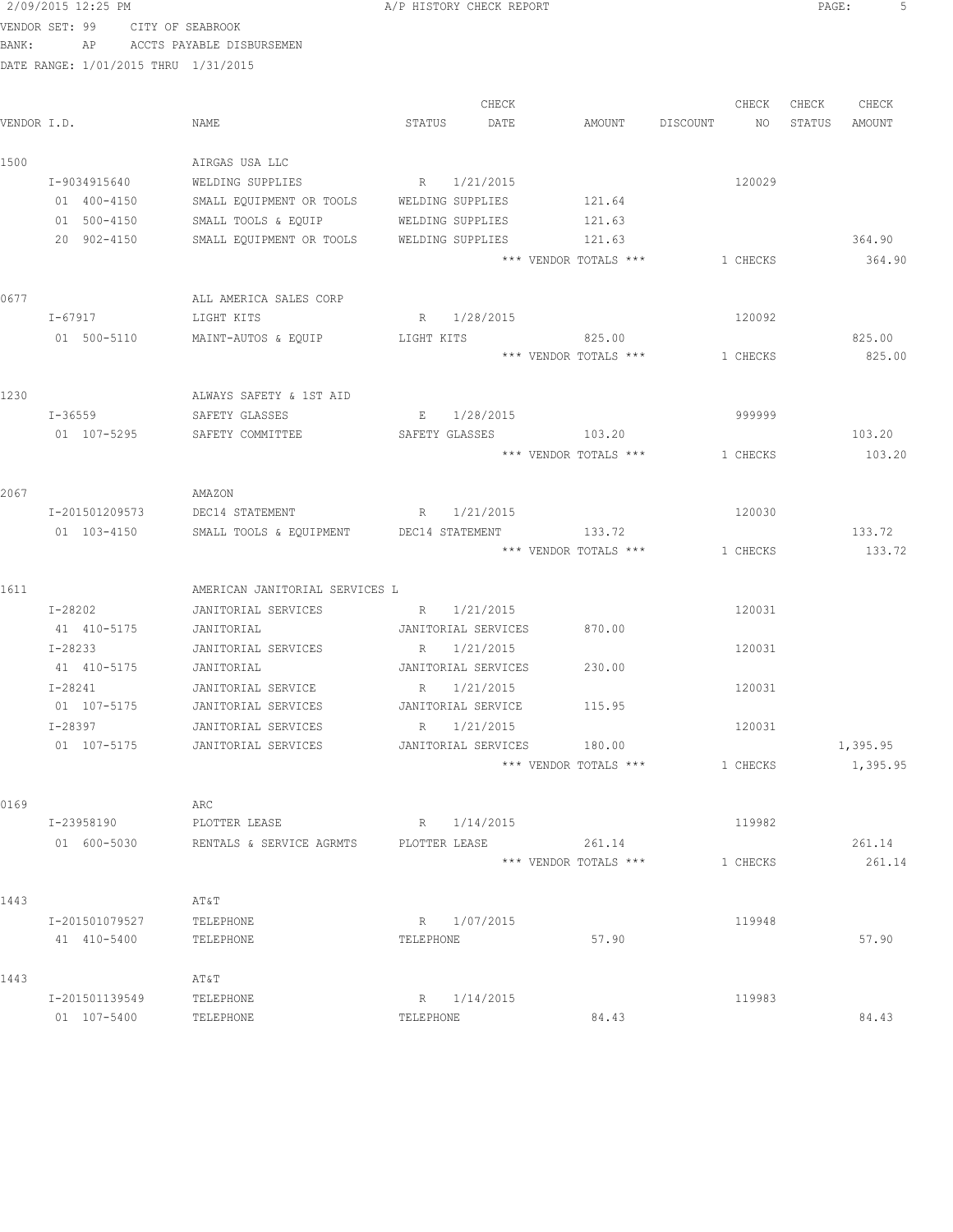|             | 2/09/2015 12:25 PM                   |                                           | A/P HISTORY CHECK REPORT                      |                | PAGE:<br>5       |
|-------------|--------------------------------------|-------------------------------------------|-----------------------------------------------|----------------|------------------|
|             | VENDOR SET: 99 CITY OF SEABROOK      |                                           |                                               |                |                  |
| BANK:       |                                      | AP ACCTS PAYABLE DISBURSEMEN              |                                               |                |                  |
|             | DATE RANGE: 1/01/2015 THRU 1/31/2015 |                                           |                                               |                |                  |
|             |                                      |                                           |                                               |                |                  |
|             |                                      |                                           | CHECK                                         | CHECK          | CHECK<br>CHECK   |
| VENDOR I.D. |                                      | NAME                                      | STATUS<br>DATE<br>AMOUNT                      | DISCOUNT<br>NO | STATUS<br>AMOUNT |
| 1500        |                                      | AIRGAS USA LLC                            |                                               |                |                  |
|             | I-9034915640                         | WELDING SUPPLIES                          | R 1/21/2015                                   | 120029         |                  |
|             | 01 400-4150                          | SMALL EQUIPMENT OR TOOLS WELDING SUPPLIES | 121.64                                        |                |                  |
|             | 01 500-4150                          | SMALL TOOLS & EQUIP                       | 121.63<br>WELDING SUPPLIES                    |                |                  |
|             | 20 902-4150                          | SMALL EQUIPMENT OR TOOLS                  | WELDING SUPPLIES<br>121.63                    |                | 364.90           |
|             |                                      |                                           | *** VENDOR TOTALS ***                         | 1 CHECKS       | 364.90           |
|             |                                      |                                           |                                               |                |                  |
| 0677        |                                      | ALL AMERICA SALES CORP                    |                                               |                |                  |
|             | I-67917                              | LIGHT KITS                                | R 1/28/2015                                   | 120092         |                  |
|             | 01 500-5110                          | MAINT-AUTOS & EQUIP                       | 825.00<br>LIGHT KITS<br>*** VENDOR TOTALS *** | 1 CHECKS       | 825.00<br>825.00 |
|             |                                      |                                           |                                               |                |                  |
| 1230        |                                      | ALWAYS SAFETY & 1ST AID                   |                                               |                |                  |
|             | $I - 36559$                          | SAFETY GLASSES                            | E 1/28/2015                                   | 999999         |                  |
|             | 01 107-5295                          | SAFETY COMMITTEE                          | SAFETY GLASSES 103.20                         |                | 103.20           |
|             |                                      |                                           | *** VENDOR TOTALS ***                         | 1 CHECKS       | 103.20           |
|             |                                      |                                           |                                               |                |                  |
| 2067        |                                      | AMAZON                                    |                                               |                |                  |
|             | I-201501209573                       | DEC14 STATEMENT                           | R 1/21/2015                                   | 120030         |                  |
|             | 01 103-4150                          | SMALL TOOLS & EQUIPMENT                   | 133.72<br>DEC14 STATEMENT                     |                | 133.72           |
|             |                                      |                                           | *** VENDOR TOTALS ***                         | 1 CHECKS       | 133.72           |
| 1611        |                                      | AMERICAN JANITORIAL SERVICES L            |                                               |                |                  |
|             | I-28202                              | JANITORIAL SERVICES                       | R 1/21/2015                                   | 120031         |                  |
|             | 41 410-5175                          | JANITORIAL                                | JANITORIAL SERVICES<br>870.00                 |                |                  |
|             | $I - 28233$                          | JANITORIAL SERVICES                       | R 1/21/2015                                   | 120031         |                  |
|             | 41 410-5175                          | JANITORIAL                                | 230.00<br>JANITORIAL SERVICES                 |                |                  |
|             | $I - 28241$                          | JANITORIAL SERVICE                        | R 1/21/2015                                   | 120031         |                  |
|             | 01 107-5175                          | JANITORIAL SERVICES                       | 115.95<br>JANITORIAL SERVICE                  |                |                  |
|             | I-28397                              | JANITORIAL SERVICES                       | R 1/21/2015                                   | 120031         |                  |
|             | 01 107-5175                          | JANITORIAL SERVICES                       | JANITORIAL SERVICES<br>180.00                 |                | 1,395.95         |
|             |                                      |                                           | *** VENDOR TOTALS ***                         | 1 CHECKS       | 1,395.95         |
| 0169        |                                      | ARC                                       |                                               |                |                  |
|             | I-23958190                           | PLOTTER LEASE                             | R 1/14/2015                                   | 119982         |                  |
|             | 01 600-5030                          | RENTALS & SERVICE AGRMTS                  | 261.14<br>PLOTTER LEASE                       |                | 261.14           |
|             |                                      |                                           | *** VENDOR TOTALS ***                         | 1 CHECKS       | 261.14           |
|             |                                      |                                           |                                               |                |                  |
| 1443        |                                      | AT&T                                      |                                               |                |                  |
|             | I-201501079527                       | TELEPHONE                                 | R 1/07/2015                                   | 119948         |                  |
|             | 41 410-5400                          | TELEPHONE                                 | 57.90<br>TELEPHONE                            |                | 57.90            |
| 1443        |                                      | AT&T                                      |                                               |                |                  |
|             | I-201501139549                       | TELEPHONE                                 | R 1/14/2015                                   | 119983         |                  |
|             | 01 107-5400                          | TELEPHONE                                 | 84.43<br>TELEPHONE                            |                | 84.43            |
|             |                                      |                                           |                                               |                |                  |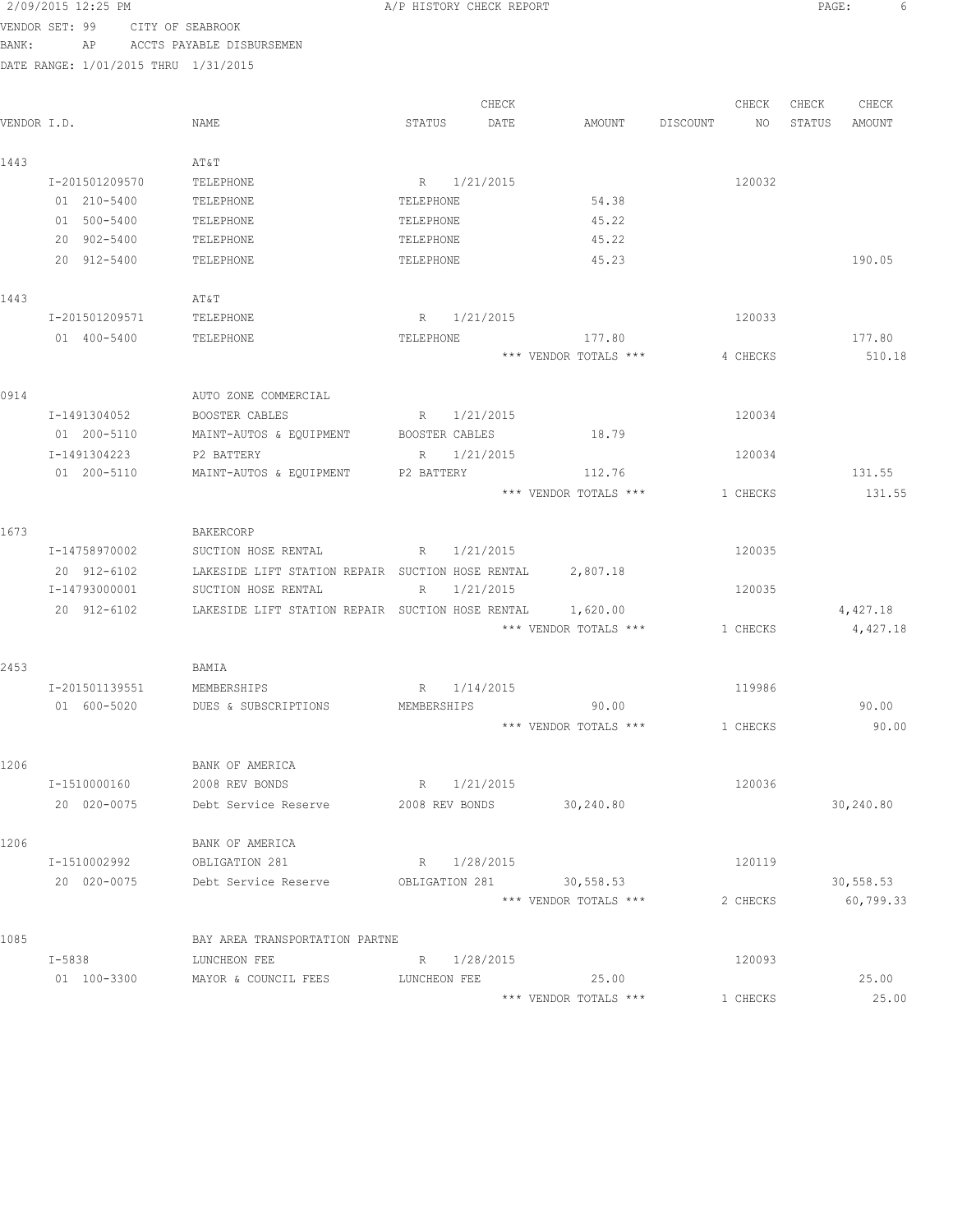| 2/09/2015 12:25 PM |                                                                                                                                                                                        |                                                                                                                                                                                                                                                                                                                                                                         |                                                                                                 |                                                                                                                                                                                                                                                   |                                                                                                                                                                                                                                                                                              |                                                                         |                                                                                                              |        |                                                                                                                                               |
|--------------------|----------------------------------------------------------------------------------------------------------------------------------------------------------------------------------------|-------------------------------------------------------------------------------------------------------------------------------------------------------------------------------------------------------------------------------------------------------------------------------------------------------------------------------------------------------------------------|-------------------------------------------------------------------------------------------------|---------------------------------------------------------------------------------------------------------------------------------------------------------------------------------------------------------------------------------------------------|----------------------------------------------------------------------------------------------------------------------------------------------------------------------------------------------------------------------------------------------------------------------------------------------|-------------------------------------------------------------------------|--------------------------------------------------------------------------------------------------------------|--------|-----------------------------------------------------------------------------------------------------------------------------------------------|
| VENDOR SET: 99     |                                                                                                                                                                                        |                                                                                                                                                                                                                                                                                                                                                                         |                                                                                                 |                                                                                                                                                                                                                                                   |                                                                                                                                                                                                                                                                                              |                                                                         |                                                                                                              |        |                                                                                                                                               |
| AP                 |                                                                                                                                                                                        |                                                                                                                                                                                                                                                                                                                                                                         |                                                                                                 |                                                                                                                                                                                                                                                   |                                                                                                                                                                                                                                                                                              |                                                                         |                                                                                                              |        |                                                                                                                                               |
|                    |                                                                                                                                                                                        |                                                                                                                                                                                                                                                                                                                                                                         |                                                                                                 |                                                                                                                                                                                                                                                   |                                                                                                                                                                                                                                                                                              |                                                                         |                                                                                                              |        |                                                                                                                                               |
|                    |                                                                                                                                                                                        |                                                                                                                                                                                                                                                                                                                                                                         |                                                                                                 |                                                                                                                                                                                                                                                   |                                                                                                                                                                                                                                                                                              |                                                                         |                                                                                                              |        |                                                                                                                                               |
|                    |                                                                                                                                                                                        |                                                                                                                                                                                                                                                                                                                                                                         | CHECK                                                                                           |                                                                                                                                                                                                                                                   |                                                                                                                                                                                                                                                                                              | CHECK                                                                   | CHECK                                                                                                        | CHECK  |                                                                                                                                               |
| VENDOR I.D.        | NAME                                                                                                                                                                                   | STATUS                                                                                                                                                                                                                                                                                                                                                                  | DATE                                                                                            | AMOUNT                                                                                                                                                                                                                                            | DISCOUNT                                                                                                                                                                                                                                                                                     | NO                                                                      | STATUS                                                                                                       | AMOUNT |                                                                                                                                               |
|                    |                                                                                                                                                                                        |                                                                                                                                                                                                                                                                                                                                                                         |                                                                                                 |                                                                                                                                                                                                                                                   |                                                                                                                                                                                                                                                                                              |                                                                         |                                                                                                              |        |                                                                                                                                               |
|                    | AT&T                                                                                                                                                                                   |                                                                                                                                                                                                                                                                                                                                                                         |                                                                                                 |                                                                                                                                                                                                                                                   |                                                                                                                                                                                                                                                                                              |                                                                         |                                                                                                              |        |                                                                                                                                               |
| I-201501209570     | TELEPHONE                                                                                                                                                                              |                                                                                                                                                                                                                                                                                                                                                                         |                                                                                                 |                                                                                                                                                                                                                                                   |                                                                                                                                                                                                                                                                                              | 120032                                                                  |                                                                                                              |        |                                                                                                                                               |
|                    |                                                                                                                                                                                        |                                                                                                                                                                                                                                                                                                                                                                         |                                                                                                 |                                                                                                                                                                                                                                                   |                                                                                                                                                                                                                                                                                              |                                                                         |                                                                                                              |        |                                                                                                                                               |
|                    |                                                                                                                                                                                        |                                                                                                                                                                                                                                                                                                                                                                         |                                                                                                 |                                                                                                                                                                                                                                                   |                                                                                                                                                                                                                                                                                              |                                                                         |                                                                                                              |        |                                                                                                                                               |
|                    |                                                                                                                                                                                        |                                                                                                                                                                                                                                                                                                                                                                         |                                                                                                 |                                                                                                                                                                                                                                                   |                                                                                                                                                                                                                                                                                              |                                                                         |                                                                                                              |        |                                                                                                                                               |
|                    |                                                                                                                                                                                        |                                                                                                                                                                                                                                                                                                                                                                         |                                                                                                 |                                                                                                                                                                                                                                                   |                                                                                                                                                                                                                                                                                              |                                                                         |                                                                                                              |        |                                                                                                                                               |
|                    |                                                                                                                                                                                        |                                                                                                                                                                                                                                                                                                                                                                         |                                                                                                 |                                                                                                                                                                                                                                                   |                                                                                                                                                                                                                                                                                              |                                                                         |                                                                                                              |        |                                                                                                                                               |
|                    |                                                                                                                                                                                        |                                                                                                                                                                                                                                                                                                                                                                         |                                                                                                 |                                                                                                                                                                                                                                                   |                                                                                                                                                                                                                                                                                              |                                                                         |                                                                                                              |        |                                                                                                                                               |
|                    |                                                                                                                                                                                        |                                                                                                                                                                                                                                                                                                                                                                         |                                                                                                 |                                                                                                                                                                                                                                                   |                                                                                                                                                                                                                                                                                              |                                                                         |                                                                                                              |        |                                                                                                                                               |
|                    |                                                                                                                                                                                        |                                                                                                                                                                                                                                                                                                                                                                         |                                                                                                 |                                                                                                                                                                                                                                                   |                                                                                                                                                                                                                                                                                              |                                                                         |                                                                                                              |        |                                                                                                                                               |
|                    |                                                                                                                                                                                        |                                                                                                                                                                                                                                                                                                                                                                         |                                                                                                 |                                                                                                                                                                                                                                                   |                                                                                                                                                                                                                                                                                              |                                                                         |                                                                                                              |        |                                                                                                                                               |
|                    |                                                                                                                                                                                        |                                                                                                                                                                                                                                                                                                                                                                         |                                                                                                 |                                                                                                                                                                                                                                                   |                                                                                                                                                                                                                                                                                              |                                                                         |                                                                                                              |        |                                                                                                                                               |
|                    |                                                                                                                                                                                        |                                                                                                                                                                                                                                                                                                                                                                         |                                                                                                 |                                                                                                                                                                                                                                                   |                                                                                                                                                                                                                                                                                              |                                                                         |                                                                                                              |        |                                                                                                                                               |
| 01 200-5110        | MAINT-AUTOS & EQUIPMENT                                                                                                                                                                |                                                                                                                                                                                                                                                                                                                                                                         |                                                                                                 | 18.79                                                                                                                                                                                                                                             |                                                                                                                                                                                                                                                                                              |                                                                         |                                                                                                              |        |                                                                                                                                               |
| I-1491304223       | P2 BATTERY                                                                                                                                                                             | R                                                                                                                                                                                                                                                                                                                                                                       |                                                                                                 |                                                                                                                                                                                                                                                   |                                                                                                                                                                                                                                                                                              | 120034                                                                  |                                                                                                              |        |                                                                                                                                               |
| 01 200-5110        | MAINT-AUTOS & EQUIPMENT                                                                                                                                                                |                                                                                                                                                                                                                                                                                                                                                                         |                                                                                                 | 112.76                                                                                                                                                                                                                                            |                                                                                                                                                                                                                                                                                              |                                                                         |                                                                                                              | 131.55 |                                                                                                                                               |
|                    |                                                                                                                                                                                        |                                                                                                                                                                                                                                                                                                                                                                         |                                                                                                 |                                                                                                                                                                                                                                                   |                                                                                                                                                                                                                                                                                              |                                                                         |                                                                                                              |        |                                                                                                                                               |
|                    |                                                                                                                                                                                        |                                                                                                                                                                                                                                                                                                                                                                         |                                                                                                 |                                                                                                                                                                                                                                                   |                                                                                                                                                                                                                                                                                              |                                                                         |                                                                                                              |        |                                                                                                                                               |
|                    | BAKERCORP                                                                                                                                                                              |                                                                                                                                                                                                                                                                                                                                                                         |                                                                                                 |                                                                                                                                                                                                                                                   |                                                                                                                                                                                                                                                                                              |                                                                         |                                                                                                              |        |                                                                                                                                               |
| I-14758970002      | SUCTION HOSE RENTAL                                                                                                                                                                    |                                                                                                                                                                                                                                                                                                                                                                         |                                                                                                 |                                                                                                                                                                                                                                                   |                                                                                                                                                                                                                                                                                              | 120035                                                                  |                                                                                                              |        |                                                                                                                                               |
| 20 912-6102        |                                                                                                                                                                                        |                                                                                                                                                                                                                                                                                                                                                                         |                                                                                                 | 2,807.18                                                                                                                                                                                                                                          |                                                                                                                                                                                                                                                                                              |                                                                         |                                                                                                              |        |                                                                                                                                               |
| I-14793000001      | SUCTION HOSE RENTAL                                                                                                                                                                    | R                                                                                                                                                                                                                                                                                                                                                                       |                                                                                                 |                                                                                                                                                                                                                                                   |                                                                                                                                                                                                                                                                                              | 120035                                                                  |                                                                                                              |        |                                                                                                                                               |
| 20 912-6102        |                                                                                                                                                                                        |                                                                                                                                                                                                                                                                                                                                                                         |                                                                                                 | 1,620.00                                                                                                                                                                                                                                          |                                                                                                                                                                                                                                                                                              |                                                                         |                                                                                                              |        |                                                                                                                                               |
|                    |                                                                                                                                                                                        |                                                                                                                                                                                                                                                                                                                                                                         |                                                                                                 |                                                                                                                                                                                                                                                   |                                                                                                                                                                                                                                                                                              |                                                                         |                                                                                                              |        |                                                                                                                                               |
|                    |                                                                                                                                                                                        |                                                                                                                                                                                                                                                                                                                                                                         |                                                                                                 |                                                                                                                                                                                                                                                   |                                                                                                                                                                                                                                                                                              |                                                                         |                                                                                                              |        |                                                                                                                                               |
|                    | BAMIA                                                                                                                                                                                  |                                                                                                                                                                                                                                                                                                                                                                         |                                                                                                 |                                                                                                                                                                                                                                                   |                                                                                                                                                                                                                                                                                              |                                                                         |                                                                                                              |        |                                                                                                                                               |
| I-201501139551     | MEMBERSHIPS                                                                                                                                                                            |                                                                                                                                                                                                                                                                                                                                                                         |                                                                                                 |                                                                                                                                                                                                                                                   |                                                                                                                                                                                                                                                                                              | 119986                                                                  |                                                                                                              |        |                                                                                                                                               |
|                    |                                                                                                                                                                                        |                                                                                                                                                                                                                                                                                                                                                                         |                                                                                                 |                                                                                                                                                                                                                                                   |                                                                                                                                                                                                                                                                                              |                                                                         |                                                                                                              |        |                                                                                                                                               |
|                    |                                                                                                                                                                                        |                                                                                                                                                                                                                                                                                                                                                                         |                                                                                                 |                                                                                                                                                                                                                                                   |                                                                                                                                                                                                                                                                                              |                                                                         |                                                                                                              |        |                                                                                                                                               |
|                    |                                                                                                                                                                                        |                                                                                                                                                                                                                                                                                                                                                                         |                                                                                                 |                                                                                                                                                                                                                                                   |                                                                                                                                                                                                                                                                                              |                                                                         |                                                                                                              |        |                                                                                                                                               |
|                    |                                                                                                                                                                                        |                                                                                                                                                                                                                                                                                                                                                                         |                                                                                                 |                                                                                                                                                                                                                                                   |                                                                                                                                                                                                                                                                                              |                                                                         |                                                                                                              |        |                                                                                                                                               |
|                    |                                                                                                                                                                                        |                                                                                                                                                                                                                                                                                                                                                                         |                                                                                                 |                                                                                                                                                                                                                                                   |                                                                                                                                                                                                                                                                                              |                                                                         |                                                                                                              |        |                                                                                                                                               |
|                    |                                                                                                                                                                                        |                                                                                                                                                                                                                                                                                                                                                                         |                                                                                                 |                                                                                                                                                                                                                                                   |                                                                                                                                                                                                                                                                                              |                                                                         |                                                                                                              |        |                                                                                                                                               |
|                    |                                                                                                                                                                                        |                                                                                                                                                                                                                                                                                                                                                                         |                                                                                                 |                                                                                                                                                                                                                                                   |                                                                                                                                                                                                                                                                                              |                                                                         |                                                                                                              |        |                                                                                                                                               |
|                    |                                                                                                                                                                                        |                                                                                                                                                                                                                                                                                                                                                                         |                                                                                                 |                                                                                                                                                                                                                                                   |                                                                                                                                                                                                                                                                                              |                                                                         |                                                                                                              |        |                                                                                                                                               |
|                    |                                                                                                                                                                                        |                                                                                                                                                                                                                                                                                                                                                                         |                                                                                                 |                                                                                                                                                                                                                                                   |                                                                                                                                                                                                                                                                                              |                                                                         |                                                                                                              |        |                                                                                                                                               |
|                    |                                                                                                                                                                                        |                                                                                                                                                                                                                                                                                                                                                                         |                                                                                                 |                                                                                                                                                                                                                                                   |                                                                                                                                                                                                                                                                                              |                                                                         |                                                                                                              |        |                                                                                                                                               |
|                    |                                                                                                                                                                                        |                                                                                                                                                                                                                                                                                                                                                                         |                                                                                                 |                                                                                                                                                                                                                                                   |                                                                                                                                                                                                                                                                                              |                                                                         |                                                                                                              |        |                                                                                                                                               |
|                    |                                                                                                                                                                                        |                                                                                                                                                                                                                                                                                                                                                                         |                                                                                                 |                                                                                                                                                                                                                                                   |                                                                                                                                                                                                                                                                                              |                                                                         |                                                                                                              |        |                                                                                                                                               |
| I-5838             | LUNCHEON FEE                                                                                                                                                                           |                                                                                                                                                                                                                                                                                                                                                                         |                                                                                                 |                                                                                                                                                                                                                                                   |                                                                                                                                                                                                                                                                                              | 120093                                                                  |                                                                                                              |        |                                                                                                                                               |
| 01 100-3300        | MAYOR & COUNCIL FEES                                                                                                                                                                   |                                                                                                                                                                                                                                                                                                                                                                         |                                                                                                 | 25.00                                                                                                                                                                                                                                             |                                                                                                                                                                                                                                                                                              |                                                                         |                                                                                                              | 25.00  |                                                                                                                                               |
|                    |                                                                                                                                                                                        |                                                                                                                                                                                                                                                                                                                                                                         |                                                                                                 |                                                                                                                                                                                                                                                   |                                                                                                                                                                                                                                                                                              |                                                                         |                                                                                                              |        |                                                                                                                                               |
|                    | 01 210-5400<br>01 500-5400<br>20 902-5400<br>20 912-5400<br>I-201501209571<br>01 400-5400<br>I-1491304052<br>01 600-5020<br>I-1510000160<br>20 020-0075<br>I-1510002992<br>20 020-0075 | CITY OF SEABROOK<br>ACCTS PAYABLE DISBURSEMEN<br>DATE RANGE: 1/01/2015 THRU 1/31/2015<br>TELEPHONE<br>TELEPHONE<br>TELEPHONE<br>TELEPHONE<br>AT&T<br>TELEPHONE<br>TELEPHONE<br>AUTO ZONE COMMERCIAL<br>BOOSTER CABLES<br>DUES & SUBSCRIPTIONS<br>BANK OF AMERICA<br>2008 REV BONDS<br>Debt Service Reserve<br>BANK OF AMERICA<br>OBLIGATION 281<br>Debt Service Reserve | TELEPHONE<br>TELEPHONE<br>TELEPHONE<br>TELEPHONE<br>TELEPHONE<br>BAY AREA TRANSPORTATION PARTNE | R 1/21/2015<br>R 1/21/2015<br>R 1/21/2015<br>BOOSTER CABLES<br>1/21/2015<br>P2 BATTERY<br>R 1/21/2015<br>1/21/2015<br>R 1/14/2015<br>MEMBERSHIPS<br>R 1/21/2015<br>2008 REV BONDS<br>R 1/28/2015<br>OBLIGATION 281<br>R 1/28/2015<br>LUNCHEON FEE | A/P HISTORY CHECK REPORT<br>54.38<br>45.22<br>45.22<br>45.23<br>177.80<br>*** VENDOR TOTALS ***<br>LAKESIDE LIFT STATION REPAIR SUCTION HOSE RENTAL<br>LAKESIDE LIFT STATION REPAIR SUCTION HOSE RENTAL<br>90.00<br>30,240.80<br>30,558.53<br>*** VENDOR TOTALS ***<br>*** VENDOR TOTALS *** | *** VENDOR TOTALS ***<br>*** VENDOR TOTALS ***<br>*** VENDOR TOTALS *** | 120033<br>4 CHECKS<br>120034<br>1 CHECKS<br>1 CHECKS<br>1 CHECKS<br>120036<br>120119<br>2 CHECKS<br>1 CHECKS |        | PAGE:<br>6<br>190.05<br>177.80<br>510.18<br>131.55<br>4,427.18<br>4,427.18<br>90.00<br>90.00<br>30,240.80<br>30, 558.53<br>60,799.33<br>25.00 |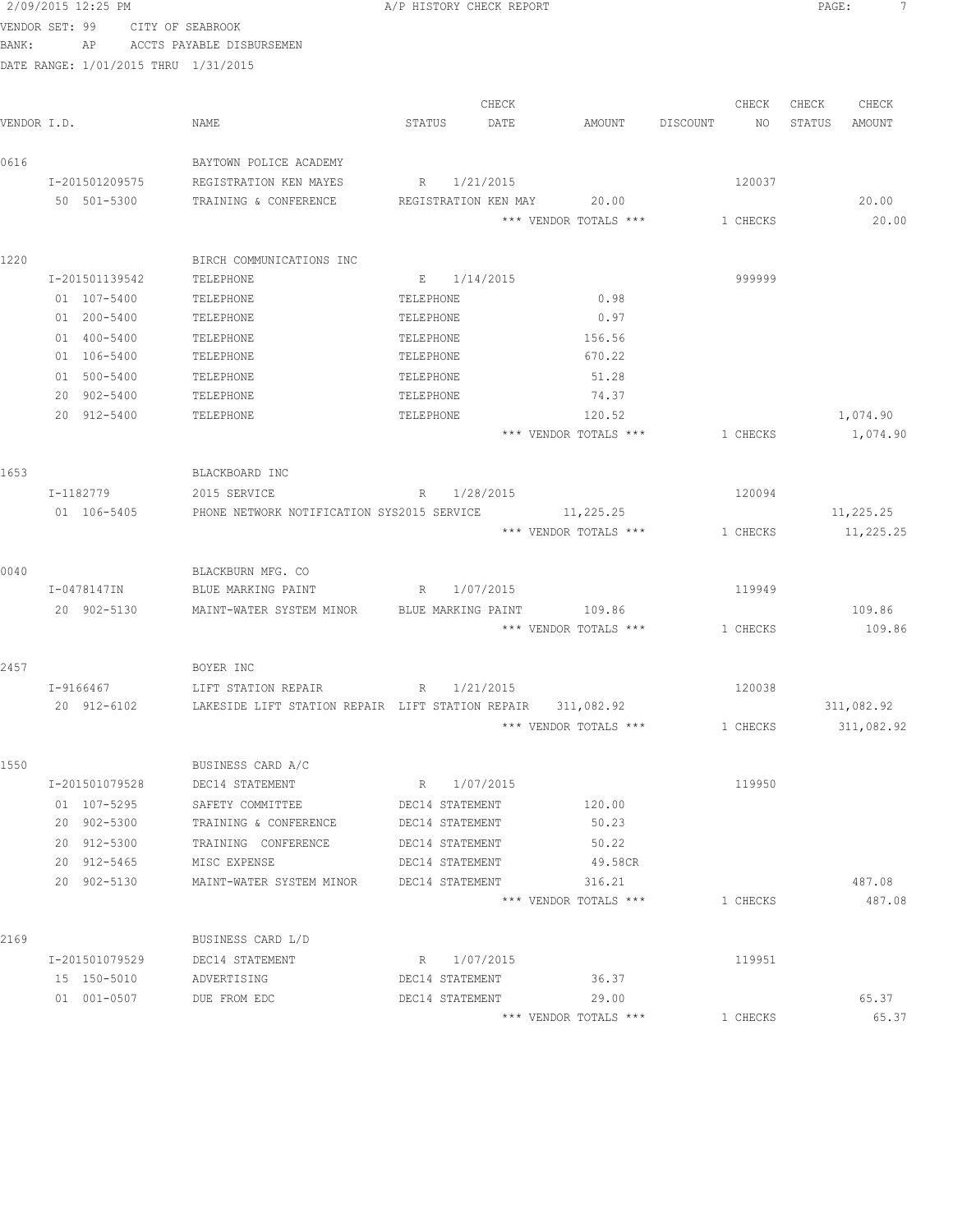|                         | 2/09/2015 12:25 PM |                                                             |           |                 | A/P HISTORY CHECK REPORT |                                 |           | PAGE: | 7                |
|-------------------------|--------------------|-------------------------------------------------------------|-----------|-----------------|--------------------------|---------------------------------|-----------|-------|------------------|
| VENDOR SET: 99<br>BANK: |                    | CITY OF SEABROOK<br>AP ACCTS PAYABLE DISBURSEMEN            |           |                 |                          |                                 |           |       |                  |
|                         |                    | DATE RANGE: 1/01/2015 THRU 1/31/2015                        |           |                 |                          |                                 |           |       |                  |
|                         |                    |                                                             |           |                 | CHECK                    |                                 | CHECK     | CHECK | CHECK            |
| VENDOR I.D.             |                    | NAME                                                        | STATUS    |                 | DATE                     | AMOUNT DISCOUNT                 | NO STATUS |       | AMOUNT           |
| 0616                    |                    | BAYTOWN POLICE ACADEMY                                      |           |                 |                          |                                 |           |       |                  |
|                         |                    | I-201501209575 REGISTRATION KEN MAYES                       |           |                 | R 1/21/2015              |                                 | 120037    |       |                  |
|                         |                    | 50 501-5300 TRAINING & CONFERENCE                           |           |                 |                          | REGISTRATION KEN MAY 20.00      |           |       | 20.00            |
|                         |                    |                                                             |           |                 |                          | *** VENDOR TOTALS *** 1 CHECKS  |           |       | 20.00            |
| 1220                    |                    | BIRCH COMMUNICATIONS INC                                    |           |                 |                          |                                 |           |       |                  |
|                         | I-201501139542     | TELEPHONE                                                   |           | E 1/14/2015     |                          |                                 | 999999    |       |                  |
|                         | 01 107-5400        | TELEPHONE                                                   | TELEPHONE |                 |                          | 0.98                            |           |       |                  |
|                         | 01 200-5400        | TELEPHONE                                                   | TELEPHONE |                 |                          | 0.97                            |           |       |                  |
|                         | 01 400-5400        | TELEPHONE                                                   | TELEPHONE |                 |                          | 156.56                          |           |       |                  |
|                         | 01 106-5400        | TELEPHONE                                                   | TELEPHONE |                 |                          | 670.22                          |           |       |                  |
|                         | 01 500-5400        | TELEPHONE                                                   | TELEPHONE |                 |                          | 51.28                           |           |       |                  |
|                         | 20 902-5400        | TELEPHONE                                                   | TELEPHONE |                 |                          | 74.37                           |           |       |                  |
|                         | 20 912-5400        | TELEPHONE                                                   | TELEPHONE |                 |                          | 120.52                          |           |       | 1,074.90         |
|                         |                    |                                                             |           |                 |                          | *** VENDOR TOTALS ***           | 1 CHECKS  |       | 1,074.90         |
| 1653                    |                    | BLACKBOARD INC                                              |           |                 |                          |                                 |           |       |                  |
|                         | I-1182779          | 2015 SERVICE                                                |           | R 1/28/2015     |                          |                                 | 120094    |       |                  |
|                         | 01 106-5405        | PHONE NETWORK NOTIFICATION SYS2015 SERVICE                  |           |                 |                          | 11,225.25                       |           |       | 11,225.25        |
|                         |                    |                                                             |           |                 |                          | *** VENDOR TOTALS ***           | 1 CHECKS  |       | 11,225.25        |
| 0040                    |                    | BLACKBURN MFG. CO                                           |           |                 |                          |                                 |           |       |                  |
|                         | I-0478147IN        | BLUE MARKING PAINT                                          |           |                 | R 1/07/2015              |                                 | 119949    |       |                  |
|                         | 20 902-5130        | MAINT-WATER SYSTEM MINOR BLUE MARKING PAINT                 |           |                 |                          | 109.86                          |           |       | 109.86           |
|                         |                    |                                                             |           |                 |                          | *** VENDOR TOTALS *** 1 CHECKS  |           |       | 109.86           |
| 2457                    |                    | BOYER INC                                                   |           |                 |                          |                                 |           |       |                  |
|                         | I-9166467          |                                                             |           |                 |                          |                                 | 120038    |       |                  |
|                         | 20 912-6102        | LAKESIDE LIFT STATION REPAIR LIFT STATION REPAIR 311,082.92 |           |                 |                          |                                 |           |       | 311,082.92       |
|                         |                    |                                                             |           |                 |                          | *** VENDOR TOTALS ***           | 1 CHECKS  |       | 311,082.92       |
| 1550                    |                    | BUSINESS CARD A/C                                           |           |                 |                          |                                 |           |       |                  |
|                         | I-201501079528     | DEC14 STATEMENT                                             |           | R 1/07/2015     |                          |                                 | 119950    |       |                  |
|                         | 01 107-5295        | SAFETY COMMITTEE                                            |           | DEC14 STATEMENT |                          | 120.00                          |           |       |                  |
|                         | 20 902-5300        | TRAINING & CONFERENCE                                       |           | DEC14 STATEMENT |                          | 50.23                           |           |       |                  |
|                         | 20 912-5300        | TRAINING CONFERENCE                                         |           | DEC14 STATEMENT |                          | 50.22                           |           |       |                  |
|                         | 20 912-5465        | MISC EXPENSE                                                |           | DEC14 STATEMENT |                          | 49.58CR                         |           |       |                  |
|                         | 20 902-5130        | MAINT-WATER SYSTEM MINOR                                    |           | DEC14 STATEMENT |                          | 316.21<br>*** VENDOR TOTALS *** | 1 CHECKS  |       | 487.08<br>487.08 |
|                         |                    |                                                             |           |                 |                          |                                 |           |       |                  |
| 2169                    |                    | BUSINESS CARD L/D                                           |           |                 |                          |                                 |           |       |                  |
|                         | I-201501079529     | DEC14 STATEMENT                                             |           | R 1/07/2015     |                          |                                 | 119951    |       |                  |
|                         | 15 150-5010        | ADVERTISING                                                 |           | DEC14 STATEMENT |                          | 36.37                           |           |       |                  |
|                         | 01 001-0507        | DUE FROM EDC                                                |           | DEC14 STATEMENT |                          | 29.00<br>*** VENDOR TOTALS ***  | 1 CHECKS  |       | 65.37<br>65.37   |
|                         |                    |                                                             |           |                 |                          |                                 |           |       |                  |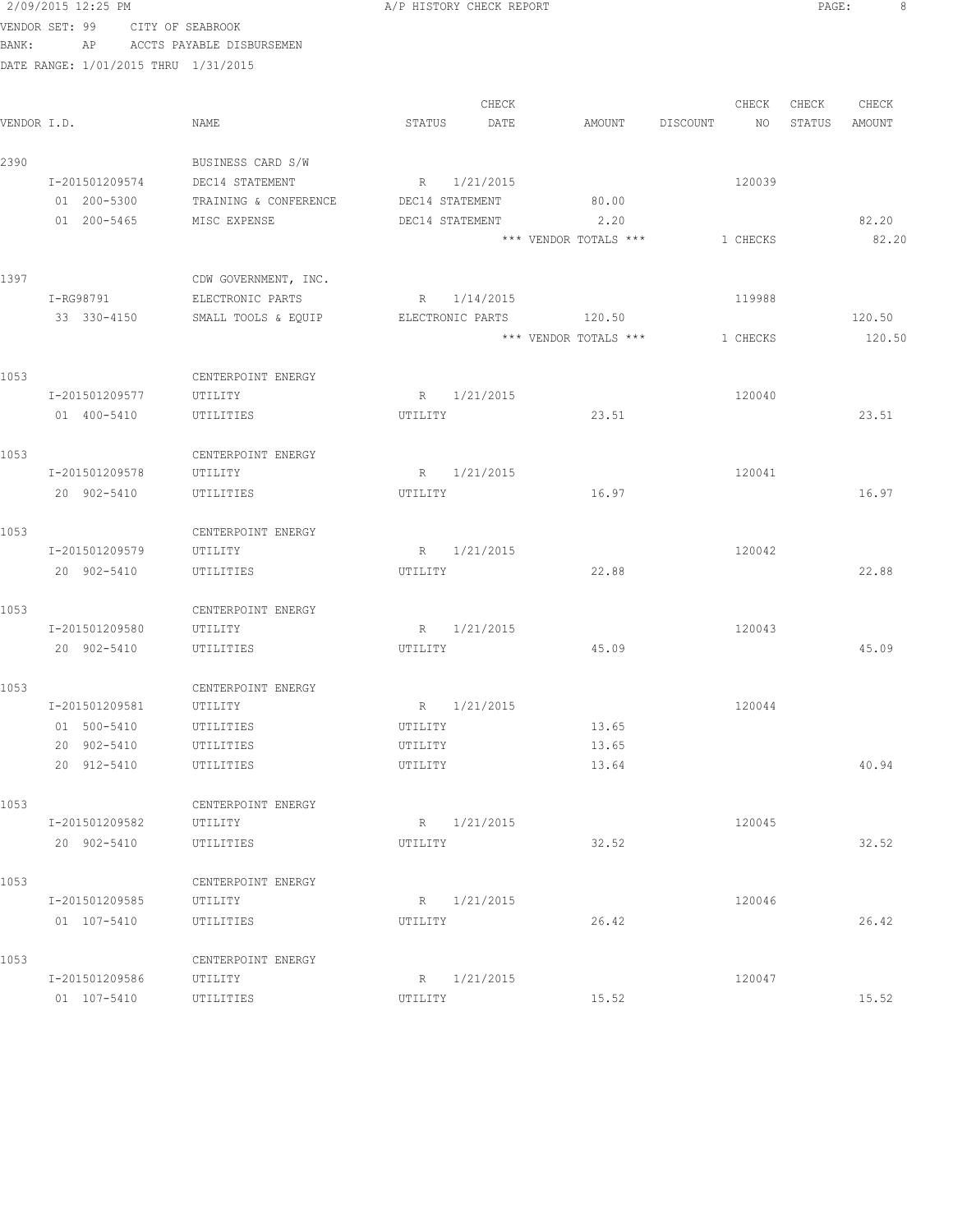|             | 2/09/2015 12:25 PM                   |                           |                 | A/P HISTORY CHECK REPORT |                       |                | PAGE:  | 8      |  |
|-------------|--------------------------------------|---------------------------|-----------------|--------------------------|-----------------------|----------------|--------|--------|--|
|             | VENDOR SET: 99                       | CITY OF SEABROOK          |                 |                          |                       |                |        |        |  |
| BANK:       | AP                                   | ACCTS PAYABLE DISBURSEMEN |                 |                          |                       |                |        |        |  |
|             | DATE RANGE: 1/01/2015 THRU 1/31/2015 |                           |                 |                          |                       |                |        |        |  |
|             |                                      |                           |                 |                          |                       |                |        |        |  |
|             |                                      |                           |                 | CHECK                    |                       | CHECK          | CHECK  | CHECK  |  |
| VENDOR I.D. |                                      | NAME                      | STATUS          | DATE                     | AMOUNT                | DISCOUNT<br>NO | STATUS | AMOUNT |  |
| 2390        |                                      | BUSINESS CARD S/W         |                 |                          |                       |                |        |        |  |
|             | I-201501209574                       | DEC14 STATEMENT           |                 | R 1/21/2015              |                       | 120039         |        |        |  |
|             | 01 200-5300                          | TRAINING & CONFERENCE     | DEC14 STATEMENT |                          | 80.00                 |                |        |        |  |
|             | 01 200-5465                          | MISC EXPENSE              | DEC14 STATEMENT |                          | 2.20                  |                |        | 82.20  |  |
|             |                                      |                           |                 |                          | *** VENDOR TOTALS *** | 1 CHECKS       |        | 82.20  |  |
| 1397        |                                      | CDW GOVERNMENT, INC.      |                 |                          |                       |                |        |        |  |
|             | I-RG98791                            | ELECTRONIC PARTS          |                 | R 1/14/2015              |                       | 119988         |        |        |  |
|             | 33 330-4150                          | SMALL TOOLS & EQUIP       |                 | ELECTRONIC PARTS         | 120.50                |                |        | 120.50 |  |
|             |                                      |                           |                 |                          | *** VENDOR TOTALS *** | 1 CHECKS       |        | 120.50 |  |
|             |                                      |                           |                 |                          |                       |                |        |        |  |
| 1053        |                                      | CENTERPOINT ENERGY        |                 |                          |                       |                |        |        |  |
|             | I-201501209577                       | UTILITY                   | R               | 1/21/2015                |                       | 120040         |        |        |  |
|             | 01 400-5410                          | UTILITIES                 | UTILITY         |                          | 23.51                 |                |        | 23.51  |  |
| 1053        |                                      | CENTERPOINT ENERGY        |                 |                          |                       |                |        |        |  |
|             | I-201501209578                       | UTILITY                   |                 | R 1/21/2015              |                       | 120041         |        |        |  |
|             | 20 902-5410                          | UTILITIES                 | UTILITY         |                          | 16.97                 |                |        | 16.97  |  |
| 1053        |                                      | CENTERPOINT ENERGY        |                 |                          |                       |                |        |        |  |
|             | I-201501209579                       | UTILITY                   |                 | R 1/21/2015              |                       | 120042         |        |        |  |
|             | 20 902-5410                          | UTILITIES                 | UTILITY         |                          | 22.88                 |                |        | 22.88  |  |
|             |                                      |                           |                 |                          |                       |                |        |        |  |
| 1053        |                                      | CENTERPOINT ENERGY        |                 |                          |                       |                |        |        |  |
|             | I-201501209580                       | UTILITY                   |                 | R 1/21/2015              |                       | 120043         |        |        |  |
|             | 20 902-5410                          | UTILITIES                 | UTILITY         |                          | 45.09                 |                |        | 45.09  |  |
| 1053        |                                      | CENTERPOINT ENERGY        |                 |                          |                       |                |        |        |  |
|             | I-201501209581                       | UTILITY                   | R               | 1/21/2015                |                       | 120044         |        |        |  |
|             | 01 500-5410                          | UTILITIES                 | UTILITY         |                          | 13.65                 |                |        |        |  |
|             | 20 902-5410                          | UTILITIES                 | UTILITY         |                          | 13.65                 |                |        |        |  |
|             | 20 912-5410                          | UTILITIES                 | UTILITY         |                          | 13.64                 |                |        | 40.94  |  |
| 1053        |                                      | CENTERPOINT ENERGY        |                 |                          |                       |                |        |        |  |
|             | I-201501209582                       | UTILITY                   |                 | R 1/21/2015              |                       | 120045         |        |        |  |
|             | 20 902-5410                          | UTILITIES                 | UTILITY         |                          | 32.52                 |                |        | 32.52  |  |
| 1053        |                                      | CENTERPOINT ENERGY        |                 |                          |                       |                |        |        |  |
|             | I-201501209585                       | UTILITY                   |                 | R 1/21/2015              |                       | 120046         |        |        |  |
|             | 01 107-5410                          | UTILITIES                 | UTILITY         |                          | 26.42                 |                |        | 26.42  |  |
|             |                                      |                           |                 |                          |                       |                |        |        |  |
| 1053        |                                      | CENTERPOINT ENERGY        |                 |                          |                       |                |        |        |  |
|             | I-201501209586                       | UTILITY                   |                 | R 1/21/2015              |                       | 120047         |        |        |  |
|             | 01 107-5410                          | UTILITIES                 | UTILITY         |                          | 15.52                 |                |        | 15.52  |  |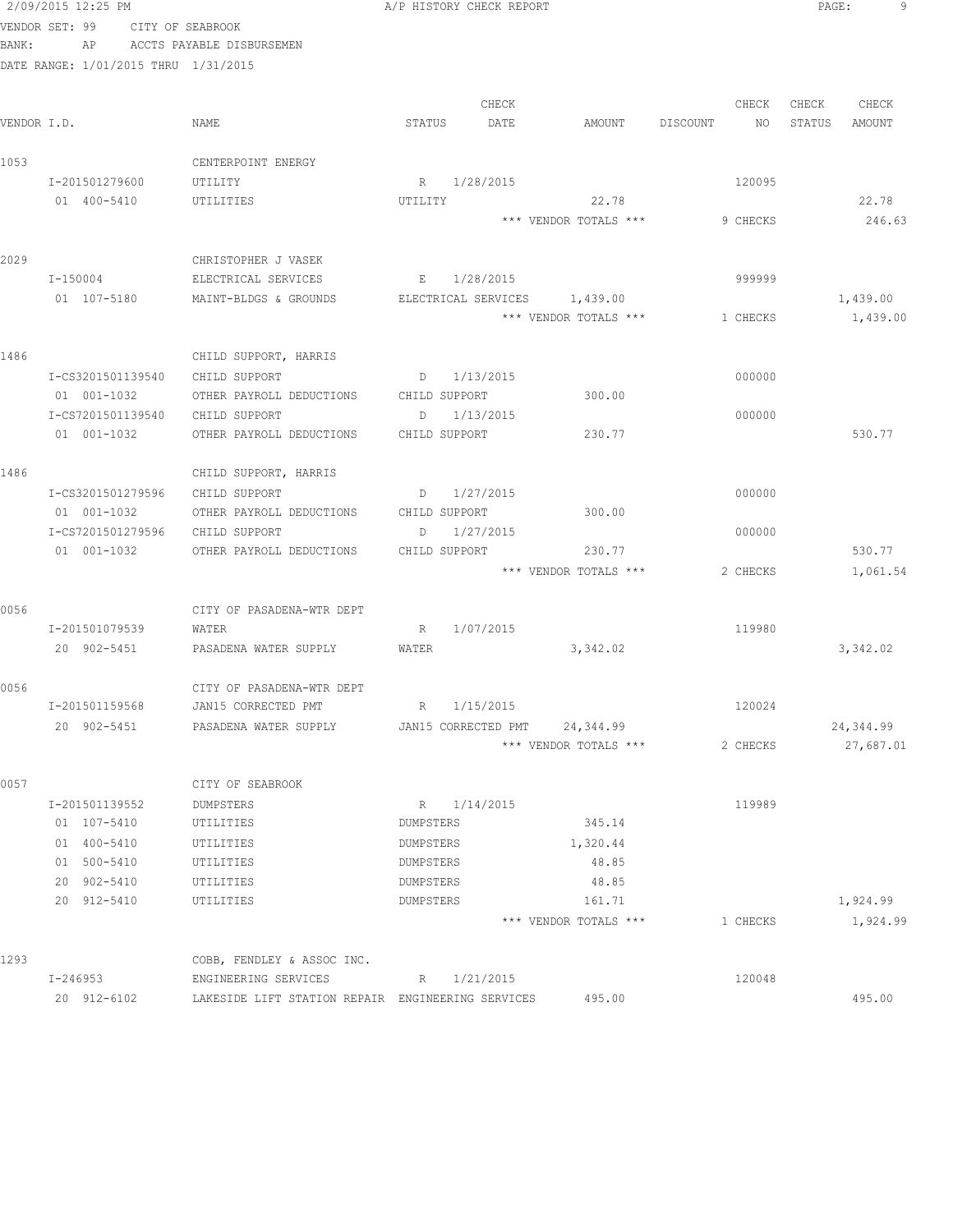|             | VENDOR SET: 99                       | CITY OF SEABROOK                                  |                              |                       |                |                  |
|-------------|--------------------------------------|---------------------------------------------------|------------------------------|-----------------------|----------------|------------------|
| BANK:       | ΑP                                   | ACCTS PAYABLE DISBURSEMEN                         |                              |                       |                |                  |
|             | DATE RANGE: 1/01/2015 THRU 1/31/2015 |                                                   |                              |                       |                |                  |
|             |                                      |                                                   |                              |                       |                |                  |
|             |                                      |                                                   | CHECK                        |                       | CHECK          | CHECK<br>CHECK   |
| VENDOR I.D. |                                      | NAME                                              | STATUS<br>DATE               | AMOUNT                | DISCOUNT<br>NO | STATUS<br>AMOUNT |
|             |                                      |                                                   |                              |                       |                |                  |
| 1053        |                                      | CENTERPOINT ENERGY                                |                              |                       |                |                  |
|             | I-201501279600                       | UTILITY                                           | R 1/28/2015                  |                       | 120095         |                  |
|             | 01 400-5410                          | UTILITIES                                         | UTILITY                      | 22.78                 |                | 22.78            |
|             |                                      |                                                   |                              | *** VENDOR TOTALS *** | 9 CHECKS       | 246.63           |
| 2029        |                                      | CHRISTOPHER J VASEK                               |                              |                       |                |                  |
|             | I-150004                             | ELECTRICAL SERVICES                               | E 1/28/2015                  |                       | 999999         |                  |
|             | 01 107-5180                          | MAINT-BLDGS & GROUNDS                             | ELECTRICAL SERVICES 1,439.00 |                       |                | 1,439.00         |
|             |                                      |                                                   |                              | *** VENDOR TOTALS *** | 1 CHECKS       | 1,439.00         |
|             |                                      |                                                   |                              |                       |                |                  |
| 1486        |                                      | CHILD SUPPORT, HARRIS                             |                              |                       |                |                  |
|             | I-CS3201501139540                    | CHILD SUPPORT                                     | D 1/13/2015                  |                       | 000000         |                  |
|             | 01 001-1032                          | OTHER PAYROLL DEDUCTIONS                          | CHILD SUPPORT                | 300.00                |                |                  |
|             | I-CS7201501139540                    | CHILD SUPPORT                                     | 1/13/2015<br>D               |                       | 000000         |                  |
|             | 01 001-1032                          | OTHER PAYROLL DEDUCTIONS                          | CHILD SUPPORT                | 230.77                |                | 530.77           |
|             |                                      |                                                   |                              |                       |                |                  |
| 1486        |                                      | CHILD SUPPORT, HARRIS                             |                              |                       |                |                  |
|             | I-CS3201501279596                    | CHILD SUPPORT                                     | $D = 1/27/2015$              |                       | 000000         |                  |
|             | 01 001-1032                          | OTHER PAYROLL DEDUCTIONS CHILD SUPPORT            |                              | 300.00                |                |                  |
|             | I-CS7201501279596                    | CHILD SUPPORT                                     | 1/27/2015<br>D               |                       | 000000         |                  |
|             | 01 001-1032                          | OTHER PAYROLL DEDUCTIONS                          | CHILD SUPPORT                | 230.77                |                | 530.77           |
|             |                                      |                                                   |                              | *** VENDOR TOTALS *** | 2 CHECKS       | 1,061.54         |
| 0056        |                                      | CITY OF PASADENA-WTR DEPT                         |                              |                       |                |                  |
|             | I-201501079539                       | WATER                                             | 1/07/2015<br>R               |                       | 119980         |                  |
|             | 20 902-5451                          | PASADENA WATER SUPPLY                             | WATER                        | 3,342.02              |                | 3,342.02         |
|             |                                      |                                                   |                              |                       |                |                  |
| 0056        |                                      | CITY OF PASADENA-WTR DEPT                         |                              |                       |                |                  |
|             | I-201501159568                       | JAN15 CORRECTED PMT                               | R 1/15/2015                  |                       | 120024         |                  |
|             | 20 902-5451                          | PASADENA WATER SUPPLY                             | JAN15 CORRECTED PMT          | 24,344.99             |                | 24,344.99        |
|             |                                      |                                                   |                              | *** VENDOR TOTALS *** | 2 CHECKS       | 27,687.01        |
|             |                                      |                                                   |                              |                       |                |                  |
| 0057        |                                      | CITY OF SEABROOK                                  |                              |                       |                |                  |
|             | I-201501139552                       | DUMPSTERS                                         | R 1/14/2015<br>DUMPSTERS     | 345.14                | 119989         |                  |
|             | 01 107-5410                          | UTILITIES                                         |                              |                       |                |                  |
|             | 01 400-5410<br>01 500-5410           | UTILITIES                                         | DUMPSTERS                    | 1,320.44<br>48.85     |                |                  |
|             | 20 902-5410                          | UTILITIES                                         | DUMPSTERS<br>DUMPSTERS       | 48.85                 |                |                  |
|             | 20 912-5410                          | UTILITIES<br>UTILITIES                            | DUMPSTERS                    | 161.71                |                | 1,924.99         |
|             |                                      |                                                   |                              | *** VENDOR TOTALS *** | 1 CHECKS       | 1,924.99         |
|             |                                      |                                                   |                              |                       |                |                  |
| 1293        |                                      | COBB, FENDLEY & ASSOC INC.                        |                              |                       |                |                  |
|             | I-246953                             | ENGINEERING SERVICES                              | 1/21/2015<br>R               |                       | 120048         |                  |
|             | 20 912-6102                          | LAKESIDE LIFT STATION REPAIR ENGINEERING SERVICES |                              | 495.00                |                | 495.00           |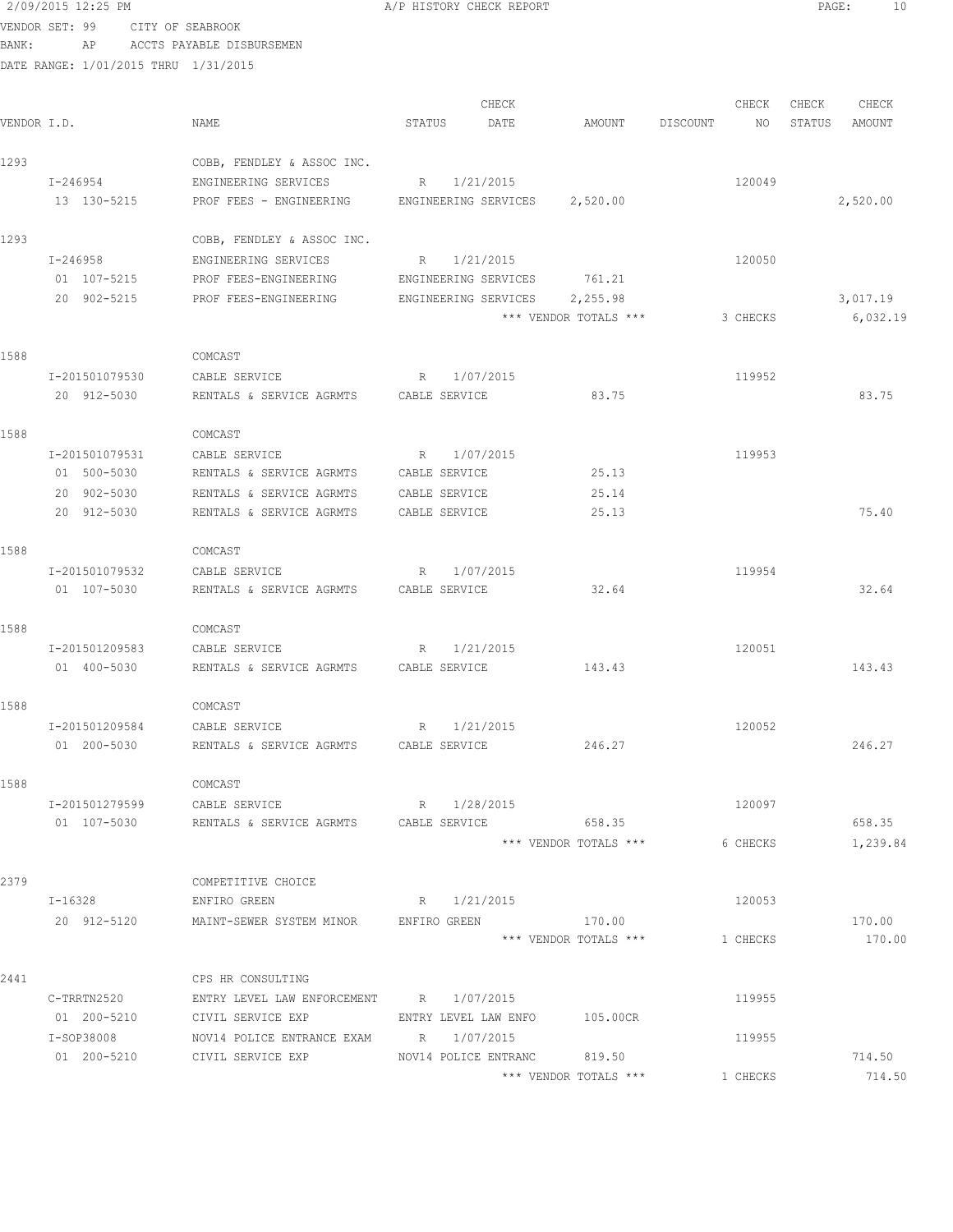| BANK:       | ΑP                                   | ACCTS PAYABLE DISBURSEMEN                                 |                          |                               |                |                  |
|-------------|--------------------------------------|-----------------------------------------------------------|--------------------------|-------------------------------|----------------|------------------|
|             | DATE RANGE: 1/01/2015 THRU 1/31/2015 |                                                           |                          |                               |                |                  |
|             |                                      |                                                           | CHECK                    |                               | CHECK          | CHECK<br>CHECK   |
| VENDOR I.D. |                                      | NAME                                                      | DATE<br>STATUS           | AMOUNT                        | DISCOUNT<br>NO | STATUS<br>AMOUNT |
| 1293        |                                      | COBB, FENDLEY & ASSOC INC.                                |                          |                               |                |                  |
|             | I-246954                             | ENGINEERING SERVICES                                      | R 1/21/2015              |                               | 120049         |                  |
|             | 13 130-5215                          | PROF FEES - ENGINEERING ENGINEERING SERVICES 2,520.00     |                          |                               |                | 2,520.00         |
| 1293        |                                      | COBB, FENDLEY & ASSOC INC.                                |                          |                               |                |                  |
|             | I-246958                             | ENGINEERING SERVICES                                      | R 1/21/2015              |                               | 120050         |                  |
|             | 01 107-5215                          | PROF FEES-ENGINEERING                                     |                          | ENGINEERING SERVICES 761.21   |                |                  |
|             | 20 902-5215                          | PROF FEES-ENGINEERING                                     |                          | ENGINEERING SERVICES 2,255.98 |                | 3,017.19         |
|             |                                      |                                                           |                          | *** VENDOR TOTALS ***         | 3 CHECKS       | 6,032.19         |
| 1588        |                                      | COMCAST                                                   |                          |                               |                |                  |
|             | I-201501079530                       | CABLE SERVICE                                             | R 1/07/2015              |                               | 119952         |                  |
|             | 20 912-5030                          | RENTALS & SERVICE AGRMTS CABLE SERVICE                    |                          | 83.75                         |                | 83.75            |
| 1588        |                                      | COMCAST                                                   |                          |                               |                |                  |
|             | I-201501079531                       | CABLE SERVICE                                             | $R_{\rm c}$<br>1/07/2015 |                               | 119953         |                  |
|             | 01 500-5030                          | RENTALS & SERVICE AGRMTS                                  | CABLE SERVICE            | 25.13                         |                |                  |
|             | 20 902-5030                          | RENTALS & SERVICE AGRMTS                                  | CABLE SERVICE            | 25.14                         |                |                  |
|             | 20 912-5030                          | RENTALS & SERVICE AGRMTS                                  | CABLE SERVICE            | 25.13                         |                | 75.40            |
| 1588        |                                      | COMCAST                                                   |                          |                               |                |                  |
|             | I-201501079532                       | CABLE SERVICE                                             | R 1/07/2015              |                               | 119954         |                  |
|             | 01 107-5030                          | RENTALS & SERVICE AGRMTS                                  | CABLE SERVICE            | 32.64                         |                | 32.64            |
| 1588        |                                      | COMCAST                                                   |                          |                               |                |                  |
|             | I-201501209583                       | CABLE SERVICE                                             | R 1/21/2015              |                               | 120051         |                  |
|             | 01 400-5030                          | RENTALS & SERVICE AGRMTS CABLE SERVICE                    |                          | 143.43                        |                | 143.43           |
| 1588        |                                      | COMCAST                                                   |                          |                               |                |                  |
|             | I-201501209584                       | CABLE SERVICE                                             | R 1/21/2015              |                               | 120052         |                  |
|             | 01 200-5030                          | RENTALS & SERVICE AGRMTS CABLE SERVICE                    |                          | 246.27                        |                | 246.27           |
| 1588        |                                      | COMCAST                                                   |                          |                               |                |                  |
|             | I-201501279599                       | CABLE SERVICE                                             | R 1/28/2015              |                               | 120097         |                  |
|             | 01 107-5030                          |                                                           |                          | 658.35                        |                | 658.35           |
|             |                                      |                                                           |                          | *** VENDOR TOTALS ***         | 6 CHECKS       | 1,239.84         |
| 2379        |                                      | COMPETITIVE CHOICE                                        |                          |                               |                |                  |
|             | $I-16328$                            | ENFIRO GREEN                                              | R 1/21/2015              |                               | 120053         |                  |
|             |                                      | 20 912-5120 MAINT-SEWER SYSTEM MINOR ENFIRO GREEN 5170.00 |                          |                               |                | 170.00           |
|             |                                      |                                                           |                          | *** VENDOR TOTALS ***         | 1 CHECKS       | 170.00           |
| 2441        |                                      | CPS HR CONSULTING                                         |                          |                               |                |                  |
|             | C-TRRTN2520                          | ENTRY LEVEL LAW ENFORCEMENT R 1/07/2015                   |                          |                               | 119955         |                  |
|             | 01 200-5210                          | CIVIL SERVICE EXP                                         | ENTRY LEVEL LAW ENFO     | 105.00CR                      |                |                  |
|             | I-SOP38008                           | NOV14 POLICE ENTRANCE EXAM R 1/07/2015                    |                          |                               | 119955         | 714.50           |
|             | 01 200-5210                          | CIVIL SERVICE EXP                                         | NOV14 POLICE ENTRANC     | 819.50                        |                |                  |

\*\*\* VENDOR TOTALS \*\*\* 1 CHECKS 714.50

2/09/2015 12:25 PM A/P HISTORY CHECK REPORT PAGE: 10

VENDOR SET: 99 CITY OF SEABROOK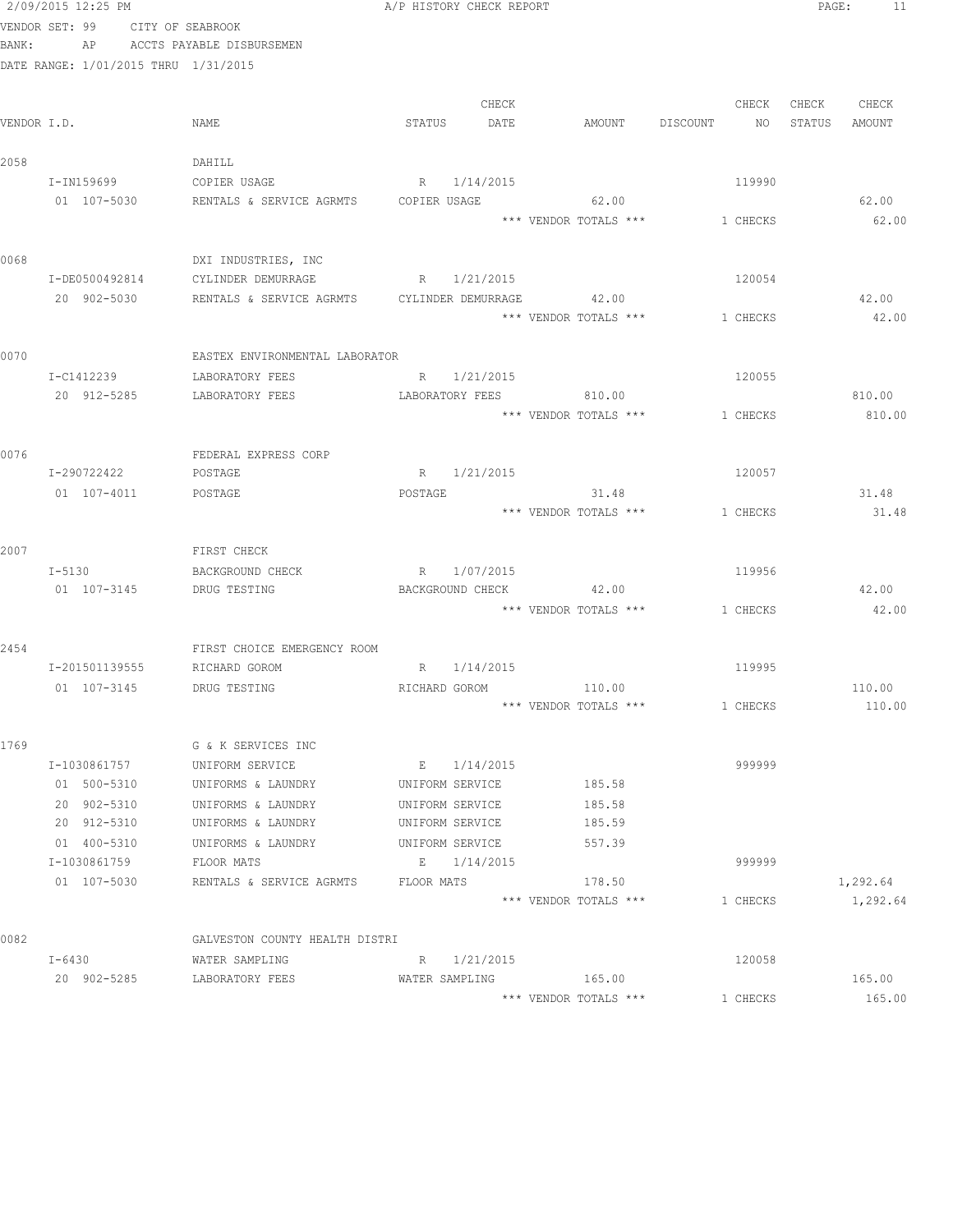|       | 2/09/2015 12:25 PM                       |                                             | A/P HISTORY CHECK REPORT |             |                                |          | PAGE:  | 11       |
|-------|------------------------------------------|---------------------------------------------|--------------------------|-------------|--------------------------------|----------|--------|----------|
| BANK: | VENDOR SET: 99<br>CITY OF SEABROOK<br>AP | ACCTS PAYABLE DISBURSEMEN                   |                          |             |                                |          |        |          |
|       | DATE RANGE: 1/01/2015 THRU 1/31/2015     |                                             |                          |             |                                |          |        |          |
|       |                                          |                                             |                          |             |                                |          |        |          |
|       |                                          |                                             |                          | CHECK       |                                | CHECK    | CHECK  | CHECK    |
|       | VENDOR I.D.                              | NAME                                        | STATUS                   | DATE        | AMOUNT DISCOUNT                | NO.      | STATUS | AMOUNT   |
| 2058  |                                          | DAHILL                                      |                          |             |                                |          |        |          |
|       | I-IN159699                               | COPIER USAGE                                | R 1/14/2015              |             |                                | 119990   |        |          |
|       | 01 107-5030                              | RENTALS & SERVICE AGRMTS                    | COPIER USAGE             |             | 62.00                          |          |        | 62.00    |
|       |                                          |                                             |                          |             | *** VENDOR TOTALS ***          | 1 CHECKS |        | 62.00    |
|       |                                          |                                             |                          |             |                                |          |        |          |
| 0068  |                                          | DXI INDUSTRIES, INC                         |                          |             |                                |          |        |          |
|       | I-DE0500492814                           | CYLINDER DEMURRAGE                          | R 1/21/2015              |             |                                | 120054   |        |          |
|       | 20 902-5030                              | RENTALS & SERVICE AGRMTS CYLINDER DEMURRAGE |                          |             | 42.00                          |          |        | 42.00    |
|       |                                          |                                             |                          |             | *** VENDOR TOTALS ***          | 1 CHECKS |        | 42.00    |
|       |                                          |                                             |                          |             |                                |          |        |          |
| 0070  |                                          | EASTEX ENVIRONMENTAL LABORATOR              |                          |             |                                |          |        |          |
|       | I-C1412239                               | LABORATORY FEES                             |                          | R 1/21/2015 |                                | 120055   |        |          |
|       | 20 912-5285                              | LABORATORY FEES                             |                          |             | LABORATORY FEES 810.00         |          |        | 810.00   |
|       |                                          |                                             |                          |             | *** VENDOR TOTALS ***          | 1 CHECKS |        | 810.00   |
|       |                                          |                                             |                          |             |                                |          |        |          |
| 0076  |                                          | FEDERAL EXPRESS CORP                        | R 1/21/2015              |             |                                | 120057   |        |          |
|       | I-290722422<br>01 107-4011               | POSTAGE<br>POSTAGE                          | POSTAGE                  |             | 31.48                          |          |        | 31.48    |
|       |                                          |                                             |                          |             | *** VENDOR TOTALS ***          | 1 CHECKS |        | 31.48    |
|       |                                          |                                             |                          |             |                                |          |        |          |
| 2007  |                                          | FIRST CHECK                                 |                          |             |                                |          |        |          |
|       | I-5130                                   | BACKGROUND CHECK                            | R 1/07/2015              |             |                                | 119956   |        |          |
|       | 01 107-3145                              | DRUG TESTING                                | BACKGROUND CHECK         |             | 42.00                          |          |        | 42.00    |
|       |                                          |                                             |                          |             | *** VENDOR TOTALS *** 1 CHECKS |          |        | 42.00    |
|       |                                          |                                             |                          |             |                                |          |        |          |
| 2454  |                                          | FIRST CHOICE EMERGENCY ROOM                 |                          |             |                                |          |        |          |
|       | I-201501139555                           | RICHARD GOROM                               | R 1/14/2015              |             |                                | 119995   |        |          |
|       | 01 107-3145                              | DRUG TESTING                                |                          |             | RICHARD GOROM 110.00           |          |        | 110.00   |
|       |                                          |                                             |                          |             | *** VENDOR TOTALS ***          | 1 CHECKS |        | 110.00   |
| 1769  |                                          | G & K SERVICES INC                          |                          |             |                                |          |        |          |
|       | I-1030861757                             | UNIFORM SERVICE                             | E 1/14/2015              |             |                                | 999999   |        |          |
|       | 01 500-5310                              | UNIFORMS & LAUNDRY                          | UNIFORM SERVICE          |             | 185.58                         |          |        |          |
|       | 20 902-5310                              | UNIFORMS & LAUNDRY                          | UNIFORM SERVICE          |             | 185.58                         |          |        |          |
|       | 20 912-5310                              | UNIFORMS & LAUNDRY                          | UNIFORM SERVICE          |             | 185.59                         |          |        |          |
|       | 01 400-5310                              | UNIFORMS & LAUNDRY                          | UNIFORM SERVICE          |             | 557.39                         |          |        |          |
|       | I-1030861759                             | FLOOR MATS                                  | E 1/14/2015              |             |                                | 999999   |        |          |
|       | 01 107-5030                              | RENTALS & SERVICE AGRMTS                    | FLOOR MATS               |             | 178.50                         |          |        | 1,292.64 |
|       |                                          |                                             |                          |             | *** VENDOR TOTALS ***          | 1 CHECKS |        | 1,292.64 |
|       |                                          |                                             |                          |             |                                |          |        |          |
| 0082  |                                          | GALVESTON COUNTY HEALTH DISTRI              |                          |             |                                |          |        |          |
|       | $I - 6430$                               | WATER SAMPLING                              | R 1/21/2015              |             |                                | 120058   |        |          |
|       | 20 902-5285                              | LABORATORY FEES                             | WATER SAMPLING           |             | 165.00                         |          |        | 165.00   |
|       |                                          |                                             |                          |             | *** VENDOR TOTALS ***          | 1 CHECKS |        | 165.00   |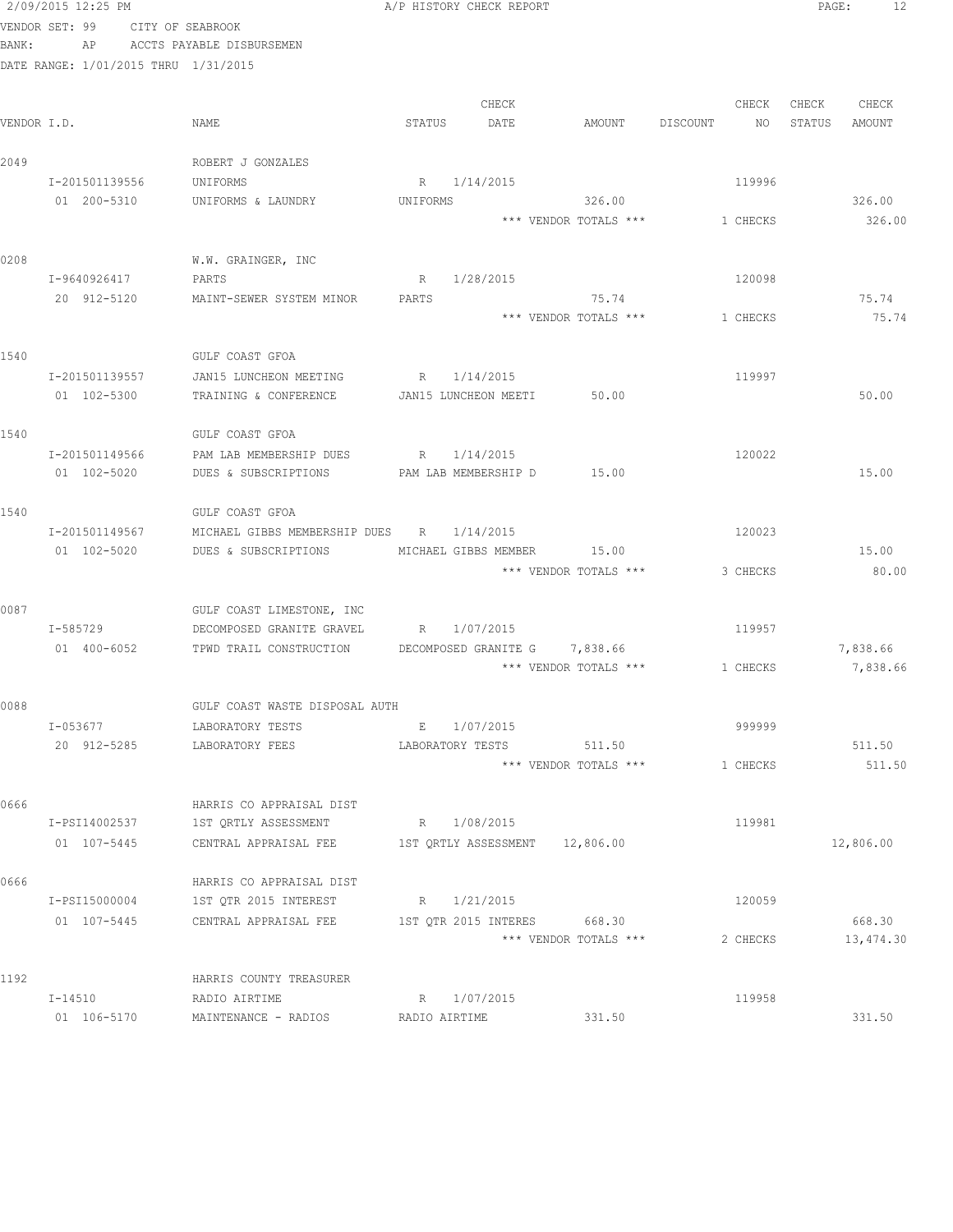|             | 2/09/2015 12:25 PM                   |                  |                                                      |               | A/P HISTORY CHECK REPORT |                       |          |          | PAGE:  | 12        |
|-------------|--------------------------------------|------------------|------------------------------------------------------|---------------|--------------------------|-----------------------|----------|----------|--------|-----------|
|             | VENDOR SET: 99                       | CITY OF SEABROOK |                                                      |               |                          |                       |          |          |        |           |
| BANK:       | AP                                   |                  | ACCTS PAYABLE DISBURSEMEN                            |               |                          |                       |          |          |        |           |
|             | DATE RANGE: 1/01/2015 THRU 1/31/2015 |                  |                                                      |               |                          |                       |          |          |        |           |
|             |                                      |                  |                                                      |               |                          |                       |          |          |        |           |
|             |                                      |                  |                                                      |               | CHECK                    |                       |          | CHECK    | CHECK  | CHECK     |
| VENDOR I.D. |                                      | NAME             |                                                      | STATUS        | DATE                     | AMOUNT                | DISCOUNT | NO.      | STATUS | AMOUNT    |
|             |                                      |                  |                                                      |               |                          |                       |          |          |        |           |
| 2049        |                                      |                  | ROBERT J GONZALES                                    |               |                          |                       |          |          |        |           |
|             | I-201501139556<br>01 200-5310        |                  | UNIFORMS<br>UNIFORMS & LAUNDRY                       | UNIFORMS      | R 1/14/2015              | 326.00                |          | 119996   |        | 326.00    |
|             |                                      |                  |                                                      |               |                          | *** VENDOR TOTALS *** |          | 1 CHECKS |        | 326.00    |
|             |                                      |                  |                                                      |               |                          |                       |          |          |        |           |
| 0208        |                                      |                  | W.W. GRAINGER, INC                                   |               |                          |                       |          |          |        |           |
|             | I-9640926417                         |                  | PARTS                                                | R             | 1/28/2015                |                       |          | 120098   |        |           |
|             | 20 912-5120                          |                  | MAINT-SEWER SYSTEM MINOR                             | PARTS         |                          | 75.74                 |          |          |        | 75.74     |
|             |                                      |                  |                                                      |               |                          | *** VENDOR TOTALS *** |          | 1 CHECKS |        | 75.74     |
|             |                                      |                  |                                                      |               |                          |                       |          |          |        |           |
| 1540        |                                      |                  | GULF COAST GFOA                                      |               |                          |                       |          |          |        |           |
|             | I-201501139557                       |                  | JAN15 LUNCHEON MEETING                               | R             | 1/14/2015                |                       |          | 119997   |        |           |
|             | 01 102-5300                          |                  | TRAINING & CONFERENCE                                |               | JAN15 LUNCHEON MEETI     | 50.00                 |          |          |        | 50.00     |
|             |                                      |                  |                                                      |               |                          |                       |          |          |        |           |
| 1540        |                                      |                  | GULF COAST GFOA                                      |               |                          |                       |          |          |        |           |
|             | I-201501149566                       |                  | PAM LAB MEMBERSHIP DUES                              | R             | 1/14/2015                |                       |          | 120022   |        |           |
|             | 01 102-5020                          |                  | DUES & SUBSCRIPTIONS                                 |               | PAM LAB MEMBERSHIP D     | 15.00                 |          |          |        | 15.00     |
| 1540        |                                      |                  | GULF COAST GFOA                                      |               |                          |                       |          |          |        |           |
|             | I-201501149567                       |                  | MICHAEL GIBBS MEMBERSHIP DUES R 1/14/2015            |               |                          |                       |          | 120023   |        |           |
|             | 01 102-5020                          |                  | DUES & SUBSCRIPTIONS                                 |               | MICHAEL GIBBS MEMBER     | 15.00                 |          |          |        | 15.00     |
|             |                                      |                  |                                                      |               |                          | *** VENDOR TOTALS *** |          | 3 CHECKS |        | 80.00     |
|             |                                      |                  |                                                      |               |                          |                       |          |          |        |           |
| 0087        |                                      |                  | GULF COAST LIMESTONE, INC                            |               |                          |                       |          |          |        |           |
|             | I-585729                             |                  | DECOMPOSED GRANITE GRAVEL                            |               | R 1/07/2015              |                       |          | 119957   |        |           |
|             | 01 400-6052                          |                  | TPWD TRAIL CONSTRUCTION DECOMPOSED GRANITE G         |               |                          | 7,838.66              |          |          |        | 7,838.66  |
|             |                                      |                  |                                                      |               |                          | *** VENDOR TOTALS *** |          | 1 CHECKS |        | 7,838.66  |
| 0088        |                                      |                  |                                                      |               |                          |                       |          |          |        |           |
|             | I-053677                             |                  | GULF COAST WASTE DISPOSAL AUTH<br>LABORATORY TESTS   | E             | 1/07/2015                |                       |          | 999999   |        |           |
|             | 20 912-5285                          |                  | LABORATORY FEES                                      |               | LABORATORY TESTS         | 511.50                |          |          |        | 511.50    |
|             |                                      |                  |                                                      |               |                          | *** VENDOR TOTALS *** |          | 1 CHECKS |        | 511.50    |
|             |                                      |                  |                                                      |               |                          |                       |          |          |        |           |
| 0666        |                                      |                  | HARRIS CO APPRAISAL DIST                             |               |                          |                       |          |          |        |           |
|             | I-PSI14002537                        |                  | 1ST QRTLY ASSESSMENT                                 |               | R 1/08/2015              |                       |          | 119981   |        |           |
|             | 01 107-5445                          |                  | CENTRAL APPRAISAL FEE 1ST QRTLY ASSESSMENT 12,806.00 |               |                          |                       |          |          |        | 12,806.00 |
|             |                                      |                  |                                                      |               |                          |                       |          |          |        |           |
| 0666        |                                      |                  | HARRIS CO APPRAISAL DIST                             |               |                          |                       |          |          |        |           |
|             | I-PSI15000004                        |                  | 1ST QTR 2015 INTEREST                                |               | R 1/21/2015              |                       |          | 120059   |        |           |
|             | 01 107-5445                          |                  | CENTRAL APPRAISAL FEE                                |               | 1ST QTR 2015 INTERES     | 668.30                |          |          |        | 668.30    |
|             |                                      |                  |                                                      |               |                          | *** VENDOR TOTALS *** |          | 2 CHECKS |        | 13,474.30 |
| 1192        |                                      |                  | HARRIS COUNTY TREASURER                              |               |                          |                       |          |          |        |           |
|             | I-14510                              |                  | RADIO AIRTIME                                        |               | R 1/07/2015              |                       |          | 119958   |        |           |
|             | 01 106-5170                          |                  | MAINTENANCE - RADIOS                                 | RADIO AIRTIME |                          | 331.50                |          |          |        | 331.50    |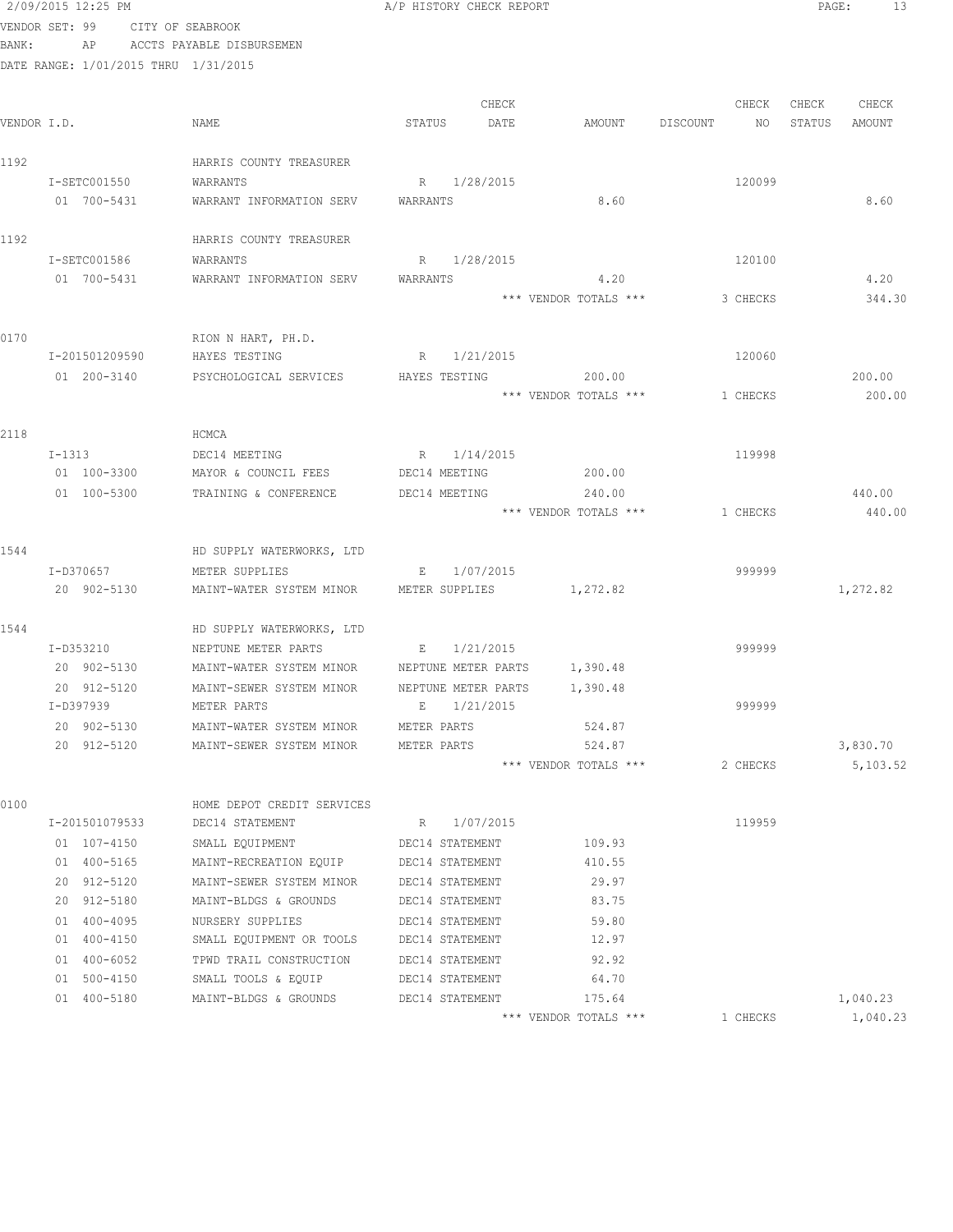|       | 2/09/2015 12:25 PM                   |                                                       | A/P HISTORY CHECK REPORT     |                                 |                | PAGE:<br>13          |
|-------|--------------------------------------|-------------------------------------------------------|------------------------------|---------------------------------|----------------|----------------------|
|       | VENDOR SET: 99                       | CITY OF SEABROOK                                      |                              |                                 |                |                      |
| BANK: |                                      | AP ACCTS PAYABLE DISBURSEMEN                          |                              |                                 |                |                      |
|       | DATE RANGE: 1/01/2015 THRU 1/31/2015 |                                                       |                              |                                 |                |                      |
|       |                                      |                                                       |                              |                                 |                |                      |
|       |                                      |                                                       | CHECK                        |                                 | CHECK          | CHECK<br>CHECK       |
|       | VENDOR I.D.                          | NAME                                                  | STATUS<br>DATE               | AMOUNT                          | DISCOUNT<br>NO | STATUS<br>AMOUNT     |
| 1192  |                                      | HARRIS COUNTY TREASURER                               |                              |                                 |                |                      |
|       | I-SETC001550                         | WARRANTS                                              | R 1/28/2015                  |                                 | 120099         |                      |
|       | 01 700-5431                          | WARRANT INFORMATION SERV                              | WARRANTS                     | 8.60                            |                | 8.60                 |
| 1192  |                                      | HARRIS COUNTY TREASURER                               |                              |                                 |                |                      |
|       | I-SETC001586                         | WARRANTS                                              | R 1/28/2015                  |                                 | 120100         |                      |
|       | 01 700-5431                          | WARRANT INFORMATION SERV                              | WARRANTS                     | 4.20                            |                | 4.20                 |
|       |                                      |                                                       |                              | *** VENDOR TOTALS ***           | 3 CHECKS       | 344.30               |
| 0170  |                                      | RION N HART, PH.D.                                    |                              |                                 |                |                      |
|       | I-201501209590                       | HAYES TESTING                                         | R 1/21/2015                  |                                 | 120060         |                      |
|       | 01 200-3140                          | PSYCHOLOGICAL SERVICES                                | HAYES TESTING                | 200.00                          |                | 200.00               |
|       |                                      |                                                       |                              | *** VENDOR TOTALS ***           | 1 CHECKS       | 200.00               |
|       |                                      |                                                       |                              |                                 |                |                      |
| 2118  |                                      | HCMCA                                                 |                              |                                 |                |                      |
|       | $I-1313$                             | DEC14 MEETING                                         | R 1/14/2015                  |                                 | 119998         |                      |
|       | 01 100-3300                          | MAYOR & COUNCIL FEES                                  | DEC14 MEETING                | 200.00                          |                |                      |
|       | 01 100-5300                          | TRAINING & CONFERENCE                                 | DEC14 MEETING                | 240.00                          |                | 440.00               |
|       |                                      |                                                       |                              | *** VENDOR TOTALS ***           | 1 CHECKS       | 440.00               |
| 1544  |                                      | HD SUPPLY WATERWORKS, LTD                             |                              |                                 |                |                      |
|       | I-D370657                            | METER SUPPLIES                                        | E 1/07/2015                  |                                 | 999999         |                      |
|       | 20 902-5130                          | MAINT-WATER SYSTEM MINOR                              | METER SUPPLIES               | 1,272.82                        |                | 1,272.82             |
|       |                                      |                                                       |                              |                                 |                |                      |
| 1544  |                                      | HD SUPPLY WATERWORKS, LTD                             |                              |                                 |                |                      |
|       | I-D353210                            | NEPTUNE METER PARTS                                   | E 1/21/2015                  |                                 | 999999         |                      |
|       | 20 902-5130                          | MAINT-WATER SYSTEM MINOR MEPTUNE METER PARTS 1,390.48 |                              |                                 |                |                      |
|       | 20 912-5120                          | MAINT-SEWER SYSTEM MINOR                              | NEPTUNE METER PARTS 1,390.48 |                                 |                |                      |
|       | I-D397939                            | METER PARTS                                           | 1/21/2015<br>Е               |                                 | 999999         |                      |
|       | 20 902-5130                          | MAINT-WATER SYSTEM MINOR                              | METER PARTS                  | 524.87                          |                |                      |
|       | 20 912-5120                          | MAINT-SEWER SYSTEM MINOR                              | METER PARTS                  | 524.87                          |                | 3,830.70             |
|       |                                      |                                                       |                              | *** VENDOR TOTALS ***           | 2 CHECKS       | 5,103.52             |
| 0100  |                                      | HOME DEPOT CREDIT SERVICES                            |                              |                                 |                |                      |
|       | I-201501079533                       | DEC14 STATEMENT                                       | 1/07/2015<br>R               |                                 | 119959         |                      |
|       | 01 107-4150                          | SMALL EQUIPMENT                                       | DEC14 STATEMENT              | 109.93                          |                |                      |
|       | 01 400-5165                          | MAINT-RECREATION EQUIP                                | DEC14 STATEMENT              | 410.55                          |                |                      |
|       | 20 912-5120                          | MAINT-SEWER SYSTEM MINOR                              | DEC14 STATEMENT              | 29.97                           |                |                      |
|       | 20 912-5180                          | MAINT-BLDGS & GROUNDS                                 | DEC14 STATEMENT              | 83.75                           |                |                      |
|       | 01 400-4095                          | NURSERY SUPPLIES                                      | DEC14 STATEMENT              | 59.80                           |                |                      |
|       | 01 400-4150                          | SMALL EQUIPMENT OR TOOLS                              | DEC14 STATEMENT              | 12.97                           |                |                      |
|       | 01 400-6052                          | TPWD TRAIL CONSTRUCTION                               | DEC14 STATEMENT              | 92.92                           |                |                      |
|       | 01 500-4150                          | SMALL TOOLS & EQUIP                                   | DEC14 STATEMENT              | 64.70                           |                |                      |
|       | 01 400-5180                          | MAINT-BLDGS & GROUNDS                                 | DEC14 STATEMENT              | 175.64<br>*** VENDOR TOTALS *** | 1 CHECKS       | 1,040.23<br>1,040.23 |
|       |                                      |                                                       |                              |                                 |                |                      |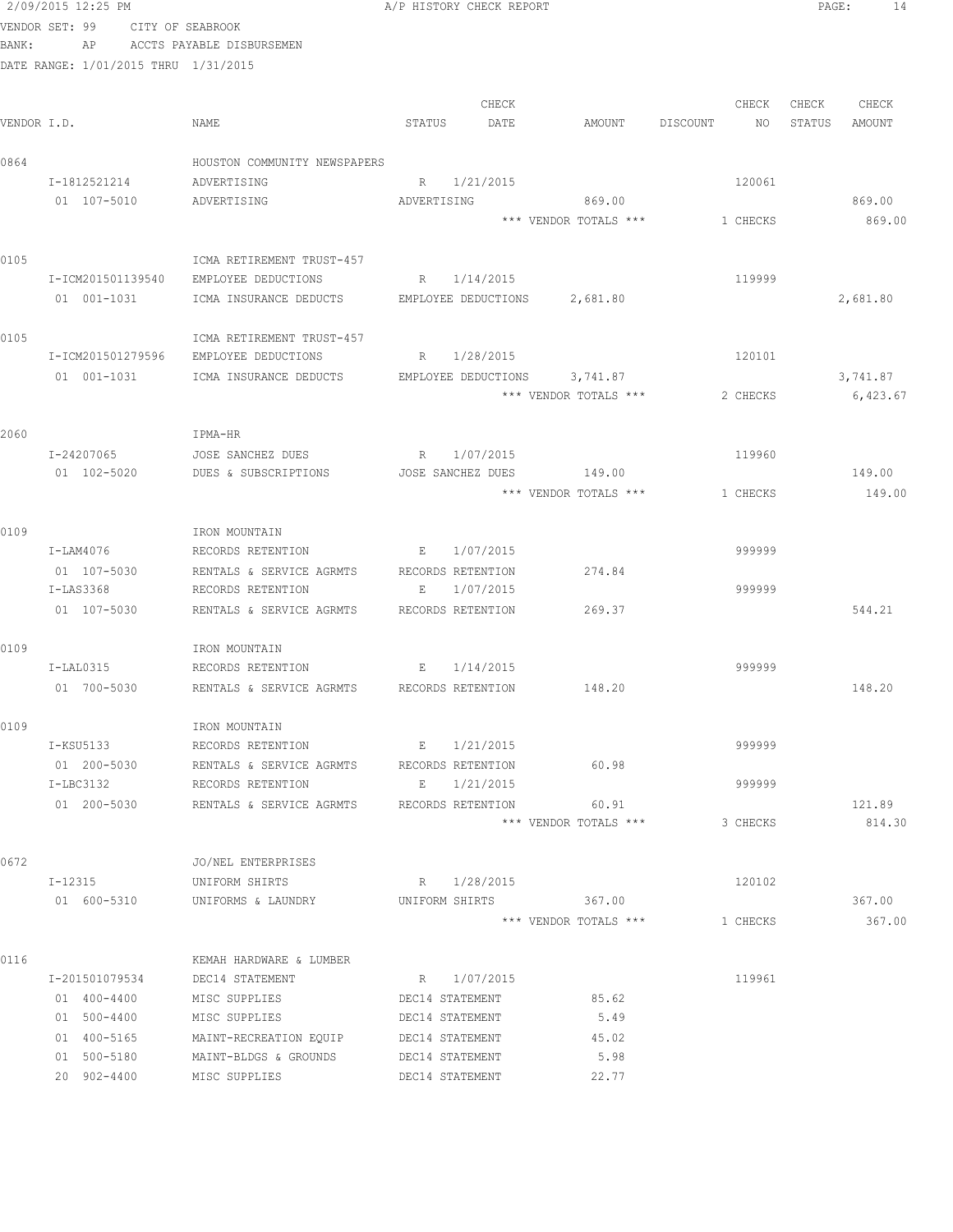VENDOR SET: 99 CITY OF SEABROOK BANK: AP ACCTS PAYABLE DISBURSEMEN DATE RANGE: 1/01/2015 THRU 1/31/2015 CHECK CHECK CHECK CHECK .<br>In the other weakstates when the status of the contract of the extendio of the Status amount of the Mount of t<br>In the Status of the Status of the Status amount of the Status amount of the Status amount of the Status amou 0864 HOUSTON COMMUNITY NEWSPAPERS I-1812521214 ADVERTISING R 1/21/2015 R 1/21/2015 01 107-5010 ADVERTISING ADVERTISING 869.00 869.00 \*\*\* VENDOR TOTALS \*\*\* 1 CHECKS 869.00 0105 ICMA RETIREMENT TRUST-457 I-ICM201501139540 EMPLOYEE DEDUCTIONS R 1/14/2015 119999 01 001-1031 ICMA INSURANCE DEDUCTS EMPLOYEE DEDUCTIONS 2,681.80 2,681.80 2,681.80 0105 ICMA RETIREMENT TRUST-457 I-ICM201501279596 EMPLOYEE DEDUCTIONS R 1/28/2015 120101 01 001-1031 ICMA INSURANCE DEDUCTS EMPLOYEE DEDUCTIONS 3,741.87 3,741.87 \*\*\* VENDOR TOTALS \*\*\* 2 CHECKS 6,423.67 2060 IPMA-HR I-24207065 JOSE SANCHEZ DUES R 1/07/2015 119960 01 102-5020 DUES & SUBSCRIPTIONS JOSE SANCHEZ DUES 149.00 149.00  $***$  VENDOR TOTALS  $***$  1 CHECKS 149.00 0109 IRON MOUNTAIN RECORDS RETENTION  $E = 1/07/2015$  9999999 01 107-5030 RENTALS & SERVICE AGRMTS RECORDS RETENTION 274.84 I-LAS3368 RECORDS RETENTION E 1/07/2015 999999 01 107-5030 RENTALS & SERVICE AGRMTS RECORDS RETENTION 269.37 644.21 0109 IRON MOUNTAIN I-LAL0315 RECORDS RETENTION E 1/14/2015 01 700-5030 RENTALS & SERVICE AGRMTS RECORDS RETENTION 148.20 148.20 0109 IRON MOUNTAIN I-KSU5133 RECORDS RETENTION B 1/21/2015 01 200-5030 RENTALS & SERVICE AGRMTS RECORDS RETENTION 60.98 I-LBC3132 RECORDS RETENTION E 1/21/2015 999999 01 200-5030 RENTALS & SERVICE AGRMTS RECORDS RETENTION 60.91 60.91 121.89 \*\*\* VENDOR TOTALS \*\*\* 3 CHECKS 814.30 0672 JO/NEL ENTERPRISES I-12315 UNIFORM SHIRTS R 1/28/2015 120102 01 600-5310 UNIFORMS & LAUNDRY UNIFORM SHIRTS 367.00 367.00 \*\*\* VENDOR TOTALS \*\*\* 1 CHECKS 367.00 0116 6 KEMAH HARDWARE & LUMBER I-201501079534 DEC14 STATEMENT R 1/07/2015 119961 01 400-4400 MISC SUPPLIES DEC14 STATEMENT 85.62 01 500-4400 MISC SUPPLIES DEC14 STATEMENT 5.49 01 400-5165 MAINT-RECREATION EQUIP DEC14 STATEMENT 45.02 01 500-5180 MAINT-BLDGS & GROUNDS DEC14 STATEMENT 5.98 20 902-4400 MISC SUPPLIES DEC14 STATEMENT 22.77

2/09/2015 12:25 PM A/P HISTORY CHECK REPORT PAGE: 14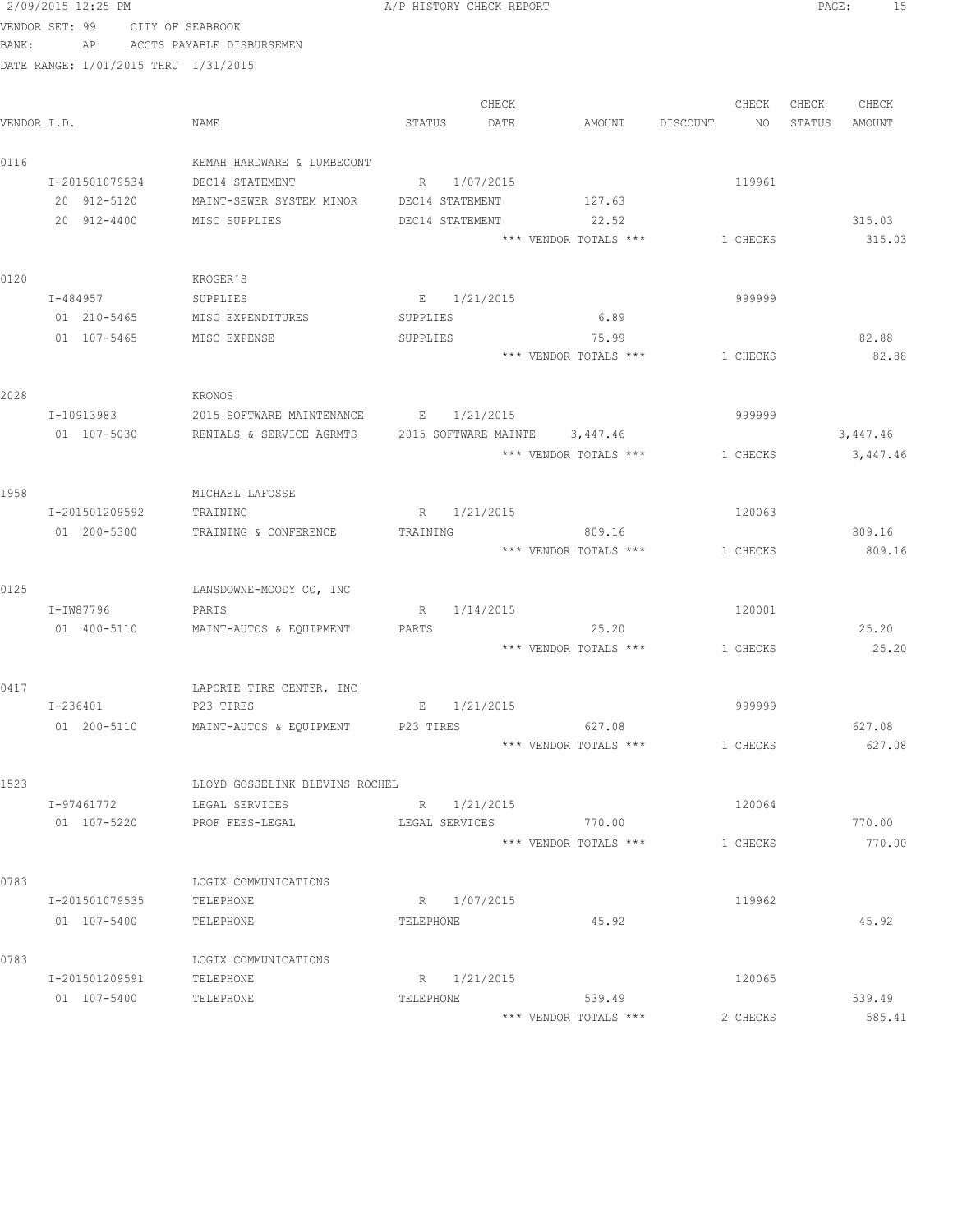|             | 2/09/2015 12:25 PM                   |                                             | A/P HISTORY CHECK REPORT       |             |                               |                                | PAGE:  | - 15     |
|-------------|--------------------------------------|---------------------------------------------|--------------------------------|-------------|-------------------------------|--------------------------------|--------|----------|
|             | VENDOR SET: 99 CITY OF SEABROOK      |                                             |                                |             |                               |                                |        |          |
| BANK:       |                                      | AP ACCTS PAYABLE DISBURSEMEN                |                                |             |                               |                                |        |          |
|             | DATE RANGE: 1/01/2015 THRU 1/31/2015 |                                             |                                |             |                               |                                |        |          |
|             |                                      |                                             |                                |             |                               |                                |        |          |
|             |                                      |                                             |                                | CHECK       |                               | CHECK                          | CHECK  | CHECK    |
| VENDOR I.D. |                                      | NAME                                        | STATUS                         | DATE        | AMOUNT                        | DISCOUNT<br>NO                 | STATUS | AMOUNT   |
|             |                                      |                                             |                                |             |                               |                                |        |          |
| 0116        |                                      | KEMAH HARDWARE & LUMBECONT                  |                                |             |                               |                                |        |          |
|             | I-201501079534<br>20 912-5120        | DEC14 STATEMENT<br>MAINT-SEWER SYSTEM MINOR | R 1/07/2015<br>DEC14 STATEMENT |             | 127.63                        | 119961                         |        |          |
|             | 20 912-4400                          | MISC SUPPLIES                               | DEC14 STATEMENT                |             | 22.52                         |                                |        | 315.03   |
|             |                                      |                                             |                                |             | *** VENDOR TOTALS ***         | 1 CHECKS                       |        | 315.03   |
|             |                                      |                                             |                                |             |                               |                                |        |          |
| 0120        |                                      | KROGER'S                                    |                                |             |                               |                                |        |          |
|             | I-484957                             | SUPPLIES                                    | E 1/21/2015                    |             |                               | 999999                         |        |          |
|             | 01 210-5465                          | MISC EXPENDITURES                           | SUPPLIES                       |             | 6.89                          |                                |        |          |
|             | 01 107-5465                          | MISC EXPENSE                                | SUPPLIES                       |             | 75.99                         |                                |        | 82.88    |
|             |                                      |                                             |                                |             | *** VENDOR TOTALS ***         | 1 CHECKS                       |        | 82.88    |
|             |                                      |                                             |                                |             |                               |                                |        |          |
| 2028        |                                      | KRONOS                                      |                                |             |                               |                                |        |          |
|             | I-10913983                           | 2015 SOFTWARE MAINTENANCE B 1/21/2015       |                                |             |                               | 999999                         |        |          |
|             | 01 107-5030                          | RENTALS & SERVICE AGRMTS                    |                                |             | 2015 SOFTWARE MAINTE 3,447.46 |                                |        | 3,447.46 |
|             |                                      |                                             |                                |             | *** VENDOR TOTALS ***         | 1 CHECKS                       |        | 3,447.46 |
|             |                                      |                                             |                                |             |                               |                                |        |          |
| 1958        | I-201501209592                       | MICHAEL LAFOSSE<br>TRAINING                 | R 1/21/2015                    |             |                               | 120063                         |        |          |
|             | 01 200-5300                          | TRAINING & CONFERENCE                       | TRAINING                       |             | 809.16                        |                                |        | 809.16   |
|             |                                      |                                             |                                |             | *** VENDOR TOTALS ***         | 1 CHECKS                       |        | 809.16   |
|             |                                      |                                             |                                |             |                               |                                |        |          |
| 0125        |                                      | LANSDOWNE-MOODY CO, INC                     |                                |             |                               |                                |        |          |
|             | I-IW87796                            | PARTS                                       |                                | R 1/14/2015 |                               | 120001                         |        |          |
|             | 01 400-5110                          | MAINT-AUTOS & EQUIPMENT                     | PARTS                          |             | 25.20                         |                                |        | 25.20    |
|             |                                      |                                             |                                |             |                               | *** VENDOR TOTALS *** 1 CHECKS |        | 25.20    |
|             |                                      |                                             |                                |             |                               |                                |        |          |
| 0417        |                                      | LAPORTE TIRE CENTER, INC                    |                                |             |                               |                                |        |          |
|             | $I - 236401$                         | P23 TIRES                                   | Е                              | 1/21/2015   |                               | 999999                         |        |          |
|             | 01 200-5110                          | MAINT-AUTOS & EQUIPMENT                     | P23 TIRES                      |             | 627.08                        |                                |        | 627.08   |
|             |                                      |                                             |                                |             | *** VENDOR TOTALS ***         | 1 CHECKS                       |        | 627.08   |
|             |                                      |                                             |                                |             |                               |                                |        |          |
| 1523        |                                      | LLOYD GOSSELINK BLEVINS ROCHEL              |                                |             |                               |                                |        |          |
|             | I-97461772<br>01 107-5220            | LEGAL SERVICES<br>PROF FEES-LEGAL           | R 1/21/2015<br>LEGAL SERVICES  |             | 770.00                        | 120064                         |        | 770.00   |
|             |                                      |                                             |                                |             | *** VENDOR TOTALS ***         | 1 CHECKS                       |        | 770.00   |
|             |                                      |                                             |                                |             |                               |                                |        |          |
| 0783        |                                      | LOGIX COMMUNICATIONS                        |                                |             |                               |                                |        |          |
|             | I-201501079535                       | TELEPHONE                                   | R 1/07/2015                    |             |                               | 119962                         |        |          |
|             | 01 107-5400                          | TELEPHONE                                   | TELEPHONE                      |             | 45.92                         |                                |        | 45.92    |
|             |                                      |                                             |                                |             |                               |                                |        |          |
| 0783        |                                      | LOGIX COMMUNICATIONS                        |                                |             |                               |                                |        |          |
|             | I-201501209591                       | TELEPHONE                                   | R 1/21/2015                    |             |                               | 120065                         |        |          |
|             | 01 107-5400                          | TELEPHONE                                   | TELEPHONE                      |             | 539.49                        |                                |        | 539.49   |

\*\*\* VENDOR TOTALS \*\*\* 2 CHECKS 585.41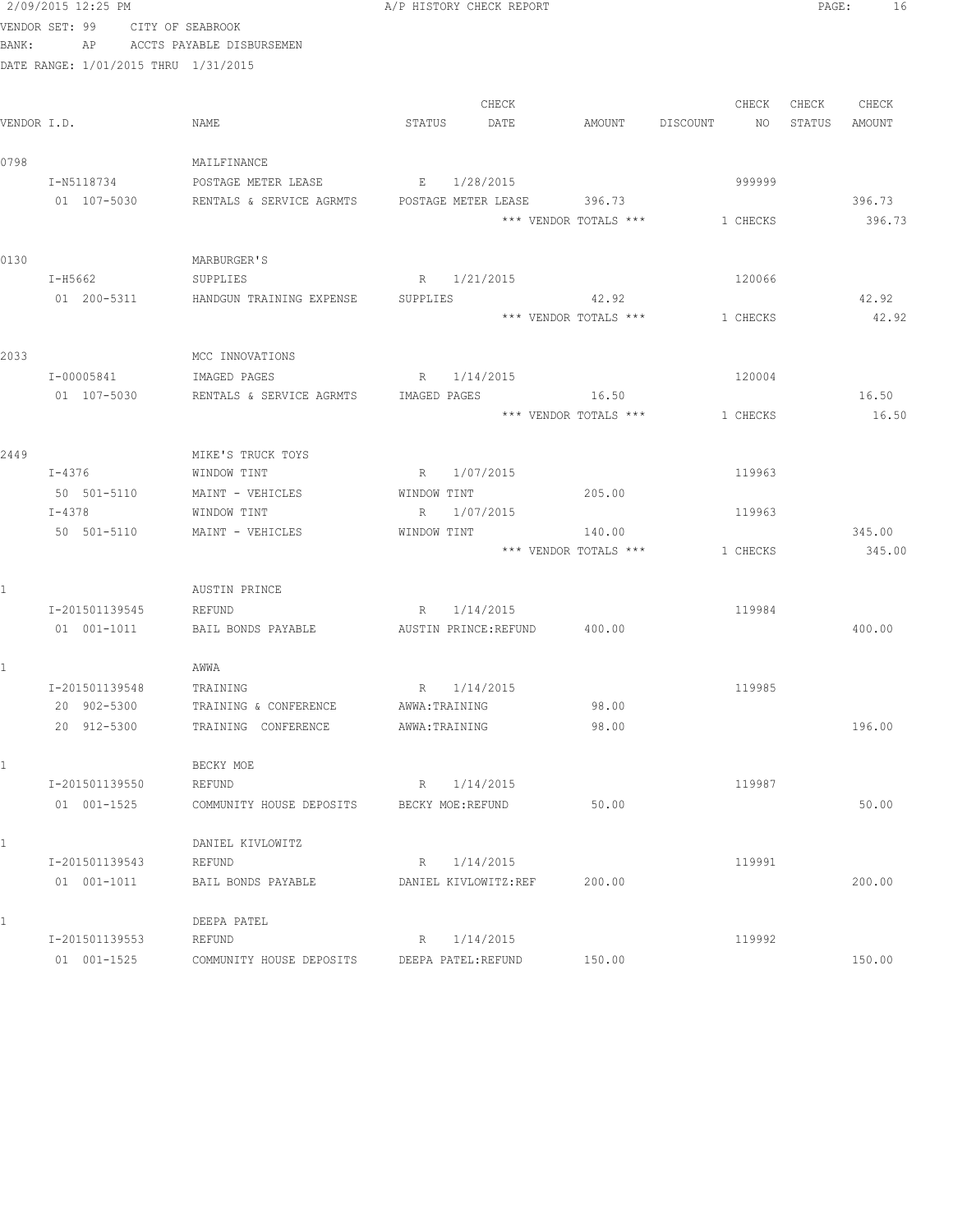|              | 2/09/2015 12:25 PM                   |                                                                           | A/P HISTORY CHECK REPORT                              |                       |                                |        | PAGE:<br>16 |
|--------------|--------------------------------------|---------------------------------------------------------------------------|-------------------------------------------------------|-----------------------|--------------------------------|--------|-------------|
|              | VENDOR SET: 99 CITY OF SEABROOK      |                                                                           |                                                       |                       |                                |        |             |
| BANK:        |                                      | AP ACCTS PAYABLE DISBURSEMEN                                              |                                                       |                       |                                |        |             |
|              | DATE RANGE: 1/01/2015 THRU 1/31/2015 |                                                                           |                                                       |                       |                                |        |             |
|              |                                      |                                                                           | CHECK                                                 |                       | CHECK                          |        | CHECK CHECK |
| VENDOR I.D.  |                                      | NAME                                                                      | STATUS<br>DATE                                        | AMOUNT DISCOUNT       | NO 11                          | STATUS | AMOUNT      |
| 0798         |                                      | MAILFINANCE                                                               |                                                       |                       |                                |        |             |
|              | I-N5118734                           | POSTAGE METER LEASE                                                       | E 1/28/2015                                           |                       | 999999                         |        |             |
|              | 01 107-5030                          | RENTALS & SERVICE AGRMTS         POSTAGE METER LEASE               396.73 |                                                       |                       |                                |        | 396.73      |
|              |                                      |                                                                           |                                                       | *** VENDOR TOTALS *** | 1 CHECKS                       |        | 396.73      |
| 0130         |                                      | MARBURGER'S                                                               |                                                       |                       |                                |        |             |
|              | I-H5662                              | SUPPLIES                                                                  | R 1/21/2015                                           |                       | 120066                         |        |             |
|              |                                      | 01 200-5311 HANDGUN TRAINING EXPENSE SUPPLIES                             |                                                       | 42.92                 |                                |        | 42.92       |
|              |                                      |                                                                           |                                                       |                       | *** VENDOR TOTALS *** 1 CHECKS |        | 42.92       |
| 2033         |                                      | MCC INNOVATIONS                                                           |                                                       |                       |                                |        |             |
|              | I-00005841                           | IMAGED PAGES                                                              | R 1/14/2015                                           |                       | 120004                         |        |             |
|              | 01 107-5030                          |                                                                           | RENTALS & SERVICE AGRMTS IMAGED PAGES 16.50           |                       |                                |        | 16.50       |
|              |                                      |                                                                           |                                                       | *** VENDOR TOTALS *** | 1 CHECKS                       |        | 16.50       |
| 2449         |                                      | MIKE'S TRUCK TOYS                                                         |                                                       |                       |                                |        |             |
|              | I-4376                               | WINDOW TINT                                                               | R 1/07/2015                                           |                       | 119963                         |        |             |
|              | 50 501-5110                          | MAINT - VEHICLES                                                          | WINDOW TINT                                           | 205.00                |                                |        |             |
|              | I-4378                               | WINDOW TINT                                                               | R 1/07/2015                                           |                       | 119963                         |        |             |
|              | 50 501-5110                          | MAINT - VEHICLES                                                          | WINDOW TINT                                           | 140.00                |                                |        | 345.00      |
|              |                                      |                                                                           |                                                       |                       | *** VENDOR TOTALS *** 1 CHECKS |        | 345.00      |
| $\mathbf{1}$ |                                      | AUSTIN PRINCE                                                             |                                                       |                       |                                |        |             |
|              | I-201501139545                       | REFUND                                                                    | R 1/14/2015                                           |                       | 119984                         |        |             |
|              | 01  001-1011                         |                                                                           | BAIL BONDS PAYABLE <b>AUSTIN</b> PRINCE:REFUND 400.00 |                       |                                |        | 400.00      |
|              |                                      | AWWA                                                                      |                                                       |                       |                                |        |             |
|              | I-201501139548                       | TRAINING                                                                  | R 1/14/2015                                           |                       | 119985                         |        |             |
|              | 20 902-5300                          | TRAINING & CONFERENCE                                                     | AWWA: TRAINING                                        | 98.00                 |                                |        |             |
|              | 20 912-5300                          | TRAINING CONFERENCE                                                       | AWWA: TRAINING                                        | 98.00                 |                                |        | 196.00      |
| 1            |                                      | BECKY MOE                                                                 |                                                       |                       |                                |        |             |
|              | I-201501139550                       | REFUND                                                                    | R 1/14/2015                                           |                       | 119987                         |        |             |
|              | 01 001-1525                          | COMMUNITY HOUSE DEPOSITS                                                  | BECKY MOE: REFUND                                     | 50.00                 |                                |        | 50.00       |
| 1            |                                      | DANIEL KIVLOWITZ                                                          |                                                       |                       |                                |        |             |
|              | I-201501139543                       | REFUND                                                                    | 1/14/2015<br>R                                        |                       | 119991                         |        |             |
|              | $01 001 - 1011$                      | BAIL BONDS PAYABLE                                                        | DANIEL KIVLOWITZ:REF                                  | 200.00                |                                |        | 200.00      |
| 1            |                                      | DEEPA PATEL                                                               |                                                       |                       |                                |        |             |
|              | I-201501139553                       | REFUND                                                                    | 1/14/2015<br>R                                        |                       | 119992                         |        |             |
|              | 01 001-1525                          | COMMUNITY HOUSE DEPOSITS                                                  | DEEPA PATEL: REFUND                                   | 150.00                |                                |        | 150.00      |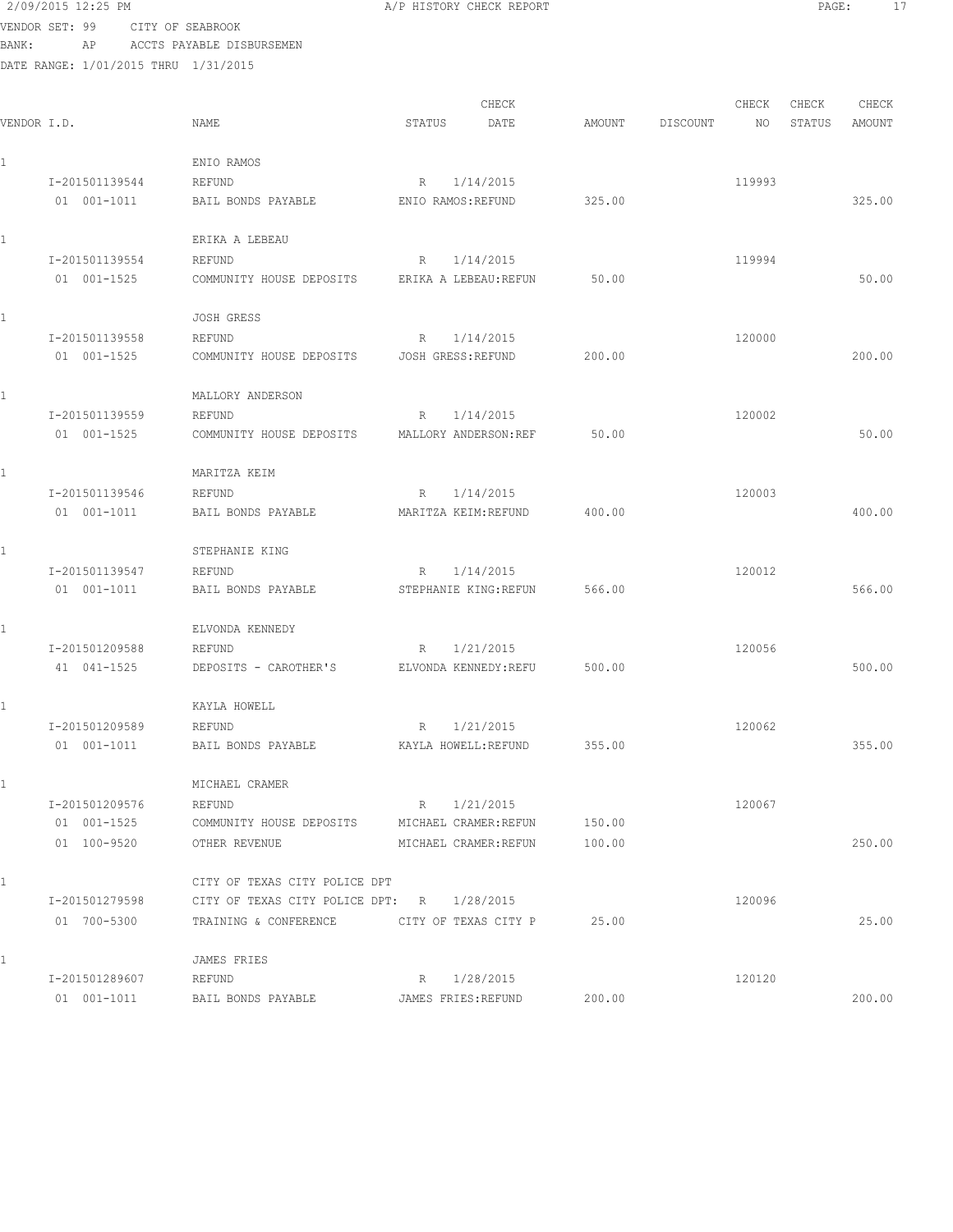| 2/09/2015 12:25 PM |  |  |                  |  |
|--------------------|--|--|------------------|--|
| VENDOR SET: 99     |  |  | CITY OF SEABROOK |  |

A/P HISTORY CHECK REPORT PAGE: 17

BANK: AP ACCTS PAYABLE DISBURSEMEN

| VENDOR I.D.     | NAME                                          | CHECK<br>DATE<br>STATUS      | AMOUNT | DISCOUNT | CHECK<br>NO | CHECK<br>STATUS | CHECK<br>AMOUNT |
|-----------------|-----------------------------------------------|------------------------------|--------|----------|-------------|-----------------|-----------------|
| $\mathbf{1}$    | ENIO RAMOS                                    |                              |        |          |             |                 |                 |
| I-201501139544  | REFUND                                        | 1/14/2015<br>R               |        |          | 119993      |                 |                 |
| $01 001 - 1011$ | BAIL BONDS PAYABLE                            | ENIO RAMOS: REFUND           | 325.00 |          |             |                 | 325.00          |
| 1               | ERIKA A LEBEAU                                |                              |        |          |             |                 |                 |
| I-201501139554  | REFUND                                        | 1/14/2015<br>R               |        |          | 119994      |                 |                 |
| 01 001-1525     | COMMUNITY HOUSE DEPOSITS                      | ERIKA A LEBEAU: REFUN        | 50.00  |          |             |                 | 50.00           |
| $\mathbf{1}$    | <b>JOSH GRESS</b>                             |                              |        |          |             |                 |                 |
| I-201501139558  | REFUND                                        | 1/14/2015<br>R               |        |          | 120000      |                 |                 |
| 01 001-1525     | COMMUNITY HOUSE DEPOSITS                      | JOSH GRESS: REFUND           | 200.00 |          |             |                 | 200.00          |
| $\mathbf{1}$    | MALLORY ANDERSON                              |                              |        |          |             |                 |                 |
| I-201501139559  | REFUND                                        | 1/14/2015<br>R               |        |          | 120002      |                 |                 |
| 01 001-1525     | COMMUNITY HOUSE DEPOSITS                      | MALLORY ANDERSON: REF        | 50.00  |          |             |                 | 50.00           |
| $\mathbf{1}$    | MARITZA KEIM                                  |                              |        |          |             |                 |                 |
| I-201501139546  | REFUND                                        | 1/14/2015<br>R               |        |          | 120003      |                 |                 |
| 01 001-1011     | BAIL BONDS PAYABLE                            | MARITZA KEIM: REFUND         | 400.00 |          |             |                 | 400.00          |
|                 | STEPHANIE KING                                |                              |        |          |             |                 |                 |
| I-201501139547  | REFUND                                        | 1/14/2015<br>R               |        |          | 120012      |                 |                 |
| 01 001-1011     | BAIL BONDS PAYABLE                            | STEPHANIE KING: REFUN        | 566.00 |          |             |                 | 566.00          |
| 1               | ELVONDA KENNEDY                               |                              |        |          |             |                 |                 |
| I-201501209588  | REFUND                                        | 1/21/2015<br>R               |        |          | 120056      |                 |                 |
| 41 041-1525     | DEPOSITS - CAROTHER'S                         | ELVONDA KENNEDY: REFU        | 500.00 |          |             |                 | 500.00          |
| 1               | KAYLA HOWELL                                  |                              |        |          |             |                 |                 |
| I-201501209589  | REFUND                                        | 1/21/2015<br>R               |        |          | 120062      |                 |                 |
| 01 001-1011     | BAIL BONDS PAYABLE                            | KAYLA HOWELL: REFUND         | 355.00 |          |             |                 | 355.00          |
|                 | MICHAEL CRAMER                                |                              |        |          |             |                 |                 |
| I-201501209576  | REFUND                                        | 1/21/2015<br>$R_{\parallel}$ |        |          | 120067      |                 |                 |
| 01 001-1525     | COMMUNITY HOUSE DEPOSITS MICHAEL CRAMER:REFUN |                              | 150.00 |          |             |                 |                 |
| 01 100-9520     | OTHER REVENUE                                 | MICHAEL CRAMER: REFUN        | 100.00 |          |             |                 | 250.00          |
| $\mathbf{1}$    | CITY OF TEXAS CITY POLICE DPT                 |                              |        |          |             |                 |                 |
| I-201501279598  | CITY OF TEXAS CITY POLICE DPT: R 1/28/2015    |                              |        |          | 120096      |                 |                 |
| 01 700-5300     | TRAINING & CONFERENCE CITY OF TEXAS CITY P    |                              | 25.00  |          |             |                 | 25.00           |
| $\mathbf{1}$    | JAMES FRIES                                   |                              |        |          |             |                 |                 |
| I-201501289607  | REFUND                                        | 1/28/2015<br>R               |        |          | 120120      |                 |                 |
| 01 001-1011     | BAIL BONDS PAYABLE                            | JAMES FRIES: REFUND          | 200.00 |          |             |                 | 200.00          |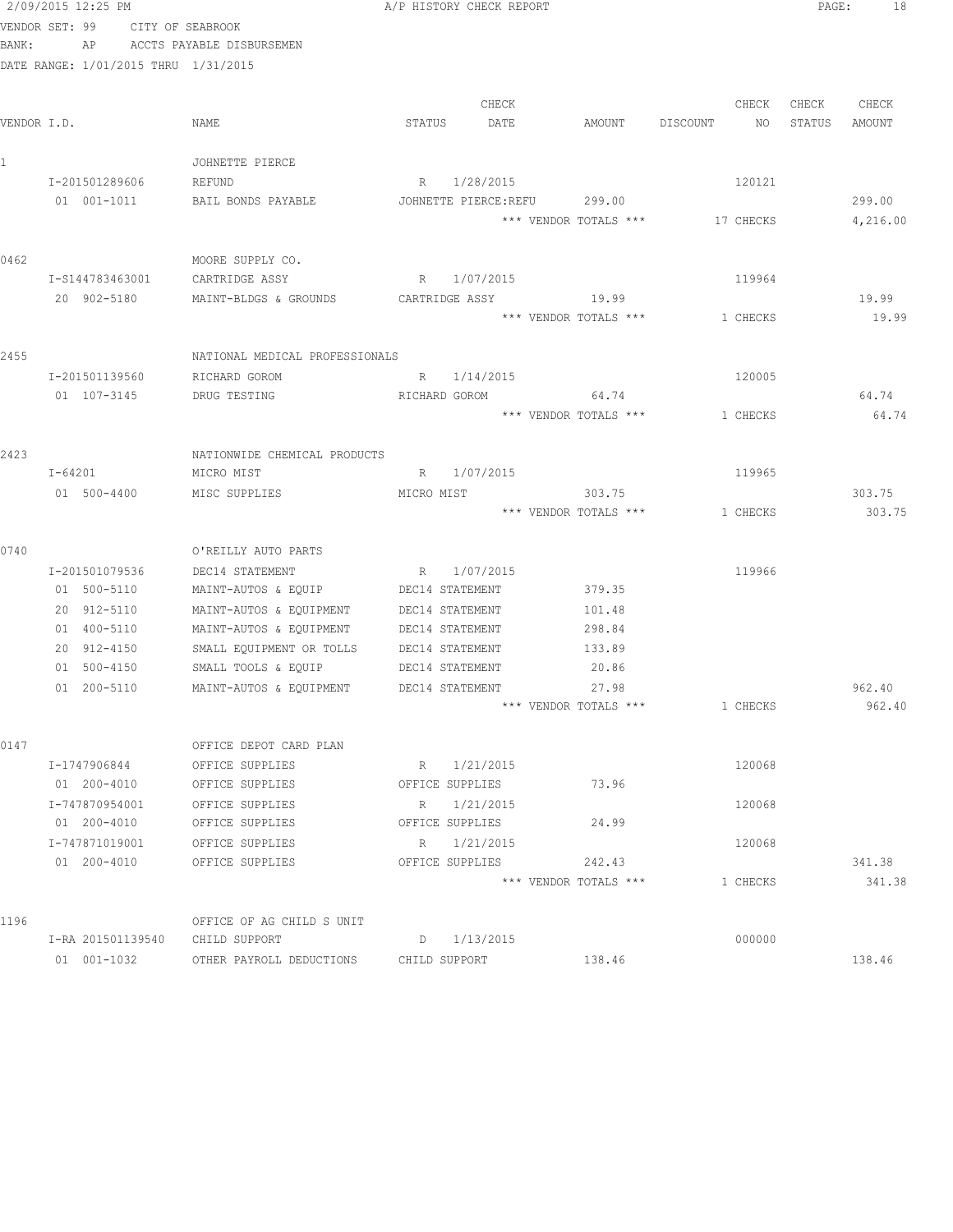|              | 2/09/2015 12:25 PM                   |                                | A/P HISTORY CHECK REPORT |                       |                | PAGE:<br>18      |
|--------------|--------------------------------------|--------------------------------|--------------------------|-----------------------|----------------|------------------|
|              | VENDOR SET: 99                       | CITY OF SEABROOK               |                          |                       |                |                  |
| BANK:        | AP                                   | ACCTS PAYABLE DISBURSEMEN      |                          |                       |                |                  |
|              | DATE RANGE: 1/01/2015 THRU 1/31/2015 |                                |                          |                       |                |                  |
|              |                                      |                                |                          |                       |                |                  |
|              |                                      |                                | CHECK                    |                       | CHECK          | CHECK<br>CHECK   |
|              | VENDOR I.D.                          | NAME                           | STATUS<br>DATE           | AMOUNT                | DISCOUNT<br>NO | STATUS<br>AMOUNT |
|              |                                      |                                |                          |                       |                |                  |
| $\mathbf{1}$ |                                      | JOHNETTE PIERCE                |                          |                       |                |                  |
|              | I-201501289606                       | REFUND                         | R 1/28/2015              |                       | 120121         |                  |
|              | $01 001 - 1011$                      | BAIL BONDS PAYABLE             | JOHNETTE PIERCE: REFU    | 299.00                |                | 299.00           |
|              |                                      |                                |                          | *** VENDOR TOTALS *** | 17 CHECKS      | 4,216.00         |
|              |                                      |                                |                          |                       |                |                  |
| 0462         |                                      | MOORE SUPPLY CO.               |                          |                       |                |                  |
|              | I-S144783463001                      | CARTRIDGE ASSY                 | R 1/07/2015              |                       | 119964         |                  |
|              | 20 902-5180                          | MAINT-BLDGS & GROUNDS          | CARTRIDGE ASSY           | 19.99                 |                | 19.99            |
|              |                                      |                                |                          | *** VENDOR TOTALS *** | 1 CHECKS       | 19.99            |
| 2455         |                                      | NATIONAL MEDICAL PROFESSIONALS |                          |                       |                |                  |
|              | I-201501139560                       | RICHARD GOROM                  | R 1/14/2015              |                       | 120005         |                  |
|              | 01 107-3145                          | DRUG TESTING                   | RICHARD GOROM 64.74      |                       |                | 64.74            |
|              |                                      |                                |                          | *** VENDOR TOTALS *** | 1 CHECKS       | 64.74            |
|              |                                      |                                |                          |                       |                |                  |
| 2423         |                                      | NATIONWIDE CHEMICAL PRODUCTS   |                          |                       |                |                  |
|              | I-64201                              | MICRO MIST                     | R 1/07/2015              |                       | 119965         |                  |
|              | 01 500-4400                          | MISC SUPPLIES                  | MICRO MIST               | 303.75                |                | 303.75           |
|              |                                      |                                |                          | *** VENDOR TOTALS *** | 1 CHECKS       | 303.75           |
|              |                                      |                                |                          |                       |                |                  |
| 0740         |                                      | O'REILLY AUTO PARTS            |                          |                       |                |                  |
|              | I-201501079536                       | DEC14 STATEMENT                | R 1/07/2015              |                       | 119966         |                  |
|              | 01 500-5110                          | MAINT-AUTOS & EQUIP            | DEC14 STATEMENT          | 379.35                |                |                  |
|              | 20 912-5110                          | MAINT-AUTOS & EQUIPMENT        | DEC14 STATEMENT          | 101.48                |                |                  |
|              | 01 400-5110                          | MAINT-AUTOS & EQUIPMENT        | DEC14 STATEMENT          | 298.84                |                |                  |
|              | 20 912-4150                          | SMALL EQUIPMENT OR TOLLS       | DEC14 STATEMENT          | 133.89                |                |                  |
|              | 01 500-4150                          | SMALL TOOLS & EQUIP            | DEC14 STATEMENT          | 20.86                 |                |                  |
|              | 01 200-5110                          | MAINT-AUTOS & EQUIPMENT        | DEC14 STATEMENT          | 27.98                 |                | 962.40           |
|              |                                      |                                |                          | *** VENDOR TOTALS *** | 1 CHECKS       | 962.40           |
|              |                                      |                                |                          |                       |                |                  |
| 0147         |                                      | OFFICE DEPOT CARD PLAN         |                          |                       |                |                  |
|              | I-1747906844                         | OFFICE SUPPLIES                | R 1/21/2015              |                       | 120068         |                  |
|              | 01 200-4010                          | OFFICE SUPPLIES                | OFFICE SUPPLIES          | 73.96                 |                |                  |
|              | I-747870954001                       | OFFICE SUPPLIES                | R 1/21/2015              |                       | 120068         |                  |
|              | 01 200-4010                          | OFFICE SUPPLIES                | OFFICE SUPPLIES          | 24.99                 |                |                  |
|              | I-747871019001                       | OFFICE SUPPLIES                | R 1/21/2015              |                       | 120068         |                  |
|              | 01 200-4010                          | OFFICE SUPPLIES                | OFFICE SUPPLIES          | 242.43                |                | 341.38           |
|              |                                      |                                |                          | *** VENDOR TOTALS *** | 1 CHECKS       | 341.38           |
|              |                                      |                                |                          |                       |                |                  |
| 1196         |                                      | OFFICE OF AG CHILD S UNIT      |                          |                       |                |                  |
|              | I-RA 201501139540                    | CHILD SUPPORT                  | $D = 1/13/2015$          |                       | 000000         |                  |
|              | 01 001-1032                          | OTHER PAYROLL DEDUCTIONS       | CHILD SUPPORT            | 138.46                |                | 138.46           |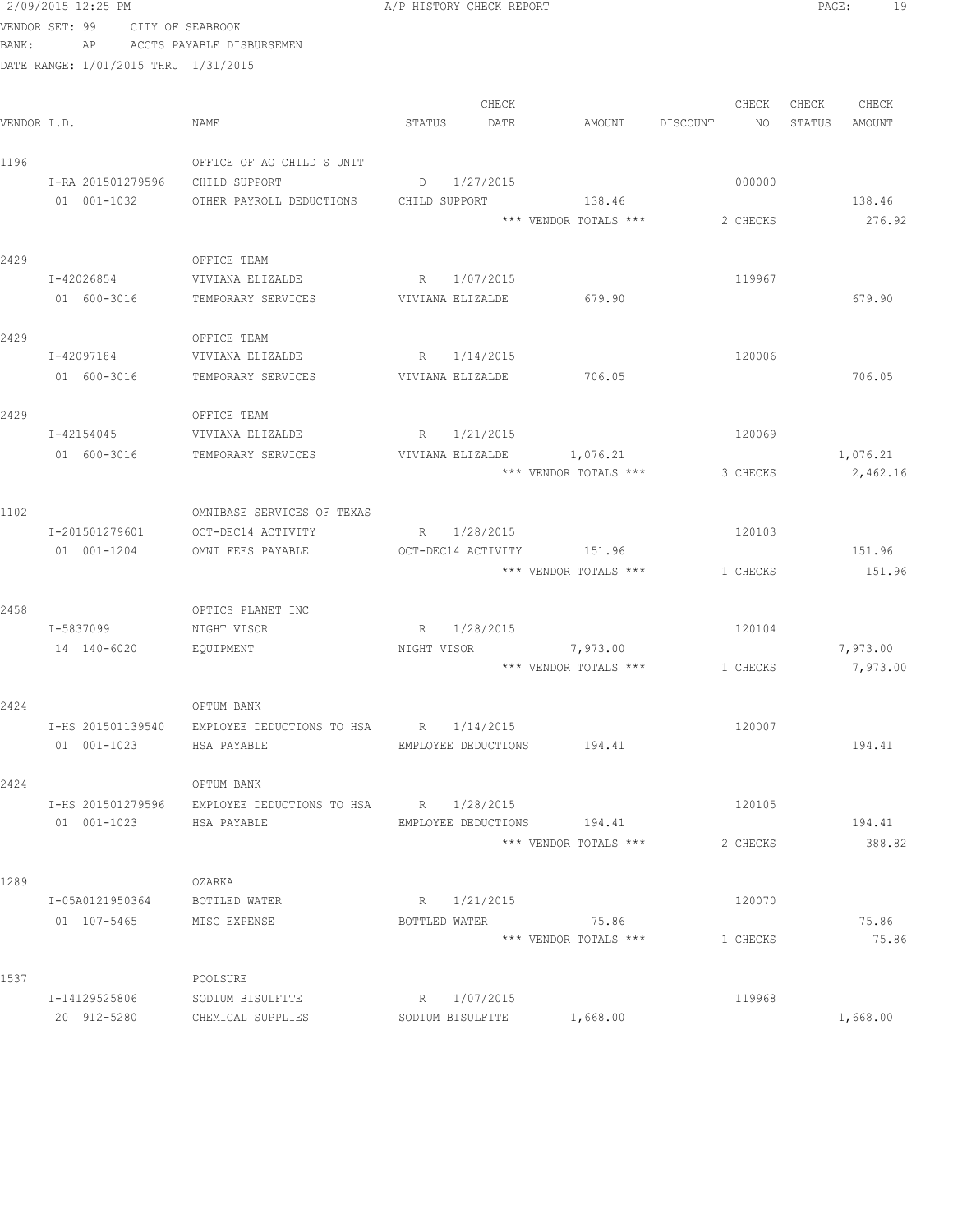| VENDOR SET: 99 |                   | CITY OF SEABROOK |                                                          |        |                  |                                |          |        |             |
|----------------|-------------------|------------------|----------------------------------------------------------|--------|------------------|--------------------------------|----------|--------|-------------|
| BANK:          | AP                |                  | ACCTS PAYABLE DISBURSEMEN                                |        |                  |                                |          |        |             |
|                |                   |                  | DATE RANGE: 1/01/2015 THRU 1/31/2015                     |        |                  |                                |          |        |             |
|                |                   |                  |                                                          |        | CHECK            |                                | CHECK    |        | CHECK CHECK |
| VENDOR I.D.    |                   |                  | NAME                                                     | STATUS | DATE             | AMOUNT DISCOUNT                | NO 11    | STATUS | AMOUNT      |
| 1196           |                   |                  | OFFICE OF AG CHILD S UNIT                                |        |                  |                                |          |        |             |
|                |                   |                  | I-RA 201501279596 CHILD SUPPORT                          |        | D 1/27/2015      |                                | 000000   |        |             |
|                | 01 001-1032       |                  | OTHER PAYROLL DEDUCTIONS                                 |        | CHILD SUPPORT    | 138.46                         |          |        | 138.46      |
|                |                   |                  |                                                          |        |                  | *** VENDOR TOTALS ***          | 2 CHECKS |        | 276.92      |
| 2429           |                   |                  | OFFICE TEAM                                              |        |                  |                                |          |        |             |
|                | I-42026854        |                  | VIVIANA ELIZALDE                                         |        | R 1/07/2015      |                                | 119967   |        |             |
|                | 01 600-3016       |                  | TEMPORARY SERVICES                                       |        | VIVIANA ELIZALDE | 679.90                         |          |        | 679.90      |
| 2429           |                   |                  | OFFICE TEAM                                              |        |                  |                                |          |        |             |
|                | I-42097184        |                  | VIVIANA ELIZALDE                                         |        | R 1/14/2015      |                                | 120006   |        |             |
|                | 01 600-3016       |                  | TEMPORARY SERVICES                                       |        | VIVIANA ELIZALDE | 706.05                         |          |        | 706.05      |
| 2429           |                   |                  | OFFICE TEAM                                              |        |                  |                                |          |        |             |
|                | I-42154045        |                  | VIVIANA ELIZALDE                                         |        | R 1/21/2015      |                                | 120069   |        |             |
|                | 01 600-3016       |                  | TEMPORARY SERVICES                                       |        | VIVIANA ELIZALDE | 1,076.21                       |          |        | 1,076.21    |
|                |                   |                  |                                                          |        |                  | *** VENDOR TOTALS ***          | 3 CHECKS |        | 2,462.16    |
| 1102           |                   |                  | OMNIBASE SERVICES OF TEXAS                               |        |                  |                                |          |        |             |
|                | I-201501279601    |                  | OCT-DEC14 ACTIVITY                                       |        | R 1/28/2015      |                                | 120103   |        |             |
|                | 01 001-1204       |                  | OMNI FEES PAYABLE                                        |        |                  | OCT-DEC14 ACTIVITY 151.96      |          |        | 151.96      |
|                |                   |                  |                                                          |        |                  | *** VENDOR TOTALS ***          | 1 CHECKS |        | 151.96      |
| 2458           |                   |                  | OPTICS PLANET INC                                        |        |                  |                                |          |        |             |
|                | I-5837099         |                  | NIGHT VISOR                                              |        | R 1/28/2015      |                                | 120104   |        |             |
|                | 14 140-6020       |                  | EQUIPMENT                                                |        |                  | NIGHT VISOR 7,973.00           |          |        | 7,973.00    |
|                |                   |                  |                                                          |        |                  | *** VENDOR TOTALS *** 1 CHECKS |          |        | 7,973.00    |
| 2424           |                   |                  | OPTUM BANK                                               |        |                  |                                |          |        |             |
|                | I-HS 201501139540 |                  | EMPLOYEE DEDUCTIONS TO HSA                               |        | R 1/14/2015      |                                | 120007   |        |             |
|                | 01 001-1023       |                  | HSA PAYABLE                                              |        |                  | EMPLOYEE DEDUCTIONS 194.41     |          |        | 194.41      |
| 2424           |                   |                  | OPTUM BANK                                               |        |                  |                                |          |        |             |
|                |                   |                  | I-HS 201501279596 EMPLOYEE DEDUCTIONS TO HSA R 1/28/2015 |        |                  |                                | 120105   |        |             |
|                | 01 001-1023       |                  | HSA PAYABLE                                              |        |                  | EMPLOYEE DEDUCTIONS 194.41     |          |        | 194.41      |
|                |                   |                  |                                                          |        |                  | *** VENDOR TOTALS ***          | 2 CHECKS |        | 388.82      |
| 1289           |                   |                  | OZARKA                                                   |        |                  |                                |          |        |             |
|                | I-05A0121950364   |                  | BOTTLED WATER                                            |        | R 1/21/2015      |                                | 120070   |        |             |
|                |                   |                  | 01 107-5465 MISC EXPENSE                                 |        |                  | BOTTLED WATER 75.86            |          |        | 75.86       |
|                |                   |                  |                                                          |        |                  | *** VENDOR TOTALS ***          | 1 CHECKS |        | 75.86       |
| 1537           |                   |                  | POOLSURE                                                 |        |                  |                                |          |        |             |
|                | I-14129525806     |                  | SODIUM BISULFITE                                         |        | R 1/07/2015      |                                | 119968   |        |             |
|                | 20 912-5280       |                  | CHEMICAL SUPPLIES                                        |        | SODIUM BISULFITE | 1,668.00                       |          |        | 1,668.00    |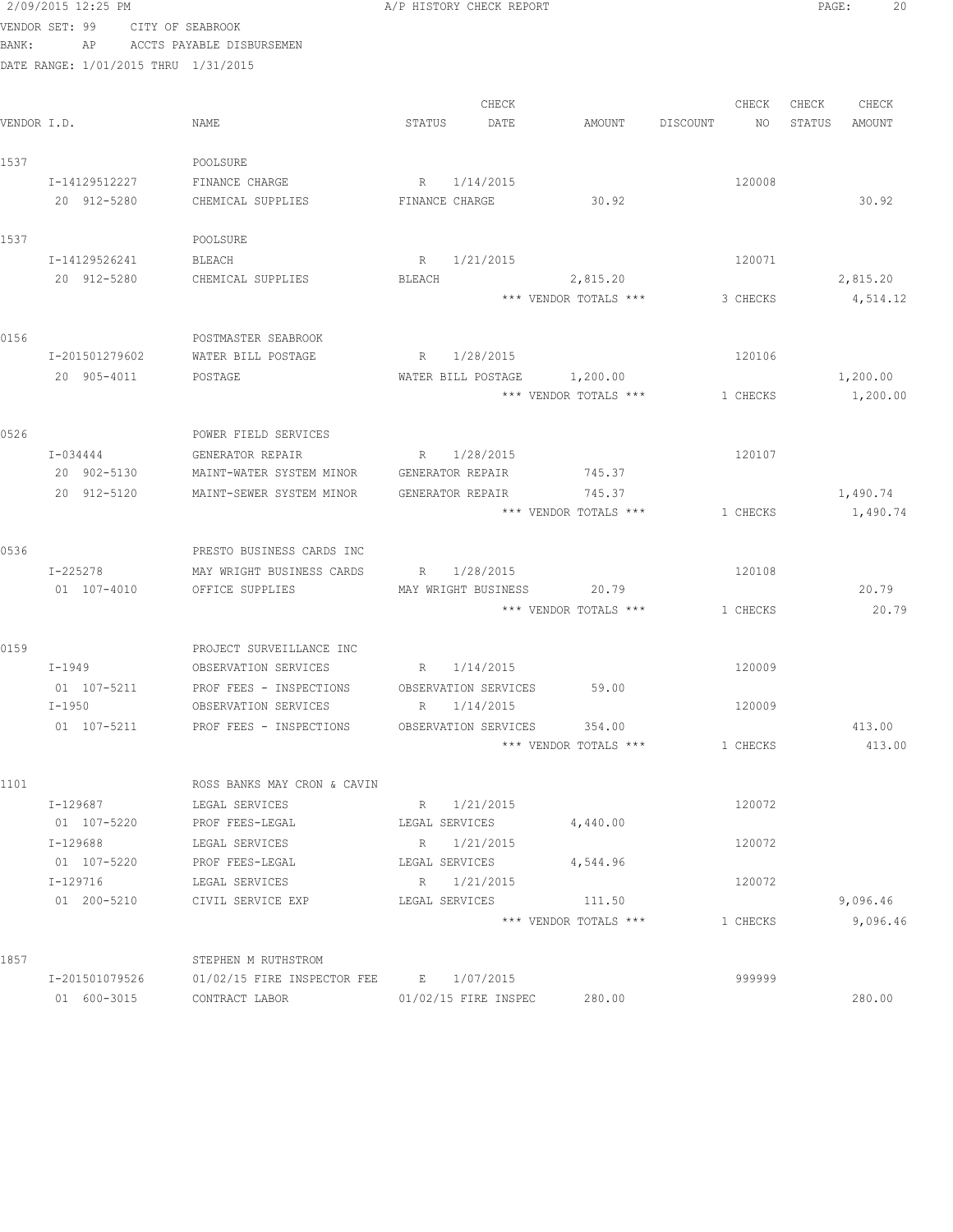|             | 2/09/2015 12:25 PM                   |                                                    | A/P HISTORY CHECK REPORT     |                                 |                | 20<br>PAGE:      |
|-------------|--------------------------------------|----------------------------------------------------|------------------------------|---------------------------------|----------------|------------------|
|             | VENDOR SET: 99                       | CITY OF SEABROOK                                   |                              |                                 |                |                  |
| BANK:       |                                      | AP ACCTS PAYABLE DISBURSEMEN                       |                              |                                 |                |                  |
|             | DATE RANGE: 1/01/2015 THRU 1/31/2015 |                                                    |                              |                                 |                |                  |
|             |                                      |                                                    |                              |                                 |                |                  |
|             |                                      |                                                    | CHECK                        |                                 | CHECK          | CHECK<br>CHECK   |
| VENDOR I.D. |                                      | NAME                                               | STATUS<br>DATE               | AMOUNT                          | DISCOUNT<br>NO | STATUS<br>AMOUNT |
| 1537        |                                      | POOLSURE                                           |                              |                                 |                |                  |
|             | I-14129512227                        | FINANCE CHARGE                                     | R 1/14/2015                  |                                 | 120008         |                  |
|             | 20 912-5280                          | CHEMICAL SUPPLIES                                  | FINANCE CHARGE               | 30.92                           |                | 30.92            |
|             |                                      |                                                    |                              |                                 |                |                  |
| 1537        |                                      | POOLSURE                                           |                              |                                 |                |                  |
|             | I-14129526241                        | BLEACH                                             | R 1/21/2015                  |                                 | 120071         |                  |
|             | 20 912-5280                          | CHEMICAL SUPPLIES                                  | BLEACH                       | 2,815.20                        |                | 2,815.20         |
|             |                                      |                                                    |                              | *** VENDOR TOTALS ***           | 3 CHECKS       | 4,514.12         |
|             |                                      |                                                    |                              |                                 |                |                  |
| 0156        |                                      | POSTMASTER SEABROOK                                |                              |                                 |                |                  |
|             | I-201501279602                       | WATER BILL POSTAGE                                 | R 1/28/2015                  |                                 | 120106         |                  |
|             | 20 905-4011                          | POSTAGE                                            |                              | WATER BILL POSTAGE 1,200.00     |                | 1,200.00         |
|             |                                      |                                                    |                              | *** VENDOR TOTALS ***           | 1 CHECKS       | 1,200.00         |
| 0526        |                                      | POWER FIELD SERVICES                               |                              |                                 |                |                  |
|             | I-034444                             | GENERATOR REPAIR                                   | R 1/28/2015                  |                                 | 120107         |                  |
|             | 20 902-5130                          | MAINT-WATER SYSTEM MINOR                           | GENERATOR REPAIR             | 745.37                          |                |                  |
|             | 20 912-5120                          | MAINT-SEWER SYSTEM MINOR                           | GENERATOR REPAIR             | 745.37                          |                | 1,490.74         |
|             |                                      |                                                    |                              | *** VENDOR TOTALS ***           | 1 CHECKS       | 1,490.74         |
|             |                                      |                                                    |                              |                                 |                |                  |
| 0536        |                                      | PRESTO BUSINESS CARDS INC                          |                              |                                 |                |                  |
|             | I-225278                             | MAY WRIGHT BUSINESS CARDS                          | R 1/28/2015                  |                                 | 120108         |                  |
|             | 01 107-4010                          | OFFICE SUPPLIES                                    | MAY WRIGHT BUSINESS          | 20.79                           |                | 20.79            |
|             |                                      |                                                    |                              | *** VENDOR TOTALS ***           | 1 CHECKS       | 20.79            |
|             |                                      |                                                    |                              |                                 |                |                  |
| 0159        |                                      | PROJECT SURVEILLANCE INC                           |                              |                                 |                |                  |
|             | I-1949                               | OBSERVATION SERVICES                               | R 1/14/2015                  |                                 | 120009         |                  |
|             | 01 107-5211                          | PROF FEES - INSPECTIONS OBSERVATION SERVICES 59.00 |                              |                                 |                |                  |
|             | I-1950                               | OBSERVATION SERVICES                               | 1/14/2015<br>R               |                                 | 120009         |                  |
|             | 01 107-5211                          | PROF FEES - INSPECTIONS                            | OBSERVATION SERVICES         | 354.00<br>*** VENDOR TOTALS *** | 1 CHECKS       | 413.00<br>413.00 |
|             |                                      |                                                    |                              |                                 |                |                  |
| 1101        |                                      | ROSS BANKS MAY CRON & CAVIN                        |                              |                                 |                |                  |
|             | I-129687                             | LEGAL SERVICES                                     | R 1/21/2015                  |                                 | 120072         |                  |
|             | 01 107-5220                          | PROF FEES-LEGAL                                    | LEGAL SERVICES               | 4,440.00                        |                |                  |
|             | I-129688                             | LEGAL SERVICES                                     | R 1/21/2015                  |                                 | 120072         |                  |
|             | 01 107-5220                          | PROF FEES-LEGAL                                    | LEGAL SERVICES               | 4,544.96                        |                |                  |
|             | I-129716                             | LEGAL SERVICES                                     | $R_{\parallel}$<br>1/21/2015 |                                 | 120072         |                  |
|             | 01 200-5210                          | CIVIL SERVICE EXP                                  | LEGAL SERVICES               | 111.50                          |                | 9,096.46         |
|             |                                      |                                                    |                              | *** VENDOR TOTALS ***           | 1 CHECKS       | 9,096.46         |
|             |                                      |                                                    |                              |                                 |                |                  |
| 1857        |                                      | STEPHEN M RUTHSTROM                                |                              |                                 |                |                  |
|             | I-201501079526                       | 01/02/15 FIRE INSPECTOR FEE                        | E 1/07/2015                  |                                 | 999999         |                  |
|             | 01 600-3015                          | CONTRACT LABOR                                     | 01/02/15 FIRE INSPEC         | 280.00                          |                | 280.00           |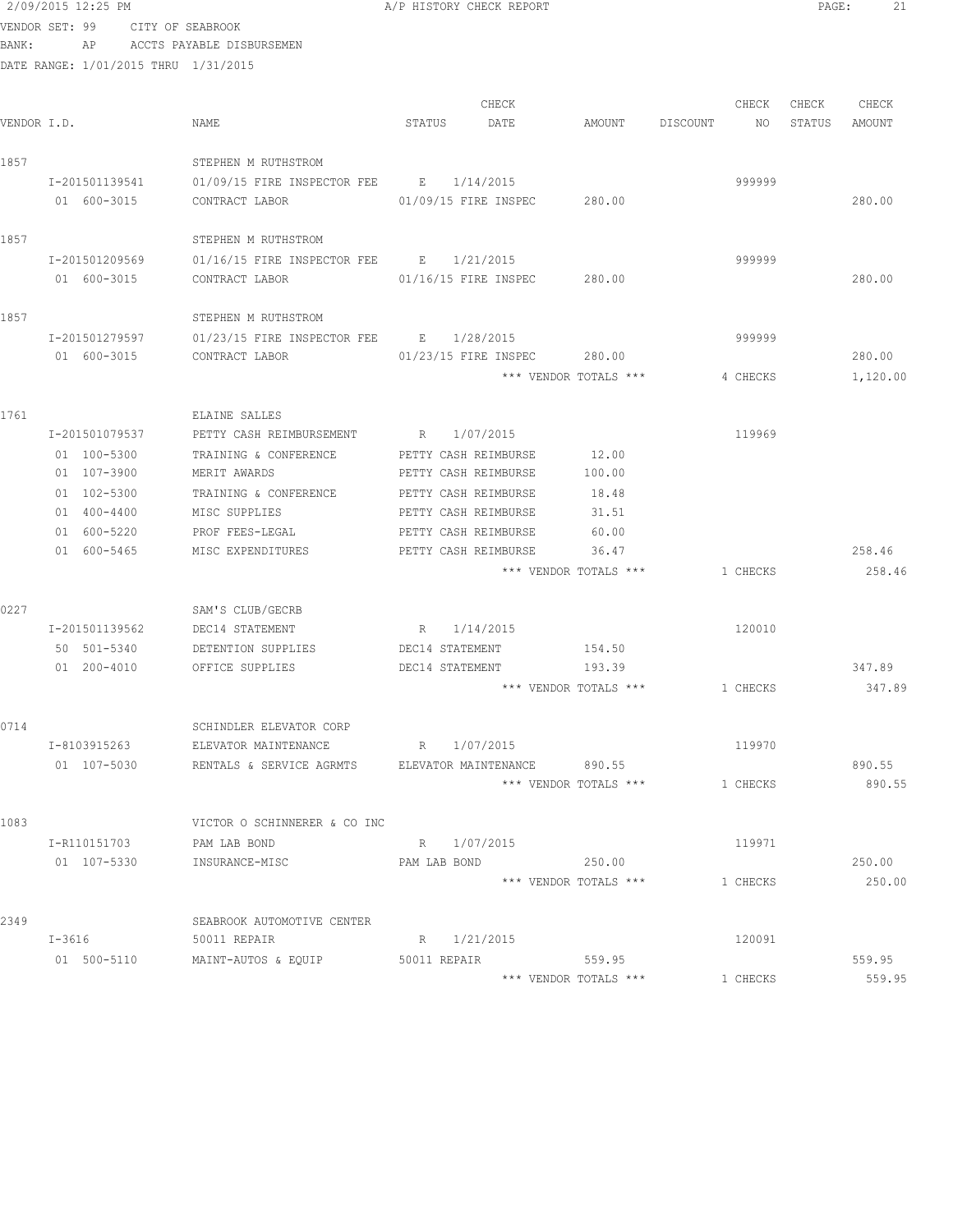# 2/09/2015 12:25 PM **A/P HISTORY CHECK REPORT PAGE:** 21 VENDOR SET: 99 CITY OF SEABROOK

BANK: AP ACCTS PAYABLE DISBURSEMEN

| VENDOR I.D. |                | NAME                                                | CHECK<br>STATUS<br>DATE     | AMOUNT                         | DISCOUNT | CHECK<br>NO | CHECK<br>STATUS | CHECK<br>AMOUNT  |
|-------------|----------------|-----------------------------------------------------|-----------------------------|--------------------------------|----------|-------------|-----------------|------------------|
| 1857        |                | STEPHEN M RUTHSTROM                                 |                             |                                |          |             |                 |                  |
|             | I-201501139541 | 01/09/15 FIRE INSPECTOR FEE B 1/14/2015             |                             |                                |          | 999999      |                 |                  |
|             | 01 600-3015    | CONTRACT LABOR                                      | 01/09/15 FIRE INSPEC        | 280.00                         |          |             |                 | 280.00           |
| 1857        |                | STEPHEN M RUTHSTROM                                 |                             |                                |          |             |                 |                  |
|             | I-201501209569 | 01/16/15 FIRE INSPECTOR FEE B 1/21/2015             |                             |                                |          | 999999      |                 |                  |
|             | 01 600-3015    | CONTRACT LABOR                                      | 01/16/15 FIRE INSPEC        | 280.00                         |          |             |                 | 280.00           |
| 1857        |                | STEPHEN M RUTHSTROM                                 |                             |                                |          |             |                 |                  |
|             | I-201501279597 | 01/23/15 FIRE INSPECTOR FEE B 1/28/2015             |                             |                                |          | 999999      |                 |                  |
|             | 01 600-3015    | CONTRACT LABOR                                      | 01/23/15 FIRE INSPEC        | 280.00                         |          |             |                 | 280.00           |
|             |                |                                                     |                             | *** VENDOR TOTALS ***          |          | 4 CHECKS    |                 | 1,120.00         |
| 1761        |                | ELAINE SALLES                                       |                             |                                |          |             |                 |                  |
|             | I-201501079537 | PETTY CASH REIMBURSEMENT                            | R 1/07/2015                 |                                |          | 119969      |                 |                  |
|             | 01 100-5300    | TRAINING & CONFERENCE                               | PETTY CASH REIMBURSE        | 12.00                          |          |             |                 |                  |
|             | 01 107-3900    | MERIT AWARDS                                        | PETTY CASH REIMBURSE        | 100.00                         |          |             |                 |                  |
|             | 01 102-5300    | TRAINING & CONFERENCE                               | PETTY CASH REIMBURSE        | 18.48                          |          |             |                 |                  |
|             | 01 400-4400    | MISC SUPPLIES                                       | PETTY CASH REIMBURSE        | 31.51                          |          |             |                 |                  |
|             | 01 600-5220    | PROF FEES-LEGAL                                     | PETTY CASH REIMBURSE        | 60.00                          |          |             |                 |                  |
|             | 01 600-5465    | MISC EXPENDITURES                                   | PETTY CASH REIMBURSE        | 36.47<br>*** VENDOR TOTALS *** |          | 1 CHECKS    |                 | 258.46<br>258.46 |
|             |                |                                                     |                             |                                |          |             |                 |                  |
| 0227        |                | SAM'S CLUB/GECRB                                    |                             |                                |          |             |                 |                  |
|             | I-201501139562 | DEC14 STATEMENT                                     | R 1/14/2015                 |                                |          | 120010      |                 |                  |
|             | 50 501-5340    | DETENTION SUPPLIES                                  | DEC14 STATEMENT             | 154.50                         |          |             |                 |                  |
|             | 01 200-4010    | OFFICE SUPPLIES                                     | DEC14 STATEMENT             | 193.39                         |          |             |                 | 347.89           |
|             |                |                                                     |                             | *** VENDOR TOTALS ***          |          | 1 CHECKS    |                 | 347.89           |
| 0714        |                | SCHINDLER ELEVATOR CORP                             |                             |                                |          |             |                 |                  |
|             | I-8103915263   | ELEVATOR MAINTENANCE                                | R 1/07/2015                 |                                |          | 119970      |                 |                  |
|             | 01 107-5030    | RENTALS & SERVICE AGRMTS                            | ELEVATOR MAINTENANCE 890.55 |                                |          | 1 CHECKS    |                 | 890.55<br>890.55 |
|             |                |                                                     |                             | *** VENDOR TOTALS ***          |          |             |                 |                  |
| 1083        |                | VICTOR O SCHINNERER & CO INC                        |                             |                                |          |             |                 |                  |
|             | I-R110151703   | PAM LAB BOND                                        | R 1/07/2015                 |                                |          | 119971      |                 |                  |
|             |                | 01 107-5330 INSURANCE-MISC                          | PAM LAB BOND                | 250.00                         |          |             |                 | 250.00           |
|             |                |                                                     |                             | *** VENDOR TOTALS ***          |          | 1 CHECKS    |                 | 250.00           |
| 2349        |                | SEABROOK AUTOMOTIVE CENTER                          |                             |                                |          |             |                 |                  |
|             | $I-3616$       | 50011 REPAIR                                        | R 1/21/2015                 |                                |          | 120091      |                 |                  |
|             |                | 01 500-5110 MAINT-AUTOS & EQUIP 50011 REPAIR 559.95 |                             |                                |          |             |                 | 559.95           |
|             |                |                                                     |                             | *** VENDOR TOTALS ***          |          | 1 CHECKS    |                 | 559.95           |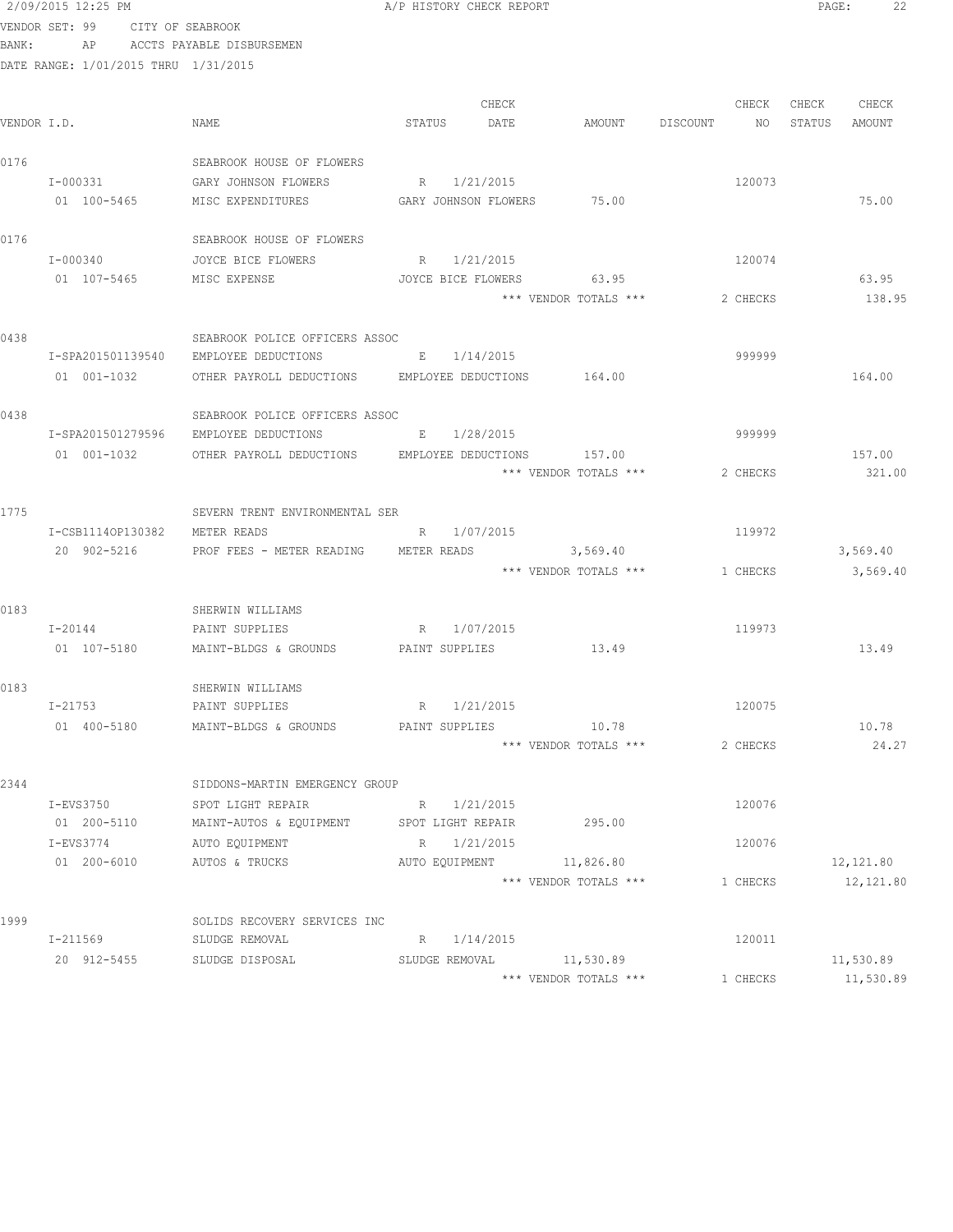|       | 2/09/2015 12:25 PM                   |                                                     | A/P HISTORY CHECK REPORT   |                       |                                | 22<br>PAGE:      |
|-------|--------------------------------------|-----------------------------------------------------|----------------------------|-----------------------|--------------------------------|------------------|
|       | VENDOR SET: 99<br>CITY OF SEABROOK   |                                                     |                            |                       |                                |                  |
| BANK: | AP                                   | ACCTS PAYABLE DISBURSEMEN                           |                            |                       |                                |                  |
|       | DATE RANGE: 1/01/2015 THRU 1/31/2015 |                                                     |                            |                       |                                |                  |
|       |                                      |                                                     |                            |                       |                                |                  |
|       |                                      |                                                     | CHECK                      |                       | CHECK                          | CHECK<br>CHECK   |
|       | VENDOR I.D.                          | NAME                                                | STATUS<br>DATE             | AMOUNT                | DISCOUNT<br>NO.                | STATUS<br>AMOUNT |
|       |                                      |                                                     |                            |                       |                                |                  |
| 0176  |                                      | SEABROOK HOUSE OF FLOWERS                           |                            |                       |                                |                  |
|       | I-000331                             | GARY JOHNSON FLOWERS                                | R 1/21/2015                |                       | 120073                         |                  |
|       | 01 100-5465                          | MISC EXPENDITURES                                   | GARY JOHNSON FLOWERS 75.00 |                       |                                | 75.00            |
| 0176  |                                      | SEABROOK HOUSE OF FLOWERS                           |                            |                       |                                |                  |
|       | I-000340                             | JOYCE BICE FLOWERS                                  | R 1/21/2015                |                       | 120074                         |                  |
|       | 01 107-5465                          | MISC EXPENSE                                        | JOYCE BICE FLOWERS         | 63.95                 |                                | 63.95            |
|       |                                      |                                                     |                            | *** VENDOR TOTALS *** | 2 CHECKS                       | 138.95           |
|       |                                      |                                                     |                            |                       |                                |                  |
| 0438  |                                      | SEABROOK POLICE OFFICERS ASSOC                      |                            |                       |                                |                  |
|       | I-SPA201501139540                    | EMPLOYEE DEDUCTIONS                                 | E 1/14/2015                |                       | 999999                         |                  |
|       | 01 001-1032                          | OTHER PAYROLL DEDUCTIONS EMPLOYEE DEDUCTIONS 164.00 |                            |                       |                                | 164.00           |
|       |                                      |                                                     |                            |                       |                                |                  |
| 0438  |                                      | SEABROOK POLICE OFFICERS ASSOC                      |                            |                       |                                |                  |
|       |                                      | I-SPA201501279596 EMPLOYEE DEDUCTIONS               | E 1/28/2015                |                       | 999999                         |                  |
|       | 01 001-1032                          | OTHER PAYROLL DEDUCTIONS EMPLOYEE DEDUCTIONS        |                            | 157.00                |                                | 157.00           |
|       |                                      |                                                     |                            | *** VENDOR TOTALS *** | 2 CHECKS                       | 321.00           |
|       |                                      |                                                     |                            |                       |                                |                  |
| 1775  |                                      | SEVERN TRENT ENVIRONMENTAL SER                      |                            |                       |                                |                  |
|       | I-CSB11140P130382                    | METER READS                                         | 1/07/2015<br>R             |                       | 119972                         |                  |
|       | 20 902-5216                          | PROF FEES - METER READING                           | METER READS                | 3,569.40              |                                | 3,569.40         |
|       |                                      |                                                     |                            |                       | *** VENDOR TOTALS *** 1 CHECKS | 3,569.40         |
| 0183  |                                      | SHERWIN WILLIAMS                                    |                            |                       |                                |                  |
|       | $I - 20144$                          | PAINT SUPPLIES                                      | R 1/07/2015                |                       | 119973                         |                  |
|       | 01 107-5180                          | MAINT-BLDGS & GROUNDS                               | PAINT SUPPLIES             | 13.49                 |                                | 13.49            |
|       |                                      |                                                     |                            |                       |                                |                  |
| 0183  |                                      | SHERWIN WILLIAMS                                    |                            |                       |                                |                  |
|       | I-21753                              | PAINT SUPPLIES                                      | 1/21/2015<br>R             |                       | 120075                         |                  |
|       | 01 400-5180                          | MAINT-BLDGS & GROUNDS                               | PAINT SUPPLIES             | 10.78                 |                                | 10.78            |
|       |                                      |                                                     |                            | *** VENDOR TOTALS *** | 2 CHECKS                       | 24.27            |
|       |                                      |                                                     |                            |                       |                                |                  |
| 2344  |                                      | SIDDONS-MARTIN EMERGENCY GROUP                      |                            |                       |                                |                  |
|       | I-EVS3750                            | SPOT LIGHT REPAIR                                   | R 1/21/2015                |                       | 120076                         |                  |
|       | 01 200-5110                          | MAINT-AUTOS & EQUIPMENT                             | SPOT LIGHT REPAIR          | 295.00                |                                |                  |
|       | I-EVS3774                            | AUTO EQUIPMENT                                      | 1/21/2015<br>R             |                       | 120076                         |                  |
|       | 01 200-6010                          | AUTOS & TRUCKS                                      | AUTO EOUIPMENT             | 11,826.80             |                                | 12,121.80        |
|       |                                      |                                                     |                            | *** VENDOR TOTALS *** | 1 CHECKS                       | 12,121.80        |
|       |                                      |                                                     |                            |                       |                                |                  |
| 1999  |                                      | SOLIDS RECOVERY SERVICES INC                        |                            |                       |                                |                  |
|       | I-211569                             | SLUDGE REMOVAL                                      | R 1/14/2015                |                       | 120011                         |                  |
|       | 20 912-5455                          | SLUDGE DISPOSAL                                     | SLUDGE REMOVAL             | 11,530.89             |                                | 11,530.89        |
|       |                                      |                                                     |                            | *** VENDOR TOTALS *** | 1 CHECKS                       | 11,530.89        |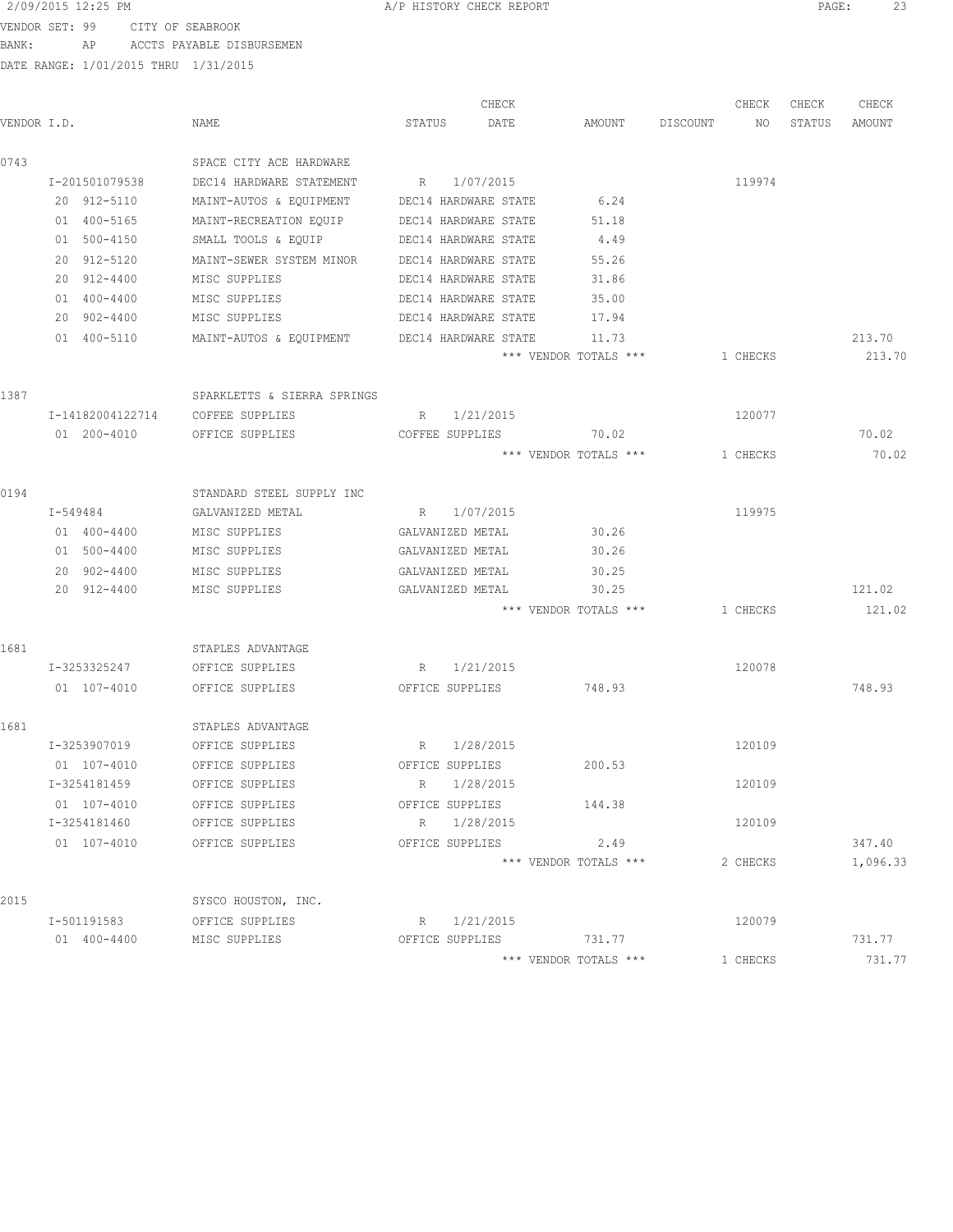VENDOR SET: 99 CITY OF SEABROOK BANK: AP ACCTS PAYABLE DISBURSEMEN

|             |                  |                             | CHECK                |      |                       |          | CHECK    | CHECK  | CHECK    |
|-------------|------------------|-----------------------------|----------------------|------|-----------------------|----------|----------|--------|----------|
| VENDOR I.D. |                  | NAME                        | STATUS               | DATE | AMOUNT                | DISCOUNT | NO.      | STATUS | AMOUNT   |
| 0743        |                  | SPACE CITY ACE HARDWARE     |                      |      |                       |          |          |        |          |
|             | I-201501079538   | DEC14 HARDWARE STATEMENT    | 1/07/2015<br>R       |      |                       |          | 119974   |        |          |
|             | 20 912-5110      | MAINT-AUTOS & EQUIPMENT     | DEC14 HARDWARE STATE |      | 6.24                  |          |          |        |          |
|             | 01 400-5165      | MAINT-RECREATION EQUIP      | DEC14 HARDWARE STATE |      | 51.18                 |          |          |        |          |
|             | 01 500-4150      | SMALL TOOLS & EQUIP         | DEC14 HARDWARE STATE |      | 4.49                  |          |          |        |          |
|             | 20 912-5120      | MAINT-SEWER SYSTEM MINOR    | DEC14 HARDWARE STATE |      | 55.26                 |          |          |        |          |
|             | 20 912-4400      | MISC SUPPLIES               | DEC14 HARDWARE STATE |      | 31.86                 |          |          |        |          |
|             | 01 400-4400      | MISC SUPPLIES               | DEC14 HARDWARE STATE |      | 35.00                 |          |          |        |          |
|             | 20 902-4400      | MISC SUPPLIES               | DEC14 HARDWARE STATE |      | 17.94                 |          |          |        |          |
|             | 01 400-5110      | MAINT-AUTOS & EQUIPMENT     | DEC14 HARDWARE STATE |      | 11.73                 |          |          |        | 213.70   |
|             |                  |                             |                      |      | *** VENDOR TOTALS *** |          | 1 CHECKS |        | 213.70   |
| 1387        |                  | SPARKLETTS & SIERRA SPRINGS |                      |      |                       |          |          |        |          |
|             | I-14182004122714 | COFFEE SUPPLIES             | 1/21/2015<br>R       |      |                       |          | 120077   |        |          |
|             | 01 200-4010      | OFFICE SUPPLIES             | COFFEE SUPPLIES      |      | 70.02                 |          |          |        | 70.02    |
|             |                  |                             |                      |      | *** VENDOR TOTALS *** |          | 1 CHECKS |        | 70.02    |
| 0194        |                  | STANDARD STEEL SUPPLY INC   |                      |      |                       |          |          |        |          |
|             | I-549484         | GALVANIZED METAL            | R 1/07/2015          |      |                       |          | 119975   |        |          |
|             | 01 400-4400      | MISC SUPPLIES               | GALVANIZED METAL     |      | 30.26                 |          |          |        |          |
|             | 01 500-4400      | MISC SUPPLIES               | GALVANIZED METAL     |      | 30.26                 |          |          |        |          |
|             | 20 902-4400      | MISC SUPPLIES               | GALVANIZED METAL     |      | 30.25                 |          |          |        |          |
|             | 20 912-4400      | MISC SUPPLIES               | GALVANIZED METAL     |      | 30.25                 |          |          |        | 121.02   |
|             |                  |                             |                      |      | *** VENDOR TOTALS *** |          | 1 CHECKS |        | 121.02   |
| 1681        |                  | STAPLES ADVANTAGE           |                      |      |                       |          |          |        |          |
|             | I-3253325247     | OFFICE SUPPLIES             | R 1/21/2015          |      |                       |          | 120078   |        |          |
|             | 01 107-4010      | OFFICE SUPPLIES             | OFFICE SUPPLIES      |      | 748.93                |          |          |        | 748.93   |
| 1681        |                  | STAPLES ADVANTAGE           |                      |      |                       |          |          |        |          |
|             | I-3253907019     | OFFICE SUPPLIES             | 1/28/2015<br>R       |      |                       |          | 120109   |        |          |
|             | 01 107-4010      | OFFICE SUPPLIES             | OFFICE SUPPLIES      |      | 200.53                |          |          |        |          |
|             | I-3254181459     | OFFICE SUPPLIES             | 1/28/2015<br>R       |      |                       |          | 120109   |        |          |
|             | 01 107-4010      | OFFICE SUPPLIES             | OFFICE SUPPLIES      |      | 144.38                |          |          |        |          |
|             | I-3254181460     | OFFICE SUPPLIES             | R 1/28/2015          |      |                       |          | 120109   |        |          |
|             | 01 107-4010      | OFFICE SUPPLIES             | OFFICE SUPPLIES      |      | 2.49                  |          |          |        | 347.40   |
|             |                  |                             |                      |      | *** VENDOR TOTALS *** |          | 2 CHECKS |        | 1,096.33 |
| 2015        |                  | SYSCO HOUSTON, INC.         |                      |      |                       |          |          |        |          |
|             | I-501191583      | OFFICE SUPPLIES             | R 1/21/2015          |      |                       |          | 120079   |        |          |
|             | 01 400-4400      | MISC SUPPLIES               | OFFICE SUPPLIES      |      | 731.77                |          |          |        | 731.77   |
|             |                  |                             |                      |      | *** VENDOR TOTALS *** |          | 1 CHECKS |        | 731.77   |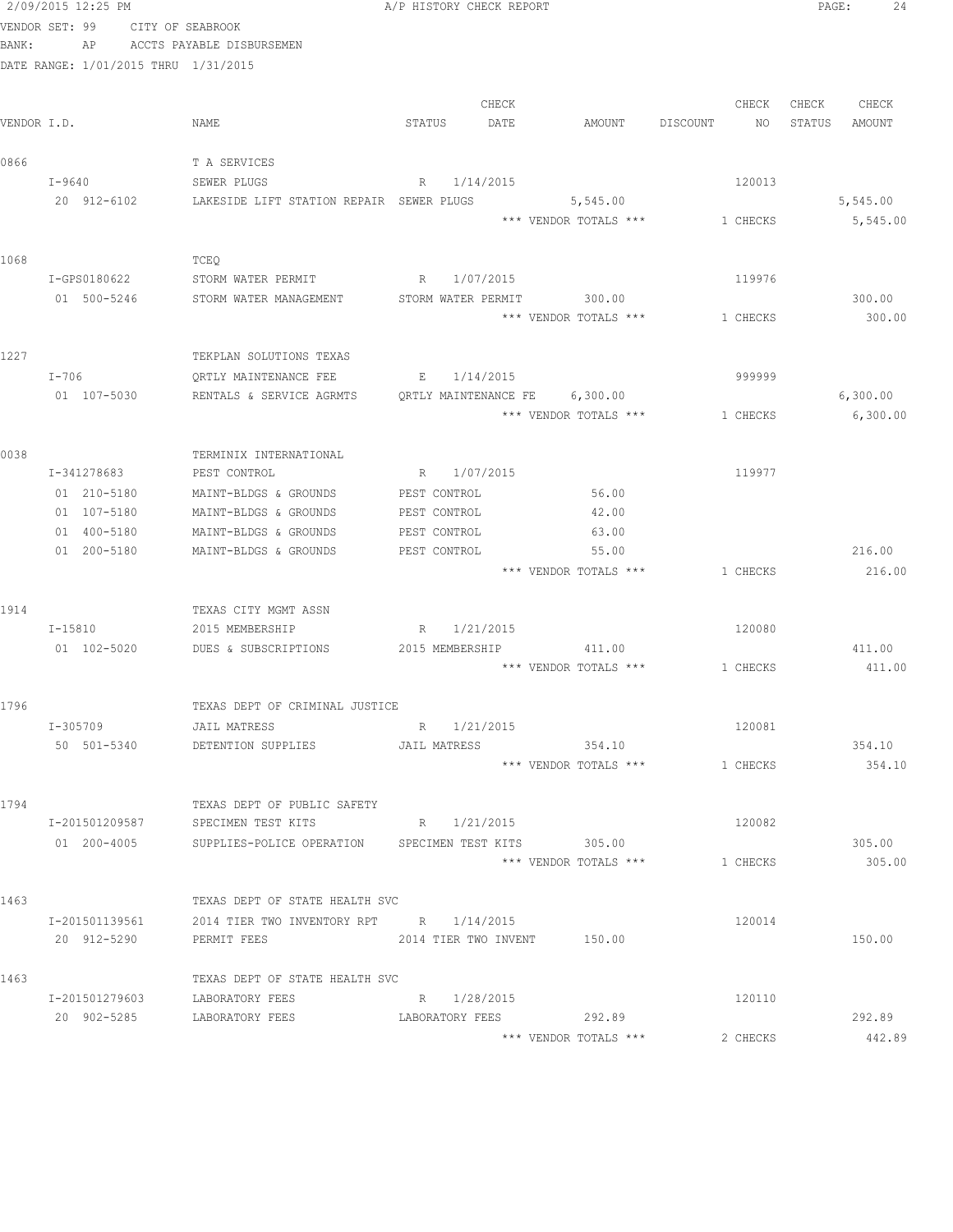|             | 2/09/2015 12:25 PM |                               |                                                     | A/P HISTORY CHECK REPORT       |                       |                | PAGE:<br>24      |
|-------------|--------------------|-------------------------------|-----------------------------------------------------|--------------------------------|-----------------------|----------------|------------------|
|             | VENDOR SET: 99     |                               | CITY OF SEABROOK                                    |                                |                       |                |                  |
| BANK:       | AP                 |                               | ACCTS PAYABLE DISBURSEMEN                           |                                |                       |                |                  |
|             |                    |                               | DATE RANGE: 1/01/2015 THRU 1/31/2015                |                                |                       |                |                  |
|             |                    |                               |                                                     |                                |                       |                |                  |
|             |                    |                               |                                                     | CHECK                          |                       | CHECK          | CHECK<br>CHECK   |
| VENDOR I.D. |                    |                               | NAME                                                | STATUS<br>DATE                 | AMOUNT                | DISCOUNT<br>NO | STATUS<br>AMOUNT |
| 0866        |                    |                               | T A SERVICES                                        |                                |                       |                |                  |
|             | I-9640             |                               | SEWER PLUGS                                         | R 1/14/2015                    |                       | 120013         |                  |
|             | 20 912-6102        |                               | LAKESIDE LIFT STATION REPAIR SEWER PLUGS            |                                | 5,545.00              |                | 5,545.00         |
|             |                    |                               |                                                     |                                | *** VENDOR TOTALS *** | 1 CHECKS       | 5,545.00         |
|             |                    |                               |                                                     |                                |                       |                |                  |
| 1068        |                    |                               | TCEQ                                                |                                |                       |                |                  |
|             | I-GPS0180622       |                               | STORM WATER PERMIT                                  | R 1/07/2015                    |                       | 119976         |                  |
|             | 01 500-5246        |                               | STORM WATER MANAGEMENT                              | STORM WATER PERMIT             | 300.00                |                | 300.00           |
|             |                    |                               |                                                     |                                | *** VENDOR TOTALS *** | 1 CHECKS       | 300.00           |
|             |                    |                               |                                                     |                                |                       |                |                  |
| 1227        |                    |                               | TEKPLAN SOLUTIONS TEXAS                             |                                |                       |                |                  |
|             | $I-706$            |                               | QRTLY MAINTENANCE FEE                               | E 1/14/2015                    |                       | 999999         |                  |
|             | 01 107-5030        |                               | RENTALS & SERVICE AGRMTS                            | QRTLY MAINTENANCE FE 6,300.00  |                       |                | 6,300.00         |
|             |                    |                               |                                                     |                                | *** VENDOR TOTALS *** | 1 CHECKS       | 6,300.00         |
| 0038        |                    |                               | TERMINIX INTERNATIONAL                              |                                |                       |                |                  |
|             | I-341278683        |                               | PEST CONTROL                                        | R 1/07/2015                    |                       | 119977         |                  |
|             | 01 210-5180        |                               | MAINT-BLDGS & GROUNDS                               | PEST CONTROL                   | 56.00                 |                |                  |
|             | 01 107-5180        |                               | MAINT-BLDGS & GROUNDS                               | PEST CONTROL                   | 42.00                 |                |                  |
|             | 01 400-5180        |                               | MAINT-BLDGS & GROUNDS                               | PEST CONTROL                   | 63.00                 |                |                  |
|             | 01 200-5180        |                               | MAINT-BLDGS & GROUNDS                               | PEST CONTROL                   | 55.00                 |                | 216.00           |
|             |                    |                               |                                                     |                                | *** VENDOR TOTALS *** | 1 CHECKS       | 216.00           |
|             |                    |                               |                                                     |                                |                       |                |                  |
| 1914        |                    |                               | TEXAS CITY MGMT ASSN                                |                                |                       |                |                  |
|             | I-15810            |                               | 2015 MEMBERSHIP                                     | R 1/21/2015                    |                       | 120080         |                  |
|             | 01 102-5020        |                               | DUES & SUBSCRIPTIONS                                | 2015 MEMBERSHIP                | 411.00                |                | 411.00           |
|             |                    |                               |                                                     |                                | *** VENDOR TOTALS *** | 1 CHECKS       | 411.00           |
| 1796        |                    |                               | TEXAS DEPT OF CRIMINAL JUSTICE                      |                                |                       |                |                  |
|             | I-305709           |                               | JAIL MATRESS                                        | R 1/21/2015                    |                       | 120081         |                  |
|             |                    | 50 501-5340                   | DETENTION SUPPLIES                                  | JAIL MATRESS                   | 354.10                |                | 354.10           |
|             |                    |                               |                                                     |                                | *** VENDOR TOTALS *** | 1 CHECKS       | 354.10           |
|             |                    |                               |                                                     |                                |                       |                |                  |
| 1794        |                    |                               | TEXAS DEPT OF PUBLIC SAFETY                         |                                |                       |                |                  |
|             |                    | I-201501209587                | SPECIMEN TEST KITS                                  | R 1/21/2015                    |                       | 120082         |                  |
|             |                    | 01 200-4005                   | SUPPLIES-POLICE OPERATION SPECIMEN TEST KITS 305.00 |                                |                       |                | 305.00           |
|             |                    |                               |                                                     |                                | *** VENDOR TOTALS *** | 1 CHECKS       | 305.00           |
|             |                    |                               |                                                     |                                |                       |                |                  |
| 1463        |                    |                               | TEXAS DEPT OF STATE HEALTH SVC                      |                                |                       |                |                  |
|             |                    | I-201501139561                | 2014 TIER TWO INVENTORY RPT R 1/14/2015             |                                |                       | 120014         |                  |
|             |                    | 20 912-5290                   | PERMIT FEES                                         | 2014 TIER TWO INVENT 150.00    |                       |                | 150.00           |
|             |                    |                               |                                                     |                                |                       |                |                  |
| 1463        |                    |                               | TEXAS DEPT OF STATE HEALTH SVC                      |                                |                       |                |                  |
|             |                    | I-201501279603<br>20 902-5285 | LABORATORY FEES<br>LABORATORY FEES                  | R 1/28/2015<br>LABORATORY FEES | 292.89                | 120110         | 292.89           |
|             |                    |                               |                                                     |                                | *** VENDOR TOTALS *** | 2 CHECKS       | 442.89           |
|             |                    |                               |                                                     |                                |                       |                |                  |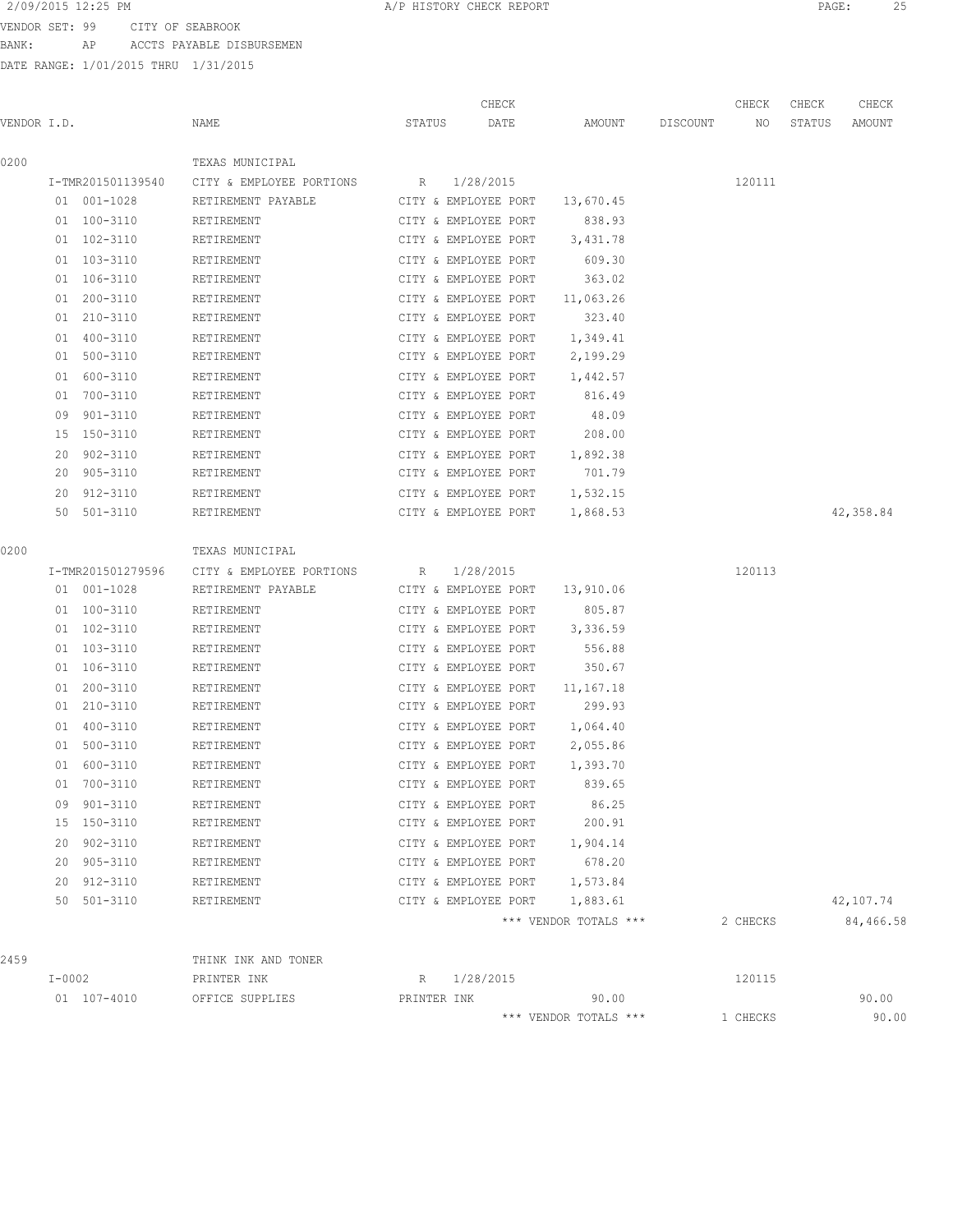VENDOR SET: 99 CITY OF SEABROOK BANK: AP ACCTS PAYABLE DISBURSEMEN

| CHECK<br>CHECK<br>CHECK<br>VENDOR I.D.<br>AMOUNT<br>NAME<br>STATUS<br>DATE<br>DISCOUNT<br>NO<br>STATUS<br>AMOUNT<br>0200<br>TEXAS MUNICIPAL<br>I-TMR201501139540<br>CITY & EMPLOYEE PORTIONS<br>1/28/2015<br>120111<br>$R_{\rm max}$<br>01 001-1028<br>RETIREMENT PAYABLE<br>CITY & EMPLOYEE PORT<br>13,670.45<br>01 100-3110<br>CITY & EMPLOYEE PORT<br>838.93<br>RETIREMENT<br>01 102-3110<br>3,431.78<br>RETIREMENT<br>CITY & EMPLOYEE PORT<br>01 103-3110<br>CITY & EMPLOYEE PORT<br>609.30<br>RETIREMENT<br>363.02<br>01 106-3110<br>CITY & EMPLOYEE PORT<br>RETIREMENT<br>01 200-3110<br>RETIREMENT<br>CITY & EMPLOYEE PORT<br>11,063.26<br>323.40<br>01 210-3110<br>RETIREMENT<br>CITY & EMPLOYEE PORT<br>01 400-3110<br>CITY & EMPLOYEE PORT<br>1,349.41<br>RETIREMENT<br>01 500-3110<br>2,199.29<br>RETIREMENT<br>CITY & EMPLOYEE PORT<br>01 600-3110<br>CITY & EMPLOYEE PORT<br>1,442.57<br>RETIREMENT<br>01 700-3110<br>816.49<br>RETIREMENT<br>CITY & EMPLOYEE PORT<br>48.09<br>09 901-3110<br>RETIREMENT<br>CITY & EMPLOYEE PORT<br>15 150-3110<br>RETIREMENT<br>CITY & EMPLOYEE PORT<br>208.00<br>902-3110<br>1,892.38<br>20<br>RETIREMENT<br>CITY & EMPLOYEE PORT<br>701.79<br>20<br>905-3110<br>RETIREMENT<br>CITY & EMPLOYEE PORT<br>20 912-3110<br>RETIREMENT<br>CITY & EMPLOYEE PORT<br>1,532.15<br>42,358.84<br>50 501-3110<br>CITY & EMPLOYEE PORT<br>1,868.53<br>RETIREMENT<br>0200<br>TEXAS MUNICIPAL<br>1/28/2015<br>120113<br>I-TMR201501279596<br>CITY & EMPLOYEE PORTIONS<br>R<br>01 001-1028<br>CITY & EMPLOYEE PORT<br>13,910.06<br>RETIREMENT PAYABLE<br>805.87<br>01 100-3110<br>CITY & EMPLOYEE PORT<br>RETIREMENT<br>01 102-3110<br>CITY & EMPLOYEE PORT<br>3,336.59<br>RETIREMENT<br>01 103-3110<br>556.88<br>RETIREMENT<br>CITY & EMPLOYEE PORT<br>350.67<br>01 106-3110<br>RETIREMENT<br>CITY & EMPLOYEE PORT | CHECK |
|---------------------------------------------------------------------------------------------------------------------------------------------------------------------------------------------------------------------------------------------------------------------------------------------------------------------------------------------------------------------------------------------------------------------------------------------------------------------------------------------------------------------------------------------------------------------------------------------------------------------------------------------------------------------------------------------------------------------------------------------------------------------------------------------------------------------------------------------------------------------------------------------------------------------------------------------------------------------------------------------------------------------------------------------------------------------------------------------------------------------------------------------------------------------------------------------------------------------------------------------------------------------------------------------------------------------------------------------------------------------------------------------------------------------------------------------------------------------------------------------------------------------------------------------------------------------------------------------------------------------------------------------------------------------------------------------------------------------------------------------------------------------------------------------------------------------------------------------------|-------|
|                                                                                                                                                                                                                                                                                                                                                                                                                                                                                                                                                                                                                                                                                                                                                                                                                                                                                                                                                                                                                                                                                                                                                                                                                                                                                                                                                                                                                                                                                                                                                                                                                                                                                                                                                                                                                                                   |       |
|                                                                                                                                                                                                                                                                                                                                                                                                                                                                                                                                                                                                                                                                                                                                                                                                                                                                                                                                                                                                                                                                                                                                                                                                                                                                                                                                                                                                                                                                                                                                                                                                                                                                                                                                                                                                                                                   |       |
|                                                                                                                                                                                                                                                                                                                                                                                                                                                                                                                                                                                                                                                                                                                                                                                                                                                                                                                                                                                                                                                                                                                                                                                                                                                                                                                                                                                                                                                                                                                                                                                                                                                                                                                                                                                                                                                   |       |
|                                                                                                                                                                                                                                                                                                                                                                                                                                                                                                                                                                                                                                                                                                                                                                                                                                                                                                                                                                                                                                                                                                                                                                                                                                                                                                                                                                                                                                                                                                                                                                                                                                                                                                                                                                                                                                                   |       |
|                                                                                                                                                                                                                                                                                                                                                                                                                                                                                                                                                                                                                                                                                                                                                                                                                                                                                                                                                                                                                                                                                                                                                                                                                                                                                                                                                                                                                                                                                                                                                                                                                                                                                                                                                                                                                                                   |       |
|                                                                                                                                                                                                                                                                                                                                                                                                                                                                                                                                                                                                                                                                                                                                                                                                                                                                                                                                                                                                                                                                                                                                                                                                                                                                                                                                                                                                                                                                                                                                                                                                                                                                                                                                                                                                                                                   |       |
|                                                                                                                                                                                                                                                                                                                                                                                                                                                                                                                                                                                                                                                                                                                                                                                                                                                                                                                                                                                                                                                                                                                                                                                                                                                                                                                                                                                                                                                                                                                                                                                                                                                                                                                                                                                                                                                   |       |
|                                                                                                                                                                                                                                                                                                                                                                                                                                                                                                                                                                                                                                                                                                                                                                                                                                                                                                                                                                                                                                                                                                                                                                                                                                                                                                                                                                                                                                                                                                                                                                                                                                                                                                                                                                                                                                                   |       |
|                                                                                                                                                                                                                                                                                                                                                                                                                                                                                                                                                                                                                                                                                                                                                                                                                                                                                                                                                                                                                                                                                                                                                                                                                                                                                                                                                                                                                                                                                                                                                                                                                                                                                                                                                                                                                                                   |       |
|                                                                                                                                                                                                                                                                                                                                                                                                                                                                                                                                                                                                                                                                                                                                                                                                                                                                                                                                                                                                                                                                                                                                                                                                                                                                                                                                                                                                                                                                                                                                                                                                                                                                                                                                                                                                                                                   |       |
|                                                                                                                                                                                                                                                                                                                                                                                                                                                                                                                                                                                                                                                                                                                                                                                                                                                                                                                                                                                                                                                                                                                                                                                                                                                                                                                                                                                                                                                                                                                                                                                                                                                                                                                                                                                                                                                   |       |
|                                                                                                                                                                                                                                                                                                                                                                                                                                                                                                                                                                                                                                                                                                                                                                                                                                                                                                                                                                                                                                                                                                                                                                                                                                                                                                                                                                                                                                                                                                                                                                                                                                                                                                                                                                                                                                                   |       |
|                                                                                                                                                                                                                                                                                                                                                                                                                                                                                                                                                                                                                                                                                                                                                                                                                                                                                                                                                                                                                                                                                                                                                                                                                                                                                                                                                                                                                                                                                                                                                                                                                                                                                                                                                                                                                                                   |       |
|                                                                                                                                                                                                                                                                                                                                                                                                                                                                                                                                                                                                                                                                                                                                                                                                                                                                                                                                                                                                                                                                                                                                                                                                                                                                                                                                                                                                                                                                                                                                                                                                                                                                                                                                                                                                                                                   |       |
|                                                                                                                                                                                                                                                                                                                                                                                                                                                                                                                                                                                                                                                                                                                                                                                                                                                                                                                                                                                                                                                                                                                                                                                                                                                                                                                                                                                                                                                                                                                                                                                                                                                                                                                                                                                                                                                   |       |
|                                                                                                                                                                                                                                                                                                                                                                                                                                                                                                                                                                                                                                                                                                                                                                                                                                                                                                                                                                                                                                                                                                                                                                                                                                                                                                                                                                                                                                                                                                                                                                                                                                                                                                                                                                                                                                                   |       |
|                                                                                                                                                                                                                                                                                                                                                                                                                                                                                                                                                                                                                                                                                                                                                                                                                                                                                                                                                                                                                                                                                                                                                                                                                                                                                                                                                                                                                                                                                                                                                                                                                                                                                                                                                                                                                                                   |       |
|                                                                                                                                                                                                                                                                                                                                                                                                                                                                                                                                                                                                                                                                                                                                                                                                                                                                                                                                                                                                                                                                                                                                                                                                                                                                                                                                                                                                                                                                                                                                                                                                                                                                                                                                                                                                                                                   |       |
|                                                                                                                                                                                                                                                                                                                                                                                                                                                                                                                                                                                                                                                                                                                                                                                                                                                                                                                                                                                                                                                                                                                                                                                                                                                                                                                                                                                                                                                                                                                                                                                                                                                                                                                                                                                                                                                   |       |
|                                                                                                                                                                                                                                                                                                                                                                                                                                                                                                                                                                                                                                                                                                                                                                                                                                                                                                                                                                                                                                                                                                                                                                                                                                                                                                                                                                                                                                                                                                                                                                                                                                                                                                                                                                                                                                                   |       |
|                                                                                                                                                                                                                                                                                                                                                                                                                                                                                                                                                                                                                                                                                                                                                                                                                                                                                                                                                                                                                                                                                                                                                                                                                                                                                                                                                                                                                                                                                                                                                                                                                                                                                                                                                                                                                                                   |       |
|                                                                                                                                                                                                                                                                                                                                                                                                                                                                                                                                                                                                                                                                                                                                                                                                                                                                                                                                                                                                                                                                                                                                                                                                                                                                                                                                                                                                                                                                                                                                                                                                                                                                                                                                                                                                                                                   |       |
|                                                                                                                                                                                                                                                                                                                                                                                                                                                                                                                                                                                                                                                                                                                                                                                                                                                                                                                                                                                                                                                                                                                                                                                                                                                                                                                                                                                                                                                                                                                                                                                                                                                                                                                                                                                                                                                   |       |
|                                                                                                                                                                                                                                                                                                                                                                                                                                                                                                                                                                                                                                                                                                                                                                                                                                                                                                                                                                                                                                                                                                                                                                                                                                                                                                                                                                                                                                                                                                                                                                                                                                                                                                                                                                                                                                                   |       |
|                                                                                                                                                                                                                                                                                                                                                                                                                                                                                                                                                                                                                                                                                                                                                                                                                                                                                                                                                                                                                                                                                                                                                                                                                                                                                                                                                                                                                                                                                                                                                                                                                                                                                                                                                                                                                                                   |       |
|                                                                                                                                                                                                                                                                                                                                                                                                                                                                                                                                                                                                                                                                                                                                                                                                                                                                                                                                                                                                                                                                                                                                                                                                                                                                                                                                                                                                                                                                                                                                                                                                                                                                                                                                                                                                                                                   |       |
|                                                                                                                                                                                                                                                                                                                                                                                                                                                                                                                                                                                                                                                                                                                                                                                                                                                                                                                                                                                                                                                                                                                                                                                                                                                                                                                                                                                                                                                                                                                                                                                                                                                                                                                                                                                                                                                   |       |
|                                                                                                                                                                                                                                                                                                                                                                                                                                                                                                                                                                                                                                                                                                                                                                                                                                                                                                                                                                                                                                                                                                                                                                                                                                                                                                                                                                                                                                                                                                                                                                                                                                                                                                                                                                                                                                                   |       |
| 01 200-3110<br>CITY & EMPLOYEE PORT<br>11,167.18<br>RETIREMENT                                                                                                                                                                                                                                                                                                                                                                                                                                                                                                                                                                                                                                                                                                                                                                                                                                                                                                                                                                                                                                                                                                                                                                                                                                                                                                                                                                                                                                                                                                                                                                                                                                                                                                                                                                                    |       |
| 299.93<br>01 210-3110<br>CITY & EMPLOYEE PORT<br>RETIREMENT                                                                                                                                                                                                                                                                                                                                                                                                                                                                                                                                                                                                                                                                                                                                                                                                                                                                                                                                                                                                                                                                                                                                                                                                                                                                                                                                                                                                                                                                                                                                                                                                                                                                                                                                                                                       |       |
| 01 400-3110<br>1,064.40<br>RETIREMENT<br>CITY & EMPLOYEE PORT                                                                                                                                                                                                                                                                                                                                                                                                                                                                                                                                                                                                                                                                                                                                                                                                                                                                                                                                                                                                                                                                                                                                                                                                                                                                                                                                                                                                                                                                                                                                                                                                                                                                                                                                                                                     |       |
| 01 500-3110<br>RETIREMENT<br>CITY & EMPLOYEE PORT<br>2,055.86                                                                                                                                                                                                                                                                                                                                                                                                                                                                                                                                                                                                                                                                                                                                                                                                                                                                                                                                                                                                                                                                                                                                                                                                                                                                                                                                                                                                                                                                                                                                                                                                                                                                                                                                                                                     |       |
| 01 600-3110<br>1,393.70<br>RETIREMENT<br>CITY & EMPLOYEE PORT                                                                                                                                                                                                                                                                                                                                                                                                                                                                                                                                                                                                                                                                                                                                                                                                                                                                                                                                                                                                                                                                                                                                                                                                                                                                                                                                                                                                                                                                                                                                                                                                                                                                                                                                                                                     |       |
| 01 700-3110<br>839.65<br>RETIREMENT<br>CITY & EMPLOYEE PORT                                                                                                                                                                                                                                                                                                                                                                                                                                                                                                                                                                                                                                                                                                                                                                                                                                                                                                                                                                                                                                                                                                                                                                                                                                                                                                                                                                                                                                                                                                                                                                                                                                                                                                                                                                                       |       |
| 86.25<br>09 901-3110<br>CITY & EMPLOYEE PORT<br>RETIREMENT                                                                                                                                                                                                                                                                                                                                                                                                                                                                                                                                                                                                                                                                                                                                                                                                                                                                                                                                                                                                                                                                                                                                                                                                                                                                                                                                                                                                                                                                                                                                                                                                                                                                                                                                                                                        |       |
| 15 150-3110<br>200.91<br>RETIREMENT<br>CITY & EMPLOYEE PORT                                                                                                                                                                                                                                                                                                                                                                                                                                                                                                                                                                                                                                                                                                                                                                                                                                                                                                                                                                                                                                                                                                                                                                                                                                                                                                                                                                                                                                                                                                                                                                                                                                                                                                                                                                                       |       |
| 20 902-3110<br>RETIREMENT<br>CITY & EMPLOYEE PORT<br>1,904.14                                                                                                                                                                                                                                                                                                                                                                                                                                                                                                                                                                                                                                                                                                                                                                                                                                                                                                                                                                                                                                                                                                                                                                                                                                                                                                                                                                                                                                                                                                                                                                                                                                                                                                                                                                                     |       |
| 678.20<br>20 905-3110<br>RETIREMENT<br>CITY & EMPLOYEE PORT                                                                                                                                                                                                                                                                                                                                                                                                                                                                                                                                                                                                                                                                                                                                                                                                                                                                                                                                                                                                                                                                                                                                                                                                                                                                                                                                                                                                                                                                                                                                                                                                                                                                                                                                                                                       |       |
| 20 912-3110<br>CITY & EMPLOYEE PORT 1,573.84<br>RETIREMENT                                                                                                                                                                                                                                                                                                                                                                                                                                                                                                                                                                                                                                                                                                                                                                                                                                                                                                                                                                                                                                                                                                                                                                                                                                                                                                                                                                                                                                                                                                                                                                                                                                                                                                                                                                                        |       |
| 42,107.74<br>50 501-3110<br>RETIREMENT<br>CITY & EMPLOYEE PORT 1,883.61                                                                                                                                                                                                                                                                                                                                                                                                                                                                                                                                                                                                                                                                                                                                                                                                                                                                                                                                                                                                                                                                                                                                                                                                                                                                                                                                                                                                                                                                                                                                                                                                                                                                                                                                                                           |       |
| *** VENDOR TOTALS ***<br>2 CHECKS<br>84,466.58                                                                                                                                                                                                                                                                                                                                                                                                                                                                                                                                                                                                                                                                                                                                                                                                                                                                                                                                                                                                                                                                                                                                                                                                                                                                                                                                                                                                                                                                                                                                                                                                                                                                                                                                                                                                    |       |
| 2459<br>THINK INK AND TONER                                                                                                                                                                                                                                                                                                                                                                                                                                                                                                                                                                                                                                                                                                                                                                                                                                                                                                                                                                                                                                                                                                                                                                                                                                                                                                                                                                                                                                                                                                                                                                                                                                                                                                                                                                                                                       |       |
| 1/28/2015<br>120115<br>I-0002<br>PRINTER INK<br>$R_{\parallel}$                                                                                                                                                                                                                                                                                                                                                                                                                                                                                                                                                                                                                                                                                                                                                                                                                                                                                                                                                                                                                                                                                                                                                                                                                                                                                                                                                                                                                                                                                                                                                                                                                                                                                                                                                                                   |       |
| 90.00<br>01 107-4010<br>90.00<br>OFFICE SUPPLIES<br>PRINTER INK                                                                                                                                                                                                                                                                                                                                                                                                                                                                                                                                                                                                                                                                                                                                                                                                                                                                                                                                                                                                                                                                                                                                                                                                                                                                                                                                                                                                                                                                                                                                                                                                                                                                                                                                                                                   |       |
| *** VENDOR TOTALS ***<br>1 CHECKS                                                                                                                                                                                                                                                                                                                                                                                                                                                                                                                                                                                                                                                                                                                                                                                                                                                                                                                                                                                                                                                                                                                                                                                                                                                                                                                                                                                                                                                                                                                                                                                                                                                                                                                                                                                                                 | 90.00 |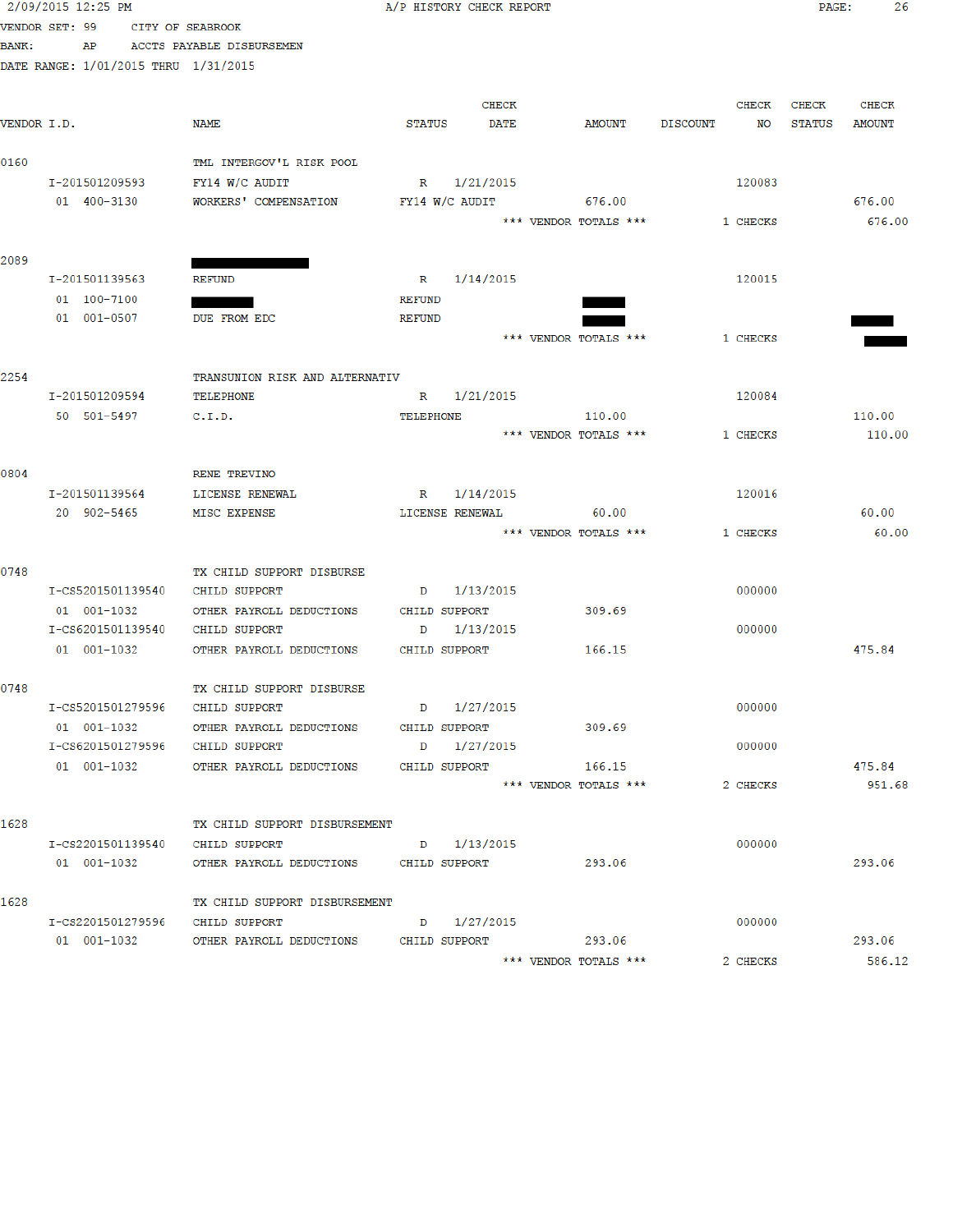|              | 2/09/2015 12:25 PM                   |                                                    |                  | A/P HISTORY CHECK REPORT |                       |                 |          | PAGE:         | 26            |
|--------------|--------------------------------------|----------------------------------------------------|------------------|--------------------------|-----------------------|-----------------|----------|---------------|---------------|
|              | VENDOR SET: 99                       | CITY OF SEABROOK                                   |                  |                          |                       |                 |          |               |               |
| <b>BANK:</b> | AP                                   | ACCTS PAYABLE DISBURSEMEN                          |                  |                          |                       |                 |          |               |               |
|              | DATE RANGE: 1/01/2015 THRU 1/31/2015 |                                                    |                  |                          |                       |                 |          |               |               |
|              |                                      |                                                    |                  |                          |                       |                 |          |               |               |
|              |                                      |                                                    |                  | <b>CHECK</b>             |                       |                 | CHECK    | CHECK         | <b>CHECK</b>  |
| VENDOR I.D.  |                                      | NAME                                               | <b>STATUS</b>    | <b>DATE</b>              | AMOUNT                | <b>DISCOUNT</b> | NO       | <b>STATUS</b> | <b>AMOUNT</b> |
|              |                                      |                                                    |                  |                          |                       |                 |          |               |               |
| 0160         |                                      | TML INTERGOV'L RISK POOL                           |                  |                          |                       |                 |          |               |               |
|              | I-201501209593                       | FY14 W/C AUDIT                                     |                  | R 1/21/2015              | 676.00                |                 | 120083   |               |               |
|              | 01 400-3130                          | WORKERS' COMPENSATION                              |                  | FY14 W/C AUDIT           |                       |                 |          |               | 676.00        |
|              |                                      |                                                    |                  |                          | *** VENDOR TOTALS *** |                 | 1 CHECKS |               | 676.00        |
| 2089         |                                      |                                                    |                  |                          |                       |                 |          |               |               |
|              | I-201501139563                       | <b>REFUND</b>                                      |                  | R 1/14/2015              |                       |                 | 120015   |               |               |
|              | 01 100-7100                          |                                                    | <b>REFUND</b>    |                          |                       |                 |          |               |               |
|              | 01 001-0507                          | DUE FROM EDC                                       | <b>REFUND</b>    |                          |                       |                 |          |               |               |
|              |                                      |                                                    |                  |                          | *** VENDOR TOTALS *** |                 | 1 CHECKS |               |               |
|              |                                      |                                                    |                  |                          |                       |                 |          |               |               |
| 2254         |                                      | TRANSUNION RISK AND ALTERNATIV                     |                  |                          |                       |                 |          |               |               |
|              | I-201501209594                       | TELEPHONE                                          | $\mathbb R$      | 1/21/2015                |                       |                 | 120084   |               |               |
|              | 50 501-5497                          | C.I.D.                                             | <b>TELEPHONE</b> |                          | 110.00                |                 |          |               | 110.00        |
|              |                                      |                                                    |                  |                          | *** VENDOR TOTALS *** |                 | 1 CHECKS |               | 110.00        |
|              |                                      |                                                    |                  |                          |                       |                 |          |               |               |
| 0804         |                                      | RENE TREVINO                                       |                  |                          |                       |                 |          |               |               |
|              | I-201501139564                       | LICENSE RENEWAL                                    | $\mathbb{R}$     | 1/14/2015                |                       |                 | 120016   |               |               |
|              | 20 902-5465                          | MISC EXPENSE                                       |                  | LICENSE RENEWAL          | 60.00                 |                 |          |               | 60.00         |
|              |                                      |                                                    |                  |                          | *** VENDOR TOTALS *** |                 | 1 CHECKS |               | 60.00         |
|              |                                      |                                                    |                  |                          |                       |                 |          |               |               |
| 0748         |                                      | TX CHILD SUPPORT DISBURSE                          |                  |                          |                       |                 |          |               |               |
|              | I-CS5201501139540                    | <b>CHILD SUPPORT</b>                               | D                | 1/13/2015                |                       |                 | 000000   |               |               |
|              | 01 001-1032                          | OTHER PAYROLL DEDUCTIONS                           |                  | CHILD SUPPORT            | 309.69                |                 |          |               |               |
|              | I-CS6201501139540                    | CHILD SUPPORT                                      | D                | 1/13/2015                |                       |                 | 000000   |               |               |
|              | 01 001-1032                          | OTHER PAYROLL DEDUCTIONS                           |                  | CHILD SUPPORT            | 166.15                |                 |          |               | 475.84        |
|              |                                      |                                                    |                  |                          |                       |                 |          |               |               |
| 0748         | I-CS5201501279596 CHILD SUPPORT      | TX CHILD SUPPORT DISBURSE                          |                  | $D = \frac{1}{27}/2015$  |                       |                 | 000000   |               |               |
|              |                                      | 01 001-1032 OTHER PAYROLL DEDUCTIONS CHILD SUPPORT |                  |                          | 309.69                |                 |          |               |               |
|              | I-CS6201501279596 CHILD SUPPORT      |                                                    |                  | D 1/27/2015              |                       |                 | 000000   |               |               |
|              | 01 001-1032                          | OTHER PAYROLL DEDUCTIONS                           |                  | CHILD SUPPORT            | 166.15                |                 |          |               | 475.84        |
|              |                                      |                                                    |                  |                          | *** VENDOR TOTALS *** |                 | 2 CHECKS |               | 951.68        |
|              |                                      |                                                    |                  |                          |                       |                 |          |               |               |
| 1628         |                                      | TX CHILD SUPPORT DISBURSEMENT                      |                  |                          |                       |                 |          |               |               |
|              | I-CS2201501139540 CHILD SUPPORT      |                                                    |                  | D 1/13/2015              |                       |                 | 000000   |               |               |
|              | 01 001-1032                          | OTHER PAYROLL DEDUCTIONS CHILD SUPPORT             |                  |                          | 293.06                |                 |          |               | 293.06        |
|              |                                      |                                                    |                  |                          |                       |                 |          |               |               |
| 1628         |                                      | TX CHILD SUPPORT DISBURSEMENT                      |                  |                          |                       |                 |          |               |               |
|              | I-CS2201501279596 CHILD SUPPORT      |                                                    |                  | D 1/27/2015              |                       |                 | 000000   |               |               |
|              |                                      | 01 001-1032 OTHER PAYROLL DEDUCTIONS CHILD SUPPORT |                  |                          | 293.06                |                 |          |               | 293.06        |
|              |                                      |                                                    |                  |                          | *** VENDOR TOTALS *** |                 | 2 CHECKS |               | 586.12        |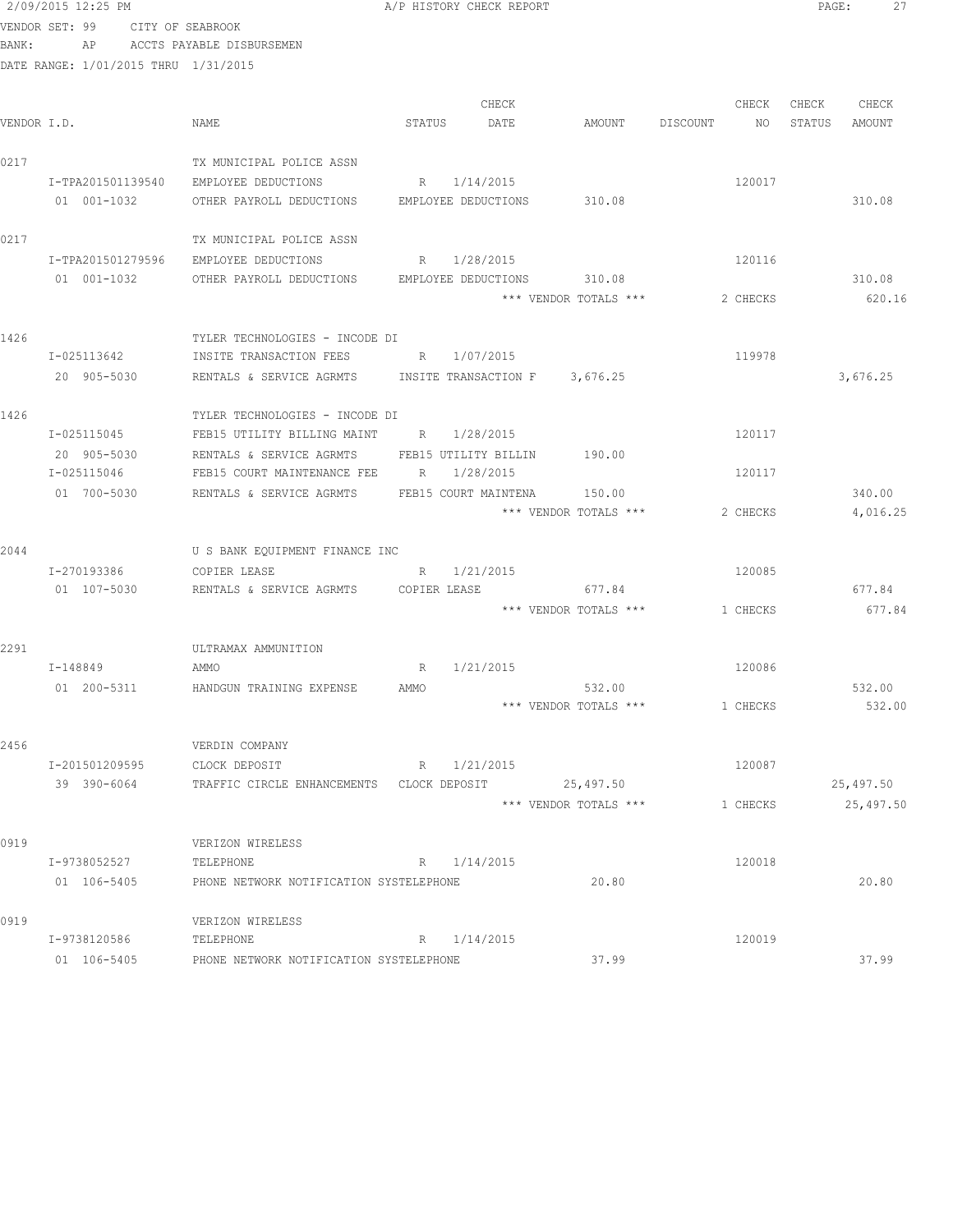|             | 2/09/2015 12:25 PM                   |                                                 |                 | A/P HISTORY CHECK REPORT         |                       |          |          | PAGE:  | 27        |
|-------------|--------------------------------------|-------------------------------------------------|-----------------|----------------------------------|-----------------------|----------|----------|--------|-----------|
|             | VENDOR SET: 99                       | CITY OF SEABROOK                                |                 |                                  |                       |          |          |        |           |
| BANK:       | AP                                   | ACCTS PAYABLE DISBURSEMEN                       |                 |                                  |                       |          |          |        |           |
|             | DATE RANGE: 1/01/2015 THRU 1/31/2015 |                                                 |                 |                                  |                       |          |          |        |           |
|             |                                      |                                                 |                 |                                  |                       |          |          |        |           |
|             |                                      |                                                 |                 | CHECK                            |                       |          | CHECK    | CHECK  | CHECK     |
| VENDOR I.D. |                                      | NAME                                            | STATUS          | DATE                             | AMOUNT                | DISCOUNT | NO       | STATUS | AMOUNT    |
|             |                                      |                                                 |                 |                                  |                       |          |          |        |           |
| 0217        |                                      | TX MUNICIPAL POLICE ASSN                        |                 |                                  |                       |          |          |        |           |
|             | I-TPA201501139540                    | EMPLOYEE DEDUCTIONS                             |                 | R 1/14/2015                      |                       |          | 120017   |        |           |
|             | 01 001-1032                          | OTHER PAYROLL DEDUCTIONS                        |                 | EMPLOYEE DEDUCTIONS              | 310.08                |          |          |        | 310.08    |
|             |                                      |                                                 |                 |                                  |                       |          |          |        |           |
| 0217        |                                      | TX MUNICIPAL POLICE ASSN                        |                 |                                  |                       |          |          |        |           |
|             | I-TPA201501279596<br>01 001-1032     | EMPLOYEE DEDUCTIONS<br>OTHER PAYROLL DEDUCTIONS | R               | 1/28/2015<br>EMPLOYEE DEDUCTIONS | 310.08                |          | 120116   |        | 310.08    |
|             |                                      |                                                 |                 |                                  | *** VENDOR TOTALS *** |          | 2 CHECKS |        | 620.16    |
|             |                                      |                                                 |                 |                                  |                       |          |          |        |           |
| 1426        |                                      | TYLER TECHNOLOGIES - INCODE DI                  |                 |                                  |                       |          |          |        |           |
|             | I-025113642                          | INSITE TRANSACTION FEES                         | R               | 1/07/2015                        |                       |          | 119978   |        |           |
|             | 20 905-5030                          | RENTALS & SERVICE AGRMTS                        |                 | INSITE TRANSACTION F 3,676.25    |                       |          |          |        | 3,676.25  |
|             |                                      |                                                 |                 |                                  |                       |          |          |        |           |
| 1426        |                                      | TYLER TECHNOLOGIES - INCODE DI                  |                 |                                  |                       |          |          |        |           |
|             | I-025115045                          | FEB15 UTILITY BILLING MAINT                     | R 1/28/2015     |                                  |                       |          | 120117   |        |           |
|             | 20 905-5030                          | RENTALS & SERVICE AGRMTS                        |                 | FEB15 UTILITY BILLIN             | 190.00                |          |          |        |           |
|             | I-025115046                          | FEB15 COURT MAINTENANCE FEE                     | $R_{\parallel}$ | 1/28/2015                        |                       |          | 120117   |        |           |
|             | 01 700-5030                          | RENTALS & SERVICE AGRMTS                        |                 | FEB15 COURT MAINTENA             | 150.00                |          |          |        | 340.00    |
|             |                                      |                                                 |                 |                                  | *** VENDOR TOTALS *** |          | 2 CHECKS |        | 4,016.25  |
|             |                                      |                                                 |                 |                                  |                       |          |          |        |           |
| 2044        |                                      | U S BANK EQUIPMENT FINANCE INC                  |                 |                                  |                       |          |          |        |           |
|             | I-270193386                          | COPIER LEASE                                    | R               | 1/21/2015                        |                       |          | 120085   |        |           |
|             | 01 107-5030                          | RENTALS & SERVICE AGRMTS                        | COPIER LEASE    |                                  | 677.84                |          |          |        | 677.84    |
|             |                                      |                                                 |                 |                                  | *** VENDOR TOTALS *** |          | 1 CHECKS |        | 677.84    |
|             |                                      |                                                 |                 |                                  |                       |          |          |        |           |
| 2291        | I-148849                             | ULTRAMAX AMMUNITION<br>AMMO                     | R               | 1/21/2015                        |                       |          | 120086   |        |           |
|             | 01 200-5311                          | HANDGUN TRAINING EXPENSE                        | AMMO            |                                  | 532.00                |          |          |        | 532.00    |
|             |                                      |                                                 |                 |                                  | *** VENDOR TOTALS *** |          | 1 CHECKS |        | 532.00    |
|             |                                      |                                                 |                 |                                  |                       |          |          |        |           |
| 2456        |                                      | VERDIN COMPANY                                  |                 |                                  |                       |          |          |        |           |
|             | I-201501209595                       | CLOCK DEPOSIT                                   |                 | R 1/21/2015                      |                       |          | 120087   |        |           |
|             | 39 390-6064                          | TRAFFIC CIRCLE ENHANCEMENTS CLOCK DEPOSIT       |                 |                                  | 25,497.50             |          |          |        | 25,497.50 |
|             |                                      |                                                 |                 |                                  | *** VENDOR TOTALS *** |          | 1 CHECKS |        | 25,497.50 |
|             |                                      |                                                 |                 |                                  |                       |          |          |        |           |
| 0919        |                                      | VERIZON WIRELESS                                |                 |                                  |                       |          |          |        |           |
|             | I-9738052527                         | TELEPHONE                                       |                 | R 1/14/2015                      |                       |          | 120018   |        |           |
|             | 01 106-5405                          | PHONE NETWORK NOTIFICATION SYSTELEPHONE         |                 |                                  | 20.80                 |          |          |        | 20.80     |
|             |                                      |                                                 |                 |                                  |                       |          |          |        |           |
| 0919        |                                      | VERIZON WIRELESS                                |                 |                                  |                       |          |          |        |           |
|             | I-9738120586                         | TELEPHONE                                       |                 | R 1/14/2015                      |                       |          | 120019   |        |           |
|             | 01 106-5405                          | PHONE NETWORK NOTIFICATION SYSTELEPHONE         |                 |                                  | 37.99                 |          |          |        | 37.99     |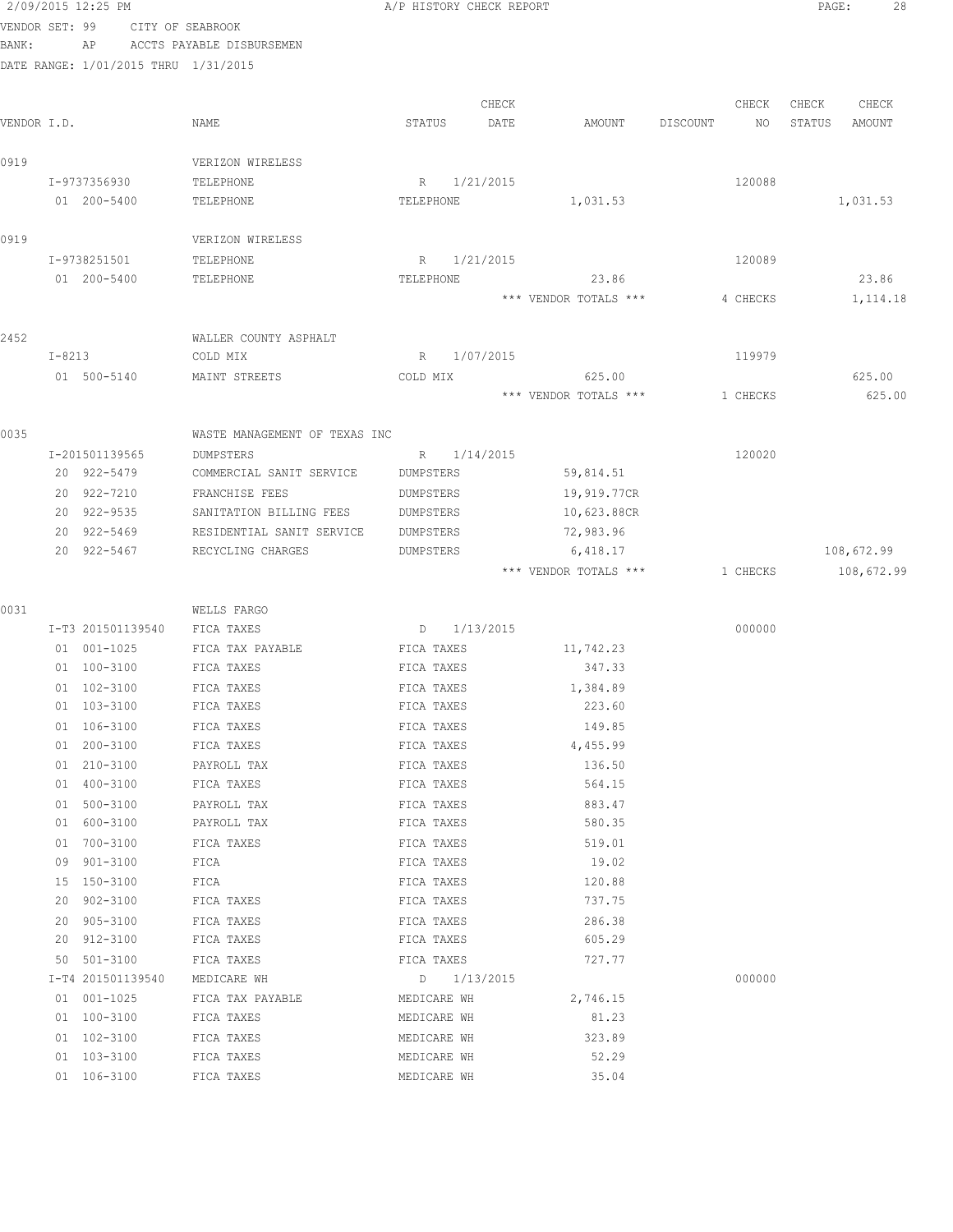|                |            | 2/09/2015 12:25 PM   |                                      | A/P HISTORY CHECK REPORT |                 |                       |          |          | PAGE:  | 28         |  |
|----------------|------------|----------------------|--------------------------------------|--------------------------|-----------------|-----------------------|----------|----------|--------|------------|--|
| VENDOR SET: 99 |            |                      | CITY OF SEABROOK                     |                          |                 |                       |          |          |        |            |  |
| BANK:          |            | AP                   | ACCTS PAYABLE DISBURSEMEN            |                          |                 |                       |          |          |        |            |  |
|                |            |                      | DATE RANGE: 1/01/2015 THRU 1/31/2015 |                          |                 |                       |          |          |        |            |  |
|                |            |                      |                                      |                          |                 |                       |          |          |        |            |  |
|                |            |                      |                                      |                          | CHECK           |                       |          | CHECK    | CHECK  | CHECK      |  |
| VENDOR I.D.    |            |                      | NAME                                 | STATUS                   | DATE            | AMOUNT                | DISCOUNT | NO.      | STATUS | AMOUNT     |  |
| 0919           |            |                      | VERIZON WIRELESS                     |                          |                 |                       |          |          |        |            |  |
|                |            | I-9737356930         | TELEPHONE                            |                          | R 1/21/2015     |                       |          | 120088   |        |            |  |
|                |            | 01 200-5400          | TELEPHONE                            | TELEPHONE                |                 | 1,031.53              |          |          |        | 1,031.53   |  |
|                |            |                      |                                      |                          |                 |                       |          |          |        |            |  |
| 0919           |            |                      | VERIZON WIRELESS                     |                          |                 |                       |          |          |        |            |  |
|                |            | I-9738251501         | TELEPHONE                            |                          | R 1/21/2015     |                       |          | 120089   |        |            |  |
|                |            | 01 200-5400          | TELEPHONE                            | TELEPHONE                |                 | 23.86                 |          |          |        | 23.86      |  |
|                |            |                      |                                      |                          |                 | *** VENDOR TOTALS *** |          | 4 CHECKS |        | 1, 114.18  |  |
|                |            |                      |                                      |                          |                 |                       |          |          |        |            |  |
| 2452           |            |                      | WALLER COUNTY ASPHALT                |                          |                 |                       |          |          |        |            |  |
|                | $I - 8213$ |                      | COLD MIX                             | R                        | 1/07/2015       |                       |          | 119979   |        |            |  |
|                |            | 01 500-5140          | MAINT STREETS                        | COLD MIX                 |                 | 625.00                |          |          |        | 625.00     |  |
|                |            |                      |                                      |                          |                 | *** VENDOR TOTALS *** |          | 1 CHECKS |        | 625.00     |  |
| 0035           |            |                      | WASTE MANAGEMENT OF TEXAS INC        |                          |                 |                       |          |          |        |            |  |
|                |            | I-201501139565       | DUMPSTERS                            |                          | R 1/14/2015     |                       |          | 120020   |        |            |  |
|                |            | 20 922-5479          | COMMERCIAL SANIT SERVICE             | DUMPSTERS                |                 | 59,814.51             |          |          |        |            |  |
|                |            | 20 922-7210          | FRANCHISE FEES                       | DUMPSTERS                |                 | 19,919.77CR           |          |          |        |            |  |
|                |            | 20 922-9535          | SANITATION BILLING FEES              | DUMPSTERS                |                 | 10,623.88CR           |          |          |        |            |  |
|                |            | 20 922-5469          | RESIDENTIAL SANIT SERVICE            | DUMPSTERS                |                 | 72,983.96             |          |          |        |            |  |
|                |            | 20 922-5467          | RECYCLING CHARGES                    | DUMPSTERS                |                 | 6,418.17              |          |          |        | 108,672.99 |  |
|                |            |                      |                                      |                          |                 | *** VENDOR TOTALS *** |          | 1 CHECKS |        | 108,672.99 |  |
|                |            |                      |                                      |                          |                 |                       |          |          |        |            |  |
| 0031           |            |                      | WELLS FARGO                          |                          |                 |                       |          |          |        |            |  |
|                |            | I-T3 201501139540    | FICA TAXES                           |                          | $D = 1/13/2015$ |                       |          | 000000   |        |            |  |
|                |            | 01 001-1025          | FICA TAX PAYABLE                     | FICA TAXES               |                 | 11,742.23             |          |          |        |            |  |
|                |            | 01 100-3100          | FICA TAXES                           | FICA TAXES               |                 | 347.33                |          |          |        |            |  |
|                |            | 01 102-3100          | FICA TAXES                           | FICA TAXES               |                 | 1,384.89              |          |          |        |            |  |
|                |            | 01 103-3100          | FICA TAXES                           | FICA TAXES               |                 | 223.60                |          |          |        |            |  |
|                |            | 01 106-3100          | FICA TAXES                           | FICA TAXES               |                 | 149.85                |          |          |        |            |  |
|                |            | 01 200-3100          | FICA TAXES                           | FICA TAXES               |                 | 4,455.99              |          |          |        |            |  |
|                |            | 01 210-3100          | PAYROLL TAX                          | FICA TAXES               |                 | 136.50                |          |          |        |            |  |
|                |            | 01 400-3100          | FICA TAXES                           | FICA TAXES               |                 | 564.15                |          |          |        |            |  |
|                |            | 01 500-3100          | PAYROLL TAX                          | FICA TAXES               |                 | 883.47                |          |          |        |            |  |
|                |            | 01 600-3100          | PAYROLL TAX                          | FICA TAXES               |                 | 580.35                |          |          |        |            |  |
|                |            | 01 700-3100          | FICA TAXES                           | FICA TAXES               |                 | 519.01                |          |          |        |            |  |
|                | 09         | 901-3100             | FICA                                 | FICA TAXES               |                 | 19.02                 |          |          |        |            |  |
|                |            | 15 150-3100          | FICA                                 | FICA TAXES               |                 | 120.88<br>737.75      |          |          |        |            |  |
|                | 20<br>20   | 902-3100             | FICA TAXES                           | FICA TAXES               |                 |                       |          |          |        |            |  |
|                | 20         | 905-3100<br>912-3100 | FICA TAXES<br>FICA TAXES             | FICA TAXES<br>FICA TAXES |                 | 286.38<br>605.29      |          |          |        |            |  |
|                |            | 50 501-3100          | FICA TAXES                           | FICA TAXES               |                 | 727.77                |          |          |        |            |  |
|                |            | I-T4 201501139540    | MEDICARE WH                          |                          | $D = 1/13/2015$ |                       |          | 000000   |        |            |  |
|                |            | 01 001-1025          | FICA TAX PAYABLE                     | MEDICARE WH              |                 | 2,746.15              |          |          |        |            |  |
|                |            | 01 100-3100          | FICA TAXES                           | MEDICARE WH              |                 | 81.23                 |          |          |        |            |  |
|                |            | 01 102-3100          | FICA TAXES                           | MEDICARE WH              |                 | 323.89                |          |          |        |            |  |
|                |            | 01 103-3100          | FICA TAXES                           | MEDICARE WH              |                 | 52.29                 |          |          |        |            |  |
|                |            | 01 106-3100          | FICA TAXES                           | MEDICARE WH              |                 | 35.04                 |          |          |        |            |  |
|                |            |                      |                                      |                          |                 |                       |          |          |        |            |  |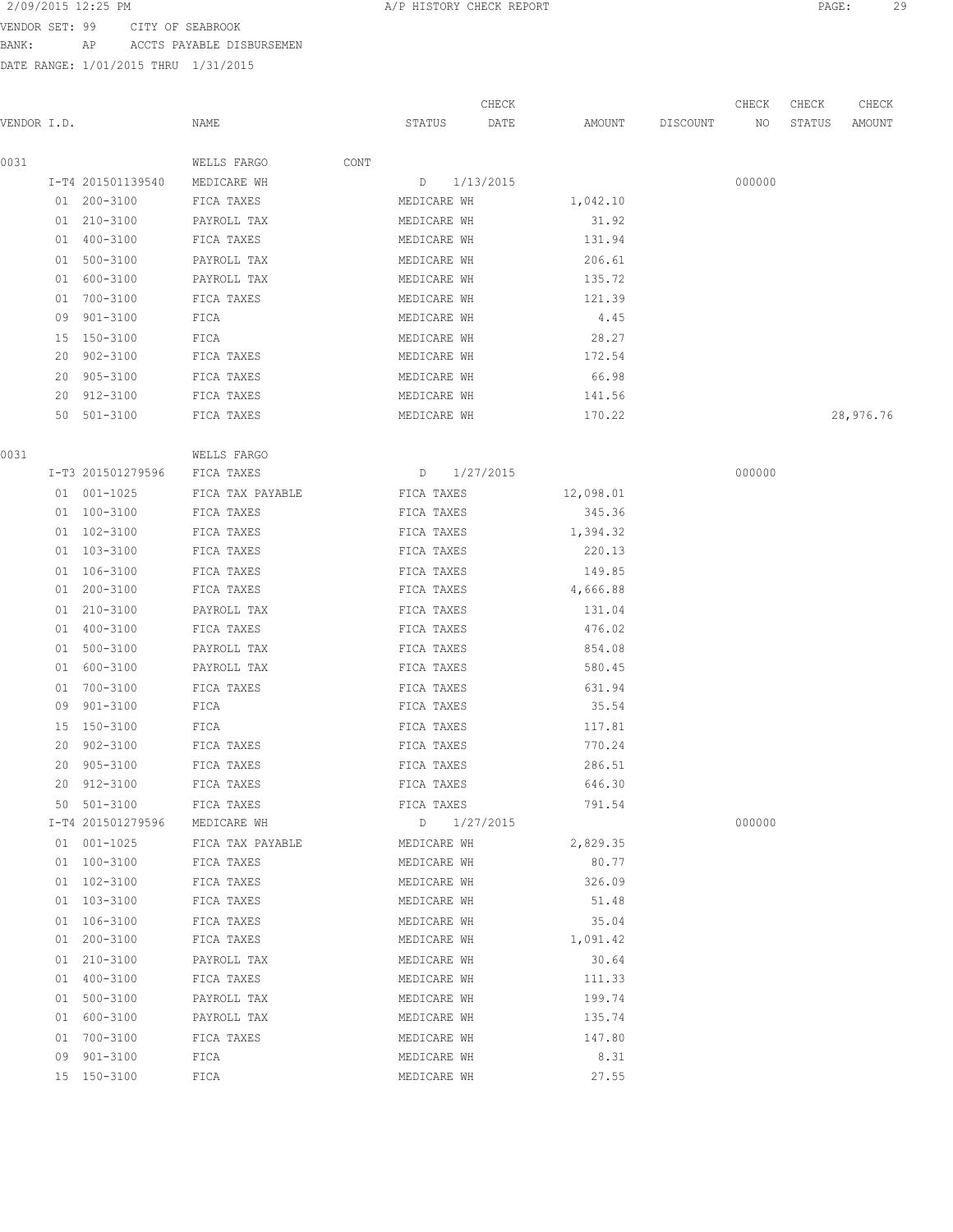VENDOR SET: 99 CITY OF SEABROOK BANK: AP ACCTS PAYABLE DISBURSEMEN

|             |    |                   |                  |      |             | CHECK     |           |          | CHECK  | CHECK  | CHECK     |
|-------------|----|-------------------|------------------|------|-------------|-----------|-----------|----------|--------|--------|-----------|
| VENDOR I.D. |    |                   | NAME             |      | STATUS      | DATE      | AMOUNT    | DISCOUNT | NO     | STATUS | AMOUNT    |
| 0031        |    |                   | WELLS FARGO      | CONT |             |           |           |          |        |        |           |
|             |    | I-T4 201501139540 | MEDICARE WH      |      | D           | 1/13/2015 |           |          | 000000 |        |           |
|             |    | 01 200-3100       | FICA TAXES       |      | MEDICARE WH |           | 1,042.10  |          |        |        |           |
|             |    | 01 210-3100       | PAYROLL TAX      |      | MEDICARE WH |           | 31.92     |          |        |        |           |
|             |    | 01 400-3100       | FICA TAXES       |      | MEDICARE WH |           | 131.94    |          |        |        |           |
|             |    | 01 500-3100       | PAYROLL TAX      |      | MEDICARE WH |           | 206.61    |          |        |        |           |
|             |    | 01 600-3100       | PAYROLL TAX      |      | MEDICARE WH |           | 135.72    |          |        |        |           |
|             | 01 | 700-3100          | FICA TAXES       |      | MEDICARE WH |           | 121.39    |          |        |        |           |
|             | 09 | 901-3100          | FICA             |      | MEDICARE WH |           | 4.45      |          |        |        |           |
|             | 15 | 150-3100          | FICA             |      | MEDICARE WH |           | 28.27     |          |        |        |           |
|             | 20 | 902-3100          | FICA TAXES       |      | MEDICARE WH |           | 172.54    |          |        |        |           |
|             | 20 | 905-3100          | FICA TAXES       |      | MEDICARE WH |           | 66.98     |          |        |        |           |
|             |    | 20 912-3100       | FICA TAXES       |      | MEDICARE WH |           | 141.56    |          |        |        |           |
|             |    | 50 501-3100       | FICA TAXES       |      | MEDICARE WH |           | 170.22    |          |        |        | 28,976.76 |
| 0031        |    |                   | WELLS FARGO      |      |             |           |           |          |        |        |           |
|             |    | I-T3 201501279596 | FICA TAXES       |      | D 1/27/2015 |           |           |          | 000000 |        |           |
|             |    | 01 001-1025       | FICA TAX PAYABLE |      | FICA TAXES  |           | 12,098.01 |          |        |        |           |
|             |    | 01 100-3100       | FICA TAXES       |      | FICA TAXES  |           | 345.36    |          |        |        |           |
|             |    | 01 102-3100       | FICA TAXES       |      | FICA TAXES  |           | 1,394.32  |          |        |        |           |
|             |    | 01 103-3100       | FICA TAXES       |      | FICA TAXES  |           | 220.13    |          |        |        |           |
|             |    | 01 106-3100       | FICA TAXES       |      | FICA TAXES  |           | 149.85    |          |        |        |           |
|             |    | 01 200-3100       | FICA TAXES       |      | FICA TAXES  |           | 4,666.88  |          |        |        |           |
|             |    | 01 210-3100       | PAYROLL TAX      |      | FICA TAXES  |           | 131.04    |          |        |        |           |
|             |    | 01 400-3100       | FICA TAXES       |      | FICA TAXES  |           | 476.02    |          |        |        |           |
|             |    | 01 500-3100       | PAYROLL TAX      |      | FICA TAXES  |           | 854.08    |          |        |        |           |
|             |    | 01 600-3100       | PAYROLL TAX      |      | FICA TAXES  |           | 580.45    |          |        |        |           |
|             | 01 | 700-3100          | FICA TAXES       |      | FICA TAXES  |           | 631.94    |          |        |        |           |
|             | 09 | 901-3100          | FICA             |      | FICA TAXES  |           | 35.54     |          |        |        |           |
|             |    | 15 150-3100       | FICA             |      | FICA TAXES  |           | 117.81    |          |        |        |           |
|             | 20 | 902-3100          | FICA TAXES       |      | FICA TAXES  |           | 770.24    |          |        |        |           |
|             | 20 | 905-3100          | FICA TAXES       |      | FICA TAXES  |           | 286.51    |          |        |        |           |
|             |    | 20 912-3100       | FICA TAXES       |      | FICA TAXES  |           | 646.30    |          |        |        |           |
|             |    | 50 501-3100       | FICA TAXES       |      | FICA TAXES  |           | 791.54    |          |        |        |           |
|             |    | I-T4 201501279596 | MEDICARE WH      |      | D 1/27/2015 |           |           |          | 000000 |        |           |
|             |    | 01 001-1025       | FICA TAX PAYABLE |      | MEDICARE WH |           | 2,829.35  |          |        |        |           |
|             |    | 01 100-3100       | FICA TAXES       |      | MEDICARE WH |           | 80.77     |          |        |        |           |
|             |    | 01 102-3100       | FICA TAXES       |      | MEDICARE WH |           | 326.09    |          |        |        |           |
|             |    | 01 103-3100       | FICA TAXES       |      | MEDICARE WH |           | 51.48     |          |        |        |           |
|             |    | 01 106-3100       | FICA TAXES       |      | MEDICARE WH |           | 35.04     |          |        |        |           |
|             |    | 01 200-3100       | FICA TAXES       |      | MEDICARE WH |           | 1,091.42  |          |        |        |           |
|             |    | 01 210-3100       | PAYROLL TAX      |      | MEDICARE WH |           | 30.64     |          |        |        |           |
|             |    | 01 400-3100       | FICA TAXES       |      | MEDICARE WH |           | 111.33    |          |        |        |           |
|             |    | 01 500-3100       | PAYROLL TAX      |      | MEDICARE WH |           | 199.74    |          |        |        |           |
|             |    | 01 600-3100       | PAYROLL TAX      |      | MEDICARE WH |           | 135.74    |          |        |        |           |
|             |    | 01 700-3100       | FICA TAXES       |      | MEDICARE WH |           | 147.80    |          |        |        |           |
|             |    | 09 901-3100       | FICA             |      | MEDICARE WH |           | 8.31      |          |        |        |           |
|             |    | 15 150-3100       | FICA             |      | MEDICARE WH |           | 27.55     |          |        |        |           |
|             |    |                   |                  |      |             |           |           |          |        |        |           |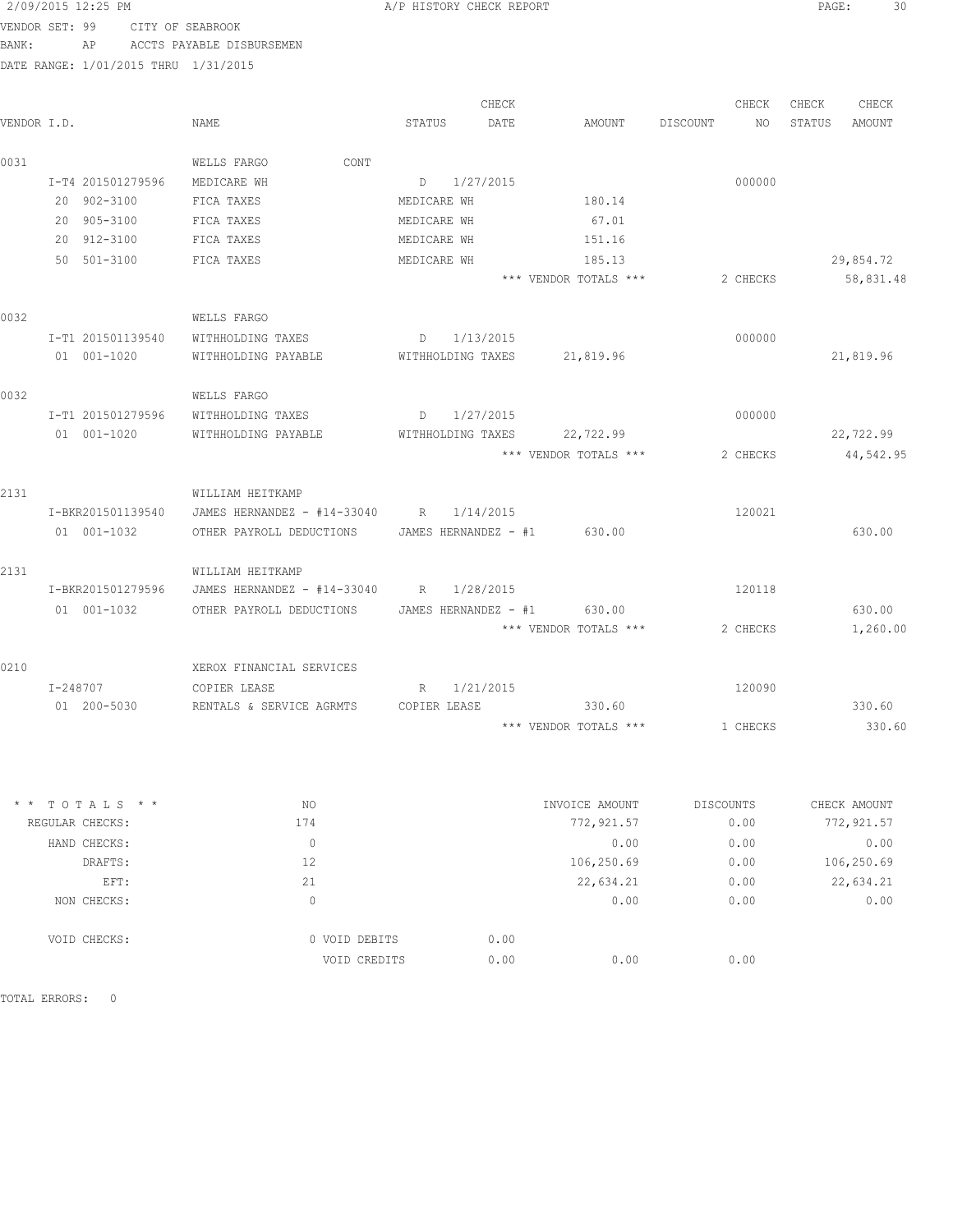| 2/09/2015 12:25 PM |                                      | A/P HISTORY CHECK REPORT | PAGE: | 30 |
|--------------------|--------------------------------------|--------------------------|-------|----|
|                    | VENDOR SET: 99      CITY OF SEABROOK |                          |       |    |
| BANK:              | AP ACCTS PAYABLE DISBURSEMEN         |                          |       |    |

DATE RANGE: 1/01/2015 THRU 1/31/2015

|             |                   |                                                      |                             | CHECK |                       |          | CHECK     | CHECK  | CHECK        |
|-------------|-------------------|------------------------------------------------------|-----------------------------|-------|-----------------------|----------|-----------|--------|--------------|
| VENDOR I.D. |                   | NAME                                                 | STATUS                      | DATE  | AMOUNT                | DISCOUNT | NO        | STATUS | AMOUNT       |
| 0031        |                   | CONT<br>WELLS FARGO                                  |                             |       |                       |          |           |        |              |
|             | I-T4 201501279596 | MEDICARE WH                                          | D 1/27/2015                 |       |                       |          | 000000    |        |              |
|             | 20 902-3100       | FICA TAXES                                           | MEDICARE WH                 |       | 180.14                |          |           |        |              |
|             | 20 905-3100       | FICA TAXES                                           | MEDICARE WH                 |       | 67.01                 |          |           |        |              |
|             | 20 912-3100       | FICA TAXES                                           | MEDICARE WH                 |       | 151.16                |          |           |        |              |
|             | 50 501-3100       | FICA TAXES                                           | MEDICARE WH                 |       | 185.13                |          |           |        | 29,854.72    |
|             |                   |                                                      |                             |       | *** VENDOR TOTALS *** |          | 2 CHECKS  |        | 58,831.48    |
| 0032        |                   | WELLS FARGO                                          |                             |       |                       |          |           |        |              |
|             | I-T1 201501139540 | WITHHOLDING TAXES                                    | D 1/13/2015                 |       |                       |          | 000000    |        |              |
|             | 01 001-1020       | WITHHOLDING PAYABLE                                  | WITHHOLDING TAXES           |       | 21,819.96             |          |           |        | 21,819.96    |
| 0032        |                   | WELLS FARGO                                          |                             |       |                       |          |           |        |              |
|             | I-T1 201501279596 | WITHHOLDING TAXES                                    | D 1/27/2015                 |       |                       |          | 000000    |        |              |
|             | 01 001-1020       | WITHHOLDING PAYABLE                                  | WITHHOLDING TAXES           |       | 22,722.99             |          |           |        | 22,722.99    |
|             |                   |                                                      |                             |       | *** VENDOR TOTALS *** |          | 2 CHECKS  |        | 44,542.95    |
| 2131        |                   | WILLIAM HEITKAMP                                     |                             |       |                       |          |           |        |              |
|             | I-BKR201501139540 | JAMES HERNANDEZ - #14-33040 R 1/14/2015              |                             |       |                       |          | 120021    |        |              |
|             | 01 001-1032       | OTHER PAYROLL DEDUCTIONS JAMES HERNANDEZ - #1 630.00 |                             |       |                       |          |           |        | 630.00       |
| 2131        |                   | WILLIAM HEITKAMP                                     |                             |       |                       |          |           |        |              |
|             | I-BKR201501279596 | JAMES HERNANDEZ - #14-33040 R 1/28/2015              |                             |       |                       |          | 120118    |        |              |
|             | 01  001-1032      | OTHER PAYROLL DEDUCTIONS                             | JAMES HERNANDEZ - #1 630.00 |       |                       |          |           |        | 630.00       |
|             |                   |                                                      |                             |       | *** VENDOR TOTALS *** |          | 2 CHECKS  |        | 1,260.00     |
| 0210        |                   | XEROX FINANCIAL SERVICES                             |                             |       |                       |          |           |        |              |
|             | I-248707          | COPTER LEASE                                         | R 1/21/2015                 |       |                       |          | 120090    |        |              |
|             | 01 200-5030       | RENTALS & SERVICE AGRMTS                             | COPIER LEASE                |       | 330.60                |          |           |        | 330.60       |
|             |                   |                                                      |                             |       | *** VENDOR TOTALS *** |          | 1 CHECKS  |        | 330.60       |
|             |                   |                                                      |                             |       |                       |          |           |        |              |
|             | $TOTALS$ * *      | NO                                                   |                             |       | INVOICE AMOUNT        |          | DISCOUNTS |        | CHECK AMOUNT |
|             | REGULAR CHECKS:   | 174                                                  |                             |       | 772,921.57            |          | 0.00      |        | 772, 921.57  |
|             | HAND CHECKS:      | $\mathbb O$                                          |                             |       | 0.00                  |          | 0.00      |        | 0.00         |
|             | DRAFTS:           | 12                                                   |                             |       | 106,250.69            |          | 0.00      |        | 106,250.69   |
|             | EFT:              | 21                                                   |                             |       | 22,634.21             |          | 0.00      |        | 22,634.21    |
|             | NON CHECKS:       | $\mathbb O$                                          |                             |       | 0.00                  |          | 0.00      |        | 0.00         |

TOTAL ERRORS: 0

VOID CHECKS: 0 VOID DEBITS 0.00

VOID CREDITS 0.00 0.00 0.00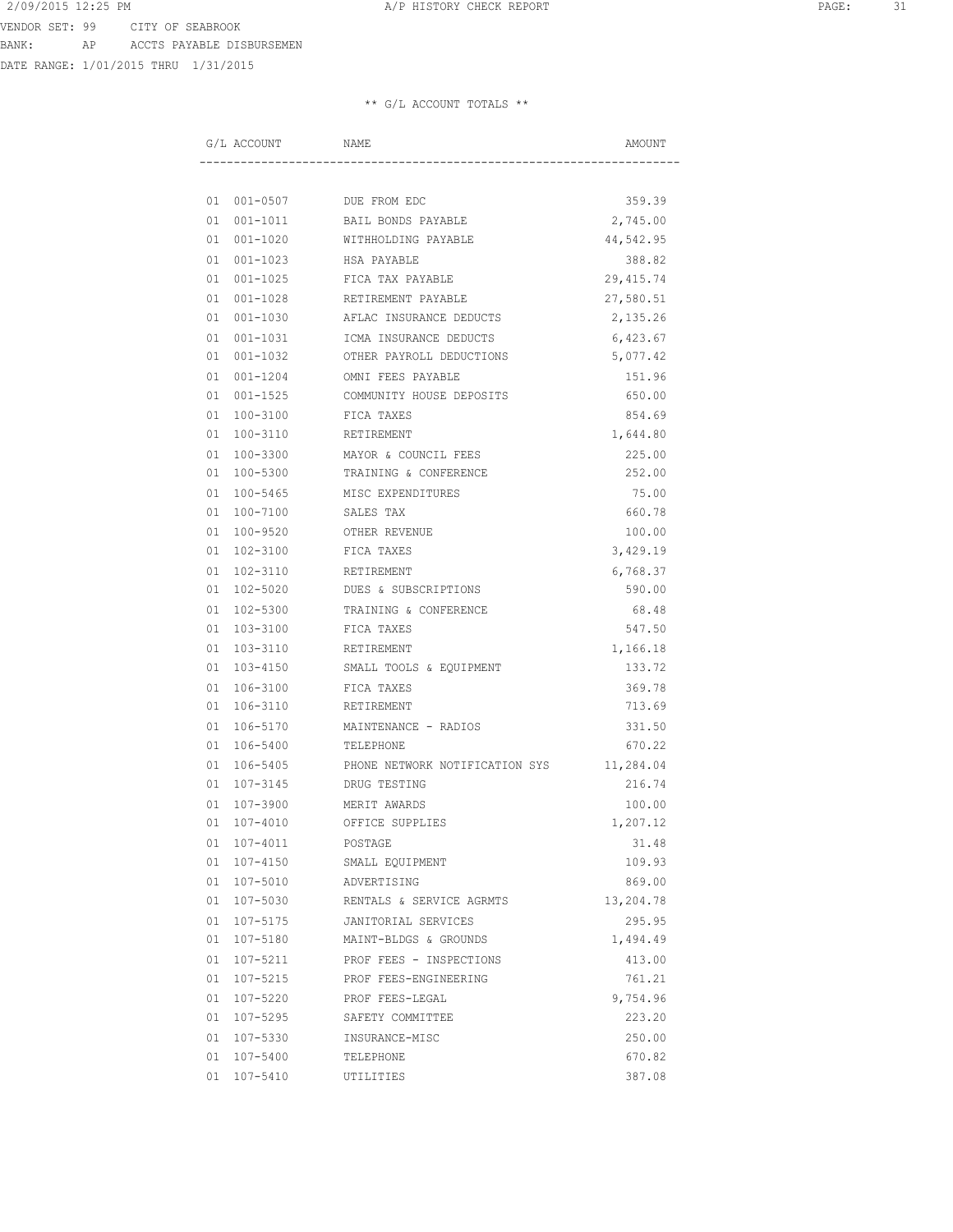# DATE RANGE: 1/01/2015 THRU 1/31/2015

|    | G/L ACCOUNT | NAME                           | AMOUNT     |
|----|-------------|--------------------------------|------------|
|    |             |                                |            |
|    |             | 01 001-0507 DUE FROM EDC       | 359.39     |
|    |             | 01 001-1011 BAIL BONDS PAYABLE | 2,745.00   |
|    | 01 001-1020 | WITHHOLDING PAYABLE            | 44,542.95  |
|    | 01 001-1023 | HSA PAYABLE                    | 388.82     |
|    | 01 001-1025 | FICA TAX PAYABLE               | 29, 415.74 |
|    | 01 001-1028 | RETIREMENT PAYABLE             | 27,580.51  |
|    | 01 001-1030 | AFLAC INSURANCE DEDUCTS        | 2,135.26   |
|    | 01 001-1031 | ICMA INSURANCE DEDUCTS         | 6,423.67   |
|    | 01 001-1032 | OTHER PAYROLL DEDUCTIONS       | 5,077.42   |
|    | 01 001-1204 | OMNI FEES PAYABLE              | 151.96     |
|    | 01 001-1525 | COMMUNITY HOUSE DEPOSITS       | 650.00     |
|    | 01 100-3100 | FICA TAXES                     | 854.69     |
|    | 01 100-3110 | RETIREMENT                     | 1,644.80   |
|    | 01 100-3300 | MAYOR & COUNCIL FEES           | 225.00     |
|    | 01 100-5300 | TRAINING & CONFERENCE          | 252.00     |
|    | 01 100-5465 | MISC EXPENDITURES              | 75.00      |
|    | 01 100-7100 | SALES TAX                      | 660.78     |
|    | 01 100-9520 | OTHER REVENUE                  | 100.00     |
|    | 01 102-3100 | FICA TAXES                     | 3,429.19   |
|    | 01 102-3110 | RETIREMENT                     | 6,768.37   |
|    | 01 102-5020 | DUES & SUBSCRIPTIONS           | 590.00     |
|    | 01 102-5300 | TRAINING & CONFERENCE          | 68.48      |
|    | 01 103-3100 | FICA TAXES                     | 547.50     |
|    | 01 103-3110 | RETIREMENT                     | 1,166.18   |
|    | 01 103-4150 | SMALL TOOLS & EQUIPMENT        | 133.72     |
|    | 01 106-3100 | FICA TAXES                     | 369.78     |
|    | 01 106-3110 | RETIREMENT                     | 713.69     |
|    | 01 106-5170 | MAINTENANCE - RADIOS           | 331.50     |
|    | 01 106-5400 | TELEPHONE                      | 670.22     |
| 01 | 106-5405    | PHONE NETWORK NOTIFICATION SYS | 11,284.04  |
| 01 | 107-3145    | DRUG TESTING                   | 216.74     |
| 01 | 107-3900    | MERIT AWARDS                   | 100.00     |
|    | 01 107-4010 | OFFICE SUPPLIES                | 1,207.12   |
|    | 01 107-4011 | POSTAGE                        | 31.48      |
|    | 01 107-4150 | SMALL EQUIPMENT                | 109.93     |
|    | 01 107-5010 | ADVERTISING                    | 869.00     |
|    | 01 107-5030 | RENTALS & SERVICE AGRMTS       | 13,204.78  |
|    | 01 107-5175 | JANITORIAL SERVICES            | 295.95     |
|    | 01 107-5180 | MAINT-BLDGS & GROUNDS          | 1,494.49   |
|    | 01 107-5211 | PROF FEES - INSPECTIONS        | 413.00     |
|    | 01 107-5215 | PROF FEES-ENGINEERING          | 761.21     |
|    | 01 107-5220 | PROF FEES-LEGAL                | 9,754.96   |
|    | 01 107-5295 | SAFETY COMMITTEE               | 223.20     |
|    | 01 107-5330 | INSURANCE-MISC                 | 250.00     |
|    | 01 107-5400 | TELEPHONE                      | 670.82     |
|    | 01 107-5410 | UTILITIES                      | 387.08     |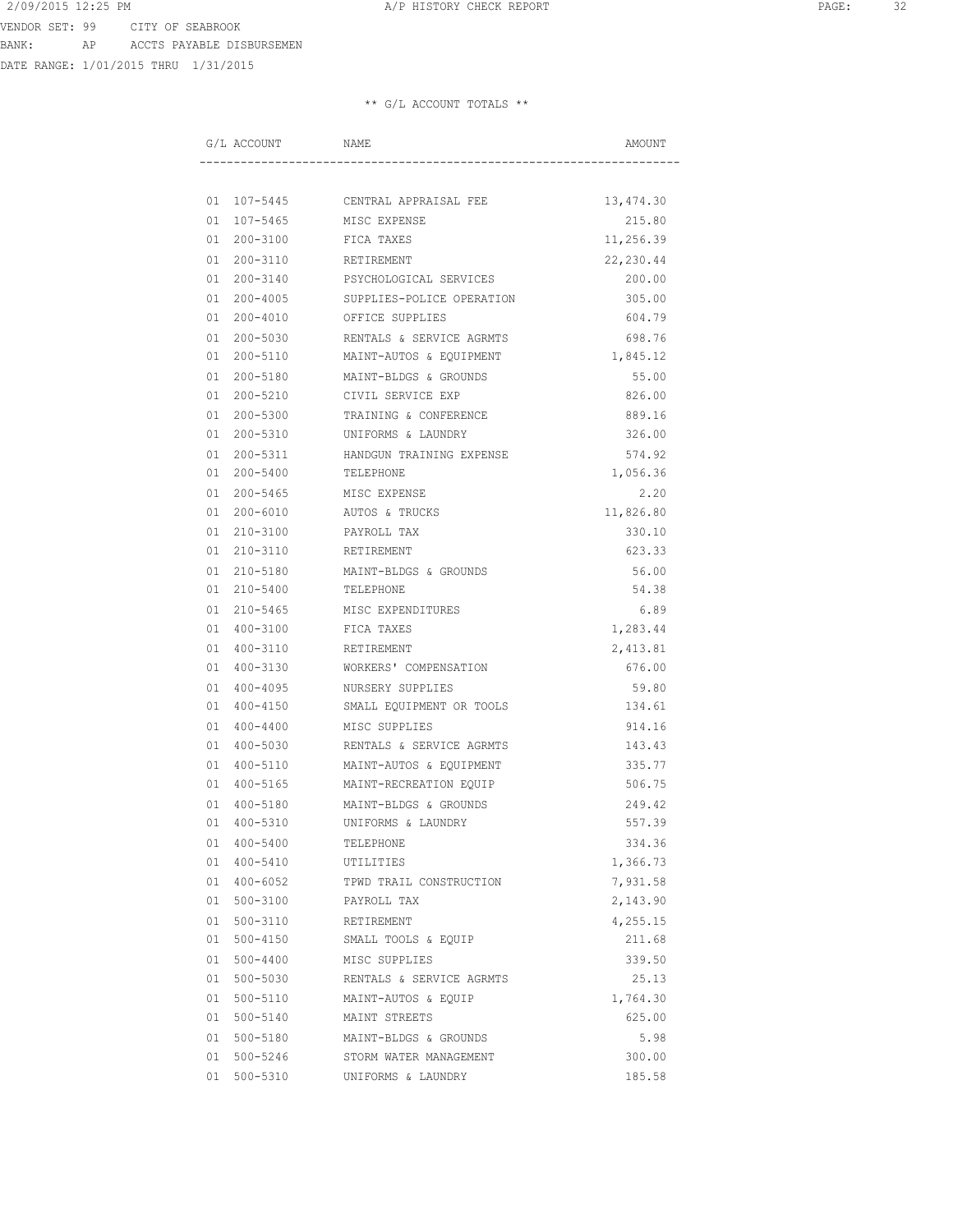DATE RANGE: 1/01/2015 THRU 1/31/2015

| G/L ACCOUNT        | NAME                      | AMOUNT    |
|--------------------|---------------------------|-----------|
|                    |                           |           |
| 01 107-5445        | CENTRAL APPRAISAL FEE     | 13,474.30 |
| 01 107-5465        | MISC EXPENSE              | 215.80    |
| 01 200-3100        | FICA TAXES                | 11,256.39 |
| 01 200-3110        | RETIREMENT                | 22,230.44 |
| 01 200-3140        | PSYCHOLOGICAL SERVICES    | 200.00    |
| 01 200-4005        | SUPPLIES-POLICE OPERATION | 305.00    |
| 01 200-4010        | OFFICE SUPPLIES           | 604.79    |
| 01 200-5030        | RENTALS & SERVICE AGRMTS  | 698.76    |
| 01 200-5110        | MAINT-AUTOS & EQUIPMENT   | 1,845.12  |
| 01 200-5180        | MAINT-BLDGS & GROUNDS     | 55.00     |
| 01 200-5210        | CIVIL SERVICE EXP         | 826.00    |
| 01 200-5300        | TRAINING & CONFERENCE     | 889.16    |
| 01 200-5310        | UNIFORMS & LAUNDRY        | 326.00    |
| 01 200-5311        | HANDGUN TRAINING EXPENSE  | 574.92    |
| 01 200-5400        | TELEPHONE                 | 1,056.36  |
| 01 200-5465        | MISC EXPENSE              | 2.20      |
| 01 200-6010        | AUTOS & TRUCKS            | 11,826.80 |
| 210-3100<br>01     | PAYROLL TAX               | 330.10    |
| 01 210-3110        | RETIREMENT                | 623.33    |
| 01 210-5180        | MAINT-BLDGS & GROUNDS     | 56.00     |
| 01 210-5400        | TELEPHONE                 | 54.38     |
| 01 210-5465        | MISC EXPENDITURES         | 6.89      |
| 01<br>400-3100     | FICA TAXES                | 1,283.44  |
| 01 400-3110        | RETIREMENT                | 2,413.81  |
| 01 400-3130        | WORKERS' COMPENSATION     | 676.00    |
| 01 400-4095        | NURSERY SUPPLIES          | 59.80     |
| 01 400-4150        | SMALL EQUIPMENT OR TOOLS  | 134.61    |
| $400 - 4400$<br>01 | MISC SUPPLIES             | 914.16    |
| 400-5030<br>01     | RENTALS & SERVICE AGRMTS  | 143.43    |
| 400-5110<br>01     | MAINT-AUTOS & EQUIPMENT   | 335.77    |
| 01 400-5165        | MAINT-RECREATION EQUIP    | 506.75    |
| $400 - 5180$<br>01 | MAINT-BLDGS & GROUNDS     | 249.42    |
| 01 400-5310        | UNIFORMS & LAUNDRY        | 557.39    |
| 01 400-5400        | TELEPHONE                 | 334.36    |
| 01 400-5410        | UTILITIES                 | 1,366.73  |
| 01 400-6052        | TPWD TRAIL CONSTRUCTION   | 7,931.58  |
| 01 500-3100        | PAYROLL TAX               | 2,143.90  |
| 01 500-3110        | RETIREMENT                | 4,255.15  |
| 01 500-4150        | SMALL TOOLS & EQUIP       | 211.68    |
| 01 500-4400        | MISC SUPPLIES             | 339.50    |
| 01 500-5030        | RENTALS & SERVICE AGRMTS  | 25.13     |
| 01 500-5110        | MAINT-AUTOS & EQUIP       | 1,764.30  |
| 01 500-5140        | MAINT STREETS             | 625.00    |
| 01 500-5180        | MAINT-BLDGS & GROUNDS     | 5.98      |
| 01 500-5246        | STORM WATER MANAGEMENT    | 300.00    |
| 01 500-5310        | UNIFORMS & LAUNDRY        | 185.58    |
|                    |                           |           |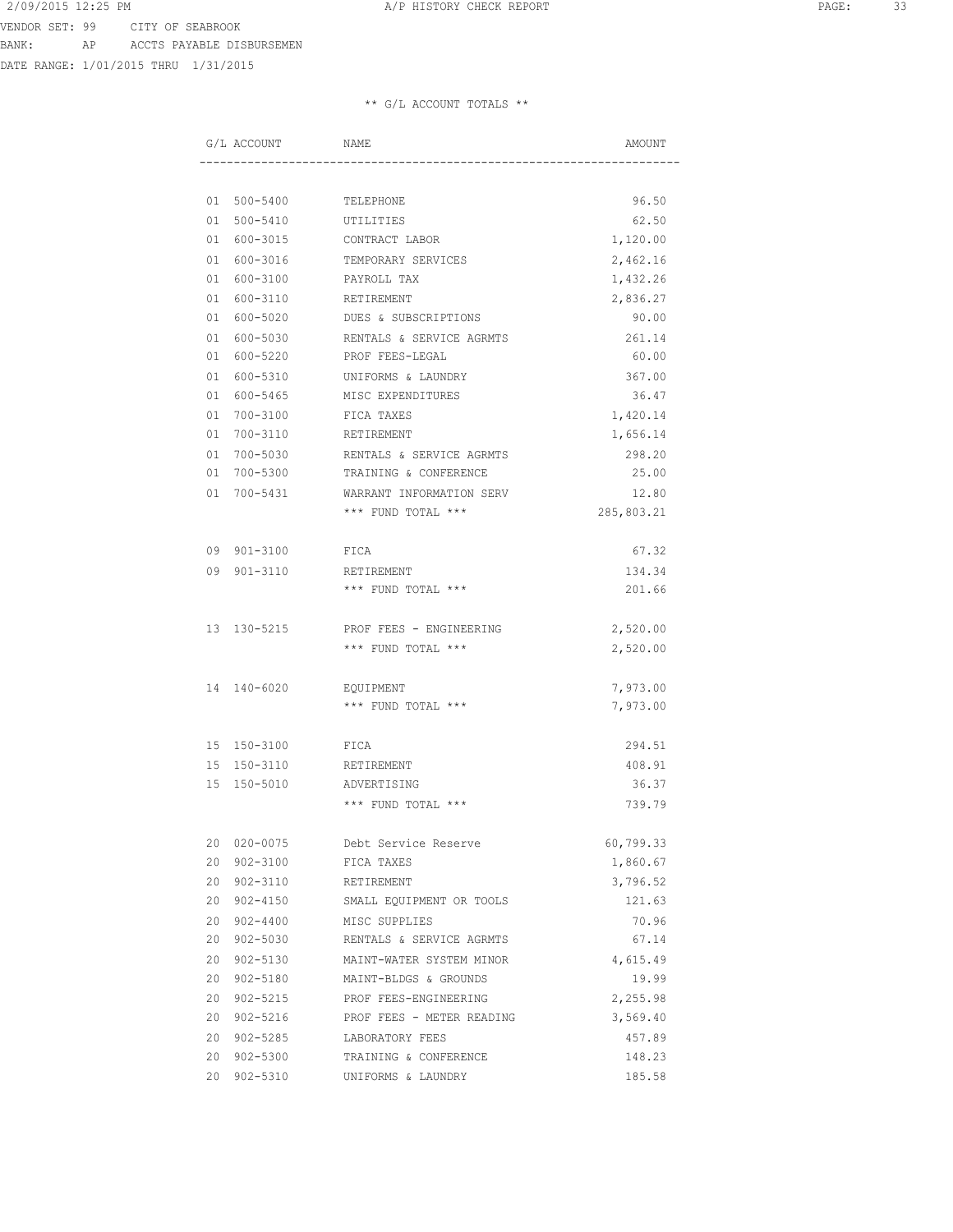DATE RANGE: 1/01/2015 THRU 1/31/2015

|  | NAME                                                                                                                                                                                                                                                                                                                                                                                                                                                                                                                                                     | AMOUNT                                                                                                                                                                                                                    |
|--|----------------------------------------------------------------------------------------------------------------------------------------------------------------------------------------------------------------------------------------------------------------------------------------------------------------------------------------------------------------------------------------------------------------------------------------------------------------------------------------------------------------------------------------------------------|---------------------------------------------------------------------------------------------------------------------------------------------------------------------------------------------------------------------------|
|  |                                                                                                                                                                                                                                                                                                                                                                                                                                                                                                                                                          |                                                                                                                                                                                                                           |
|  |                                                                                                                                                                                                                                                                                                                                                                                                                                                                                                                                                          | 96.50                                                                                                                                                                                                                     |
|  | UTILITIES                                                                                                                                                                                                                                                                                                                                                                                                                                                                                                                                                | 62.50                                                                                                                                                                                                                     |
|  | CONTRACT LABOR                                                                                                                                                                                                                                                                                                                                                                                                                                                                                                                                           | 1,120.00                                                                                                                                                                                                                  |
|  | TEMPORARY SERVICES                                                                                                                                                                                                                                                                                                                                                                                                                                                                                                                                       | 2,462.16                                                                                                                                                                                                                  |
|  | PAYROLL TAX                                                                                                                                                                                                                                                                                                                                                                                                                                                                                                                                              | 1,432.26                                                                                                                                                                                                                  |
|  | RETIREMENT                                                                                                                                                                                                                                                                                                                                                                                                                                                                                                                                               | 2,836.27                                                                                                                                                                                                                  |
|  | DUES & SUBSCRIPTIONS                                                                                                                                                                                                                                                                                                                                                                                                                                                                                                                                     | 90.00                                                                                                                                                                                                                     |
|  | RENTALS & SERVICE AGRMTS                                                                                                                                                                                                                                                                                                                                                                                                                                                                                                                                 | 261.14                                                                                                                                                                                                                    |
|  | PROF FEES-LEGAL                                                                                                                                                                                                                                                                                                                                                                                                                                                                                                                                          | 60.00                                                                                                                                                                                                                     |
|  | UNIFORMS & LAUNDRY                                                                                                                                                                                                                                                                                                                                                                                                                                                                                                                                       | 367.00                                                                                                                                                                                                                    |
|  |                                                                                                                                                                                                                                                                                                                                                                                                                                                                                                                                                          | 36.47                                                                                                                                                                                                                     |
|  |                                                                                                                                                                                                                                                                                                                                                                                                                                                                                                                                                          | 1,420.14                                                                                                                                                                                                                  |
|  |                                                                                                                                                                                                                                                                                                                                                                                                                                                                                                                                                          | 1,656.14                                                                                                                                                                                                                  |
|  | RENTALS & SERVICE AGRMTS                                                                                                                                                                                                                                                                                                                                                                                                                                                                                                                                 | 298.20                                                                                                                                                                                                                    |
|  |                                                                                                                                                                                                                                                                                                                                                                                                                                                                                                                                                          | 25.00                                                                                                                                                                                                                     |
|  | WARRANT INFORMATION SERV                                                                                                                                                                                                                                                                                                                                                                                                                                                                                                                                 | 12.80                                                                                                                                                                                                                     |
|  |                                                                                                                                                                                                                                                                                                                                                                                                                                                                                                                                                          | 285,803.21                                                                                                                                                                                                                |
|  |                                                                                                                                                                                                                                                                                                                                                                                                                                                                                                                                                          |                                                                                                                                                                                                                           |
|  | FICA                                                                                                                                                                                                                                                                                                                                                                                                                                                                                                                                                     | 67.32                                                                                                                                                                                                                     |
|  | RETIREMENT                                                                                                                                                                                                                                                                                                                                                                                                                                                                                                                                               | 134.34                                                                                                                                                                                                                    |
|  | *** FUND TOTAL ***                                                                                                                                                                                                                                                                                                                                                                                                                                                                                                                                       | 201.66                                                                                                                                                                                                                    |
|  |                                                                                                                                                                                                                                                                                                                                                                                                                                                                                                                                                          |                                                                                                                                                                                                                           |
|  | PROF FEES - ENGINEERING                                                                                                                                                                                                                                                                                                                                                                                                                                                                                                                                  | 2,520.00                                                                                                                                                                                                                  |
|  | *** FUND TOTAL ***                                                                                                                                                                                                                                                                                                                                                                                                                                                                                                                                       | 2,520.00                                                                                                                                                                                                                  |
|  |                                                                                                                                                                                                                                                                                                                                                                                                                                                                                                                                                          |                                                                                                                                                                                                                           |
|  |                                                                                                                                                                                                                                                                                                                                                                                                                                                                                                                                                          | 7,973.00                                                                                                                                                                                                                  |
|  |                                                                                                                                                                                                                                                                                                                                                                                                                                                                                                                                                          | 7,973.00                                                                                                                                                                                                                  |
|  |                                                                                                                                                                                                                                                                                                                                                                                                                                                                                                                                                          | 294.51                                                                                                                                                                                                                    |
|  |                                                                                                                                                                                                                                                                                                                                                                                                                                                                                                                                                          | 408.91                                                                                                                                                                                                                    |
|  |                                                                                                                                                                                                                                                                                                                                                                                                                                                                                                                                                          | 36.37                                                                                                                                                                                                                     |
|  | $***$ FUND TOTAL $***$                                                                                                                                                                                                                                                                                                                                                                                                                                                                                                                                   | 739.79                                                                                                                                                                                                                    |
|  |                                                                                                                                                                                                                                                                                                                                                                                                                                                                                                                                                          |                                                                                                                                                                                                                           |
|  | Debt Service Reserve                                                                                                                                                                                                                                                                                                                                                                                                                                                                                                                                     | 60,799.33                                                                                                                                                                                                                 |
|  | FICA TAXES                                                                                                                                                                                                                                                                                                                                                                                                                                                                                                                                               | 1,860.67                                                                                                                                                                                                                  |
|  | RETIREMENT                                                                                                                                                                                                                                                                                                                                                                                                                                                                                                                                               | 3,796.52                                                                                                                                                                                                                  |
|  | SMALL EQUIPMENT OR TOOLS                                                                                                                                                                                                                                                                                                                                                                                                                                                                                                                                 | 121.63                                                                                                                                                                                                                    |
|  | MISC SUPPLIES                                                                                                                                                                                                                                                                                                                                                                                                                                                                                                                                            | 70.96                                                                                                                                                                                                                     |
|  | RENTALS & SERVICE AGRMTS                                                                                                                                                                                                                                                                                                                                                                                                                                                                                                                                 | 67.14                                                                                                                                                                                                                     |
|  |                                                                                                                                                                                                                                                                                                                                                                                                                                                                                                                                                          | 4,615.49                                                                                                                                                                                                                  |
|  | MAINT-BLDGS & GROUNDS                                                                                                                                                                                                                                                                                                                                                                                                                                                                                                                                    | 19.99                                                                                                                                                                                                                     |
|  | PROF FEES-ENGINEERING                                                                                                                                                                                                                                                                                                                                                                                                                                                                                                                                    | 2,255.98                                                                                                                                                                                                                  |
|  | PROF FEES - METER READING                                                                                                                                                                                                                                                                                                                                                                                                                                                                                                                                | 3,569.40                                                                                                                                                                                                                  |
|  | LABORATORY FEES                                                                                                                                                                                                                                                                                                                                                                                                                                                                                                                                          | 457.89                                                                                                                                                                                                                    |
|  | TRAINING & CONFERENCE                                                                                                                                                                                                                                                                                                                                                                                                                                                                                                                                    | 148.23                                                                                                                                                                                                                    |
|  | UNIFORMS & LAUNDRY                                                                                                                                                                                                                                                                                                                                                                                                                                                                                                                                       | 185.58                                                                                                                                                                                                                    |
|  | G/L ACCOUNT<br>01 500-5410<br>01 600-3015<br>01 600-3016<br>01 600-3100<br>01 600-3110<br>01 600-5020<br>01 600-5030<br>01 600-5220<br>01 600-5310<br>01 600-5465<br>01 700-3100<br>01 700-3110<br>01 700-5030<br>01 700-5300<br>01 700-5431<br>09 901-3100<br>09 901-3110<br>13 130-5215<br>14 140-6020<br>15 150-3100<br>15 150-3110<br>15 150-5010<br>20 020-0075<br>20 902-3100<br>20 902-3110<br>20 902-4150<br>20 902-4400<br>20 902-5030<br>20 902-5130<br>20 902-5180<br>20 902-5215<br>20 902-5216<br>20 902-5285<br>20 902-5300<br>20 902-5310 | 01 500-5400 TELEPHONE<br>MISC EXPENDITURES<br>FICA TAXES<br>RETIREMENT<br>TRAINING & CONFERENCE<br>*** FUND TOTAL ***<br>EQUIPMENT<br>*** FUND TOTAL ***<br>FICA<br>RETIREMENT<br>ADVERTISING<br>MAINT-WATER SYSTEM MINOR |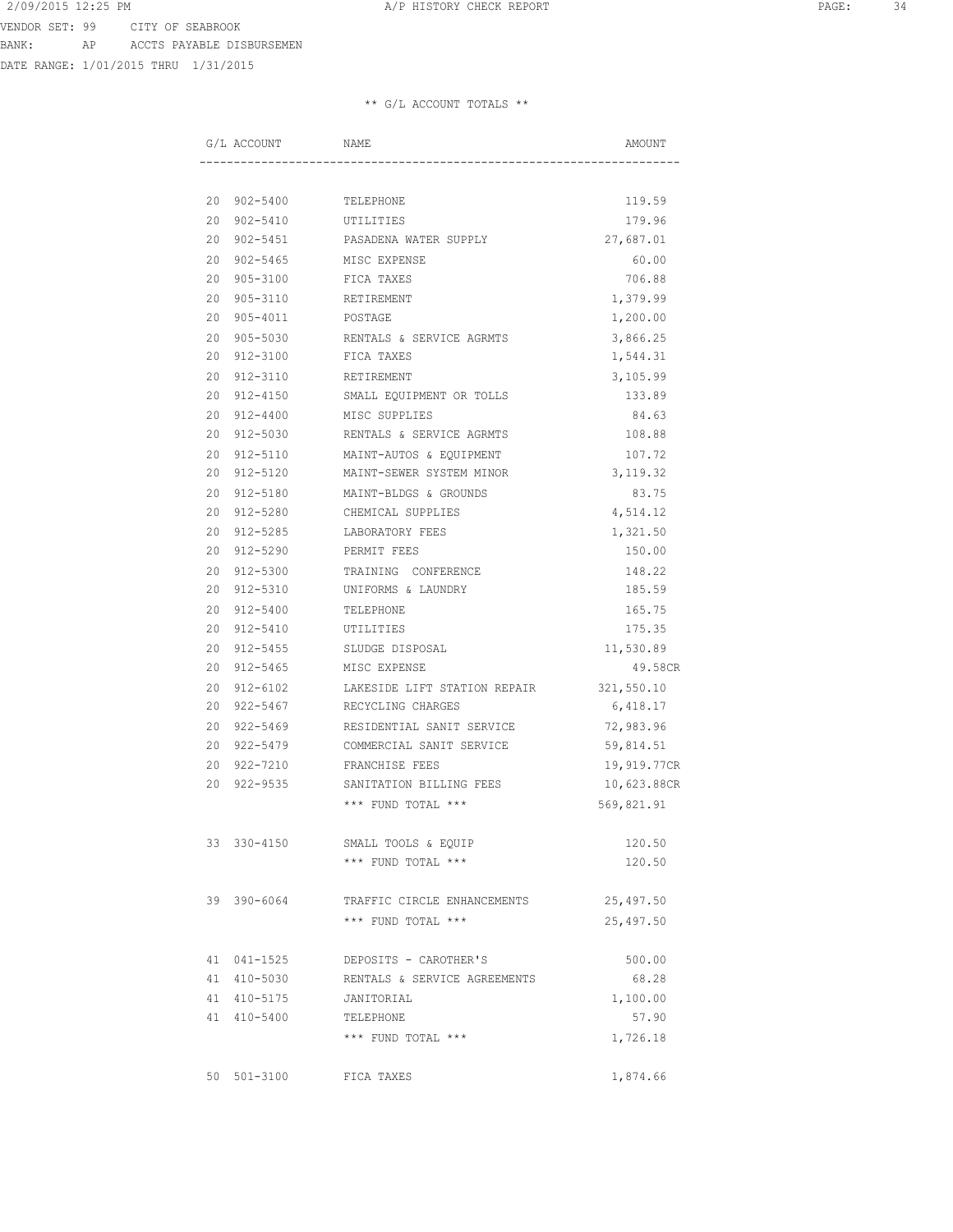DATE RANGE: 1/01/2015 THRU 1/31/2015

|             |             | G/L ACCOUNT NAME                        | AMOUNT      |
|-------------|-------------|-----------------------------------------|-------------|
|             |             |                                         |             |
|             |             | 20 902-5400 TELEPHONE                   | 119.59      |
|             | 20 902-5410 | UTILITIES                               | 179.96      |
|             | 20 902-5451 | PASADENA WATER SUPPLY                   | 27,687.01   |
|             | 20 902-5465 | MISC EXPENSE                            | 60.00       |
|             | 20 905-3100 | FICA TAXES                              | 706.88      |
|             | 20 905-3110 | RETIREMENT                              | 1,379.99    |
|             | 20 905-4011 | POSTAGE                                 | 1,200.00    |
|             |             | 20 905-5030 RENTALS & SERVICE AGRMTS    | 3,866.25    |
|             |             | 20 912-3100 FICA TAXES                  | 1,544.31    |
|             |             | 20 912-3110 RETIREMENT                  | 3,105.99    |
|             |             | 20 912-4150 SMALL EQUIPMENT OR TOLLS    | 133.89      |
|             |             | 20 912-4400 MISC SUPPLIES               | 84.63       |
|             |             | 20 912-5030 RENTALS & SERVICE AGRMTS    | 108.88      |
|             | 20 912-5110 | MAINT-AUTOS & EQUIPMENT                 | 107.72      |
|             | 20 912-5120 | MAINT-SEWER SYSTEM MINOR                | 3,119.32    |
|             | 20 912-5180 | MAINT-BLDGS & GROUNDS                   | 83.75       |
|             | 20 912-5280 | CHEMICAL SUPPLIES                       | 4,514.12    |
|             | 20 912-5285 | LABORATORY FEES                         | 1,321.50    |
|             | 20 912-5290 | PERMIT FEES                             | 150.00      |
|             |             | 20 912-5300 TRAINING CONFERENCE         | 148.22      |
|             |             | 20 912-5310 UNIFORMS & LAUNDRY          | 185.59      |
|             |             | 20 912-5400 TELEPHONE                   | 165.75      |
|             |             | 20 912-5410 UTILITIES                   | 175.35      |
|             |             | 20 912-5455 SLUDGE DISPOSAL             | 11,530.89   |
|             |             | 20 912-5465 MISC EXPENSE                | 49.58CR     |
|             | 20 912-6102 | LAKESIDE LIFT STATION REPAIR 321,550.10 |             |
|             | 20 922-5467 | RECYCLING CHARGES                       | 6,418.17    |
|             | 20 922-5469 | RESIDENTIAL SANIT SERVICE               | 72,983.96   |
|             | 20 922-5479 | COMMERCIAL SANIT SERVICE                | 59,814.51   |
|             | 20 922-7210 | FRANCHISE FEES                          | 19,919.77CR |
|             | 20 922-9535 | SANITATION BILLING FEES                 | 10,623.88CR |
|             |             | *** FUND TOTAL ***                      | 569,821.91  |
| 33 330-4150 |             | SMALL TOOLS & EQUIP                     | 120.50      |
|             |             | *** FUND TOTAL ***                      | 120.50      |
| 39 390-6064 |             | TRAFFIC CIRCLE ENHANCEMENTS             | 25,497.50   |
|             |             | *** FUND TOTAL ***                      | 25,497.50   |
| 41 041-1525 |             | DEPOSITS - CAROTHER'S                   | 500.00      |
| 41 410-5030 |             | RENTALS & SERVICE AGREEMENTS            | 68.28       |
| 41 410-5175 |             | JANITORIAL                              | 1,100.00    |
| 41 410-5400 |             | TELEPHONE                               | 57.90       |
|             |             | *** FUND TOTAL ***                      | 1,726.18    |
| 50 501-3100 |             | FICA TAXES                              | 1,874.66    |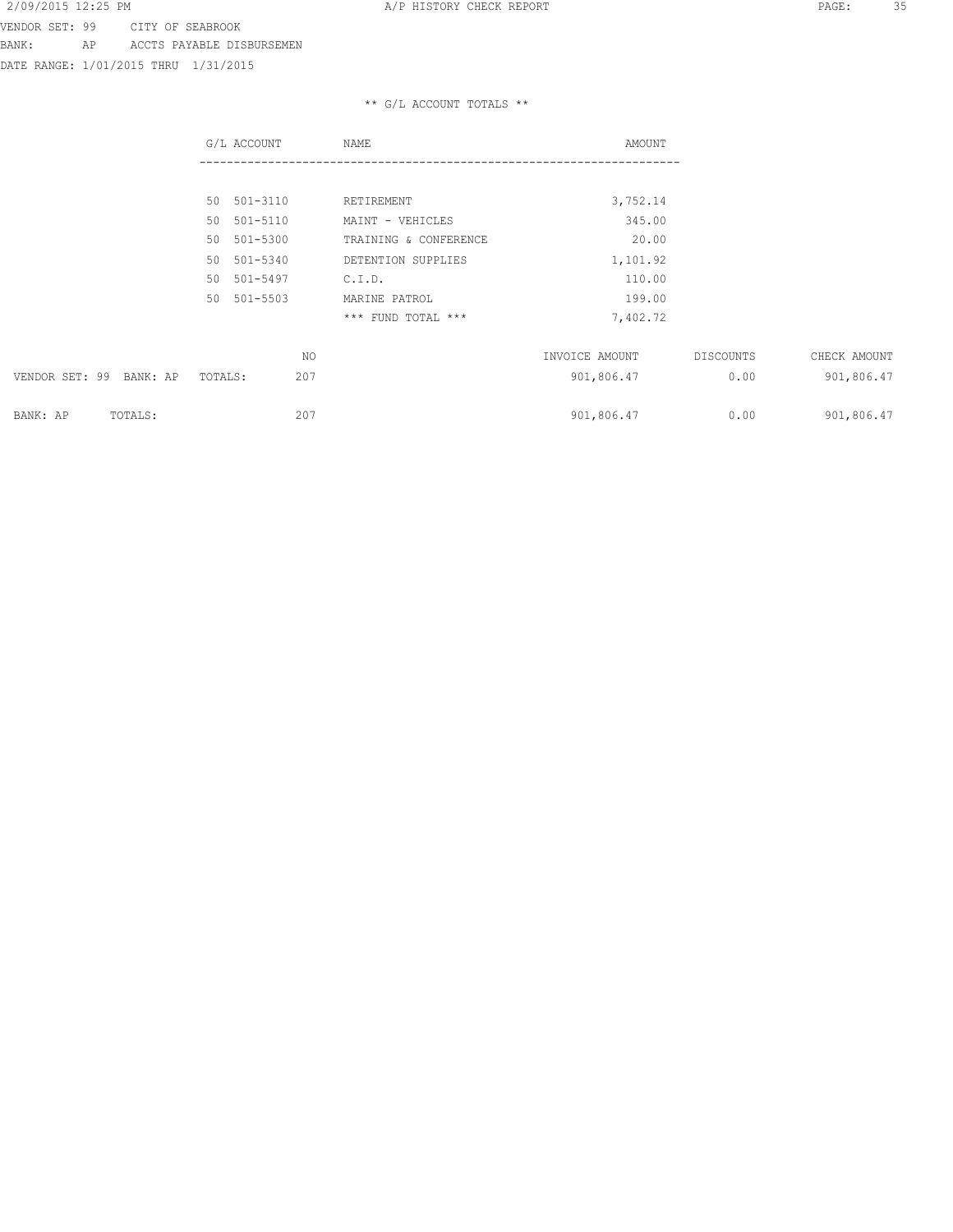DATE RANGE: 1/01/2015 THRU 1/31/2015

|                         | G/L ACCOUNT    | NAME                  | AMOUNT         |           |              |
|-------------------------|----------------|-----------------------|----------------|-----------|--------------|
|                         |                |                       |                |           |              |
|                         | 50 501-3110    | RETIREMENT            | 3,752.14       |           |              |
|                         | 50 501-5110    | MAINT - VEHICLES      | 345.00         |           |              |
|                         | 50 501-5300    | TRAINING & CONFERENCE | 20.00          |           |              |
|                         | 50 501-5340    | DETENTION SUPPLIES    | 1,101.92       |           |              |
|                         | 50 501-5497    | C.I.D.                | 110.00         |           |              |
|                         | 50 501-5503    | MARINE PATROL         | 199.00         |           |              |
|                         |                | *** FUND TOTAL ***    | 7,402.72       |           |              |
|                         | NO.            |                       | INVOICE AMOUNT | DISCOUNTS | CHECK AMOUNT |
| VENDOR SET: 99 BANK: AP | 207<br>TOTALS: |                       | 901,806.47     | 0.00      | 901,806.47   |
| BANK: AP<br>TOTALS:     | 207            |                       | 901,806.47     | 0.00      | 901,806.47   |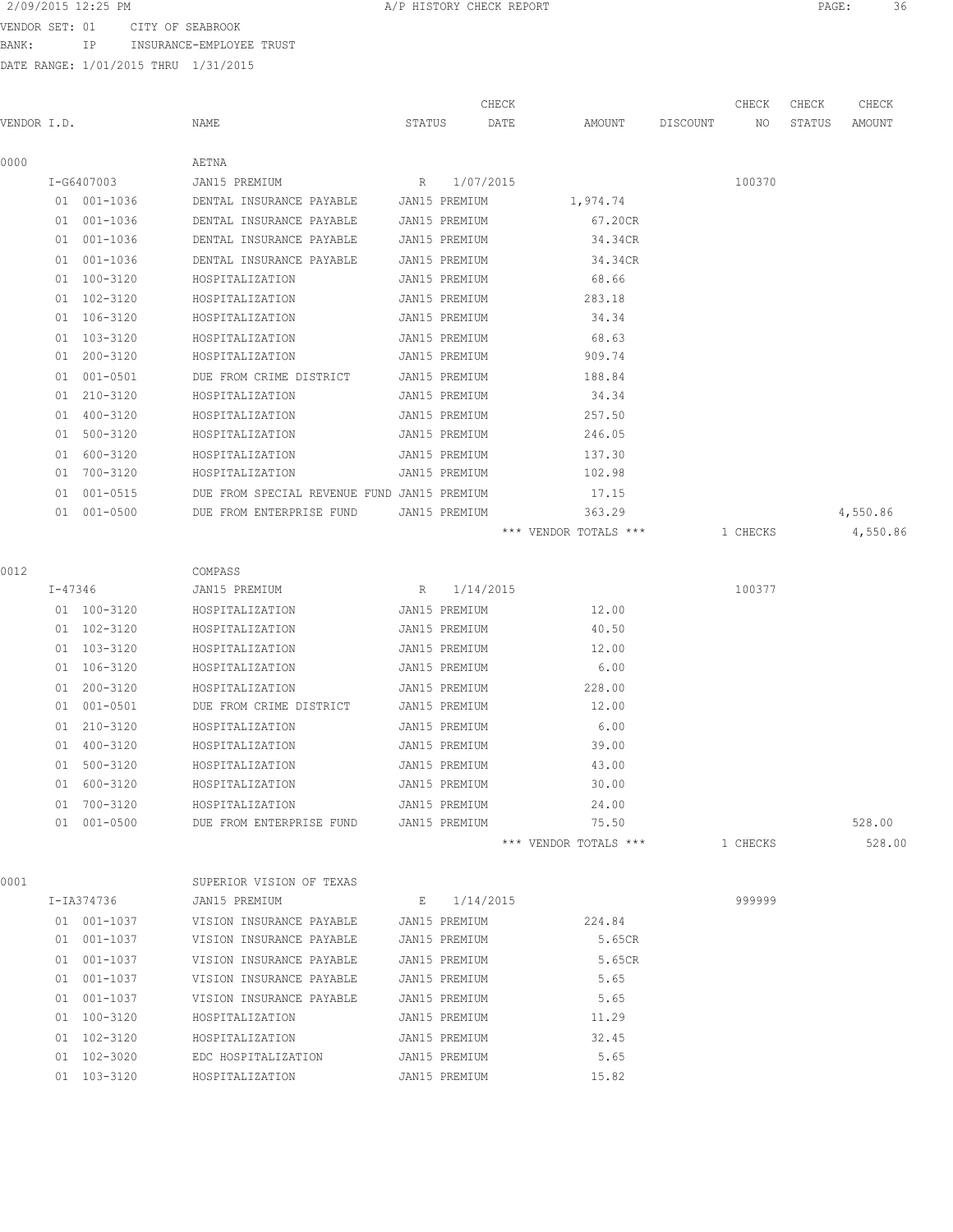VENDOR SET: 01 CITY OF SEABROOK BANK: IP INSURANCE-EMPLOYEE TRUST

| VENDOR I.D. |         |             | NAME                                               | STATUS |               | CHECK<br>AMOUNT<br>DATE | DISCOUNT | CHECK<br>NO | CHECK<br>STATUS | CHECK<br>AMOUNT |
|-------------|---------|-------------|----------------------------------------------------|--------|---------------|-------------------------|----------|-------------|-----------------|-----------------|
| 0000        |         |             | AETNA                                              |        |               |                         |          |             |                 |                 |
|             |         | I-G6407003  | JAN15 PREMIUM                                      | R      | 1/07/2015     |                         |          | 100370      |                 |                 |
|             |         | 01 001-1036 | DENTAL INSURANCE PAYABLE                           |        | JAN15 PREMIUM | 1,974.74                |          |             |                 |                 |
|             |         | 01 001-1036 | DENTAL INSURANCE PAYABLE                           |        | JAN15 PREMIUM | 67.20CR                 |          |             |                 |                 |
|             |         | 01 001-1036 | DENTAL INSURANCE PAYABLE                           |        | JAN15 PREMIUM | 34.34CR                 |          |             |                 |                 |
|             |         | 01 001-1036 | DENTAL INSURANCE PAYABLE                           |        | JAN15 PREMIUM | 34.34CR                 |          |             |                 |                 |
|             |         | 01 100-3120 | HOSPITALIZATION                                    |        | JAN15 PREMIUM | 68.66                   |          |             |                 |                 |
|             |         | 01 102-3120 | HOSPITALIZATION                                    |        | JAN15 PREMIUM | 283.18                  |          |             |                 |                 |
|             |         | 01 106-3120 | HOSPITALIZATION                                    |        | JAN15 PREMIUM | 34.34                   |          |             |                 |                 |
|             |         | 01 103-3120 | HOSPITALIZATION                                    |        | JAN15 PREMIUM | 68.63                   |          |             |                 |                 |
|             |         | 01 200-3120 | HOSPITALIZATION                                    |        | JAN15 PREMIUM | 909.74                  |          |             |                 |                 |
|             | 01      | 001-0501    | DUE FROM CRIME DISTRICT                            |        | JAN15 PREMIUM | 188.84                  |          |             |                 |                 |
|             |         | 01 210-3120 | HOSPITALIZATION                                    |        | JAN15 PREMIUM | 34.34                   |          |             |                 |                 |
|             |         | 01 400-3120 | HOSPITALIZATION                                    |        | JAN15 PREMIUM | 257.50                  |          |             |                 |                 |
|             |         | 01 500-3120 | HOSPITALIZATION                                    |        | JAN15 PREMIUM | 246.05                  |          |             |                 |                 |
|             |         | 01 600-3120 | HOSPITALIZATION                                    |        | JAN15 PREMIUM | 137.30                  |          |             |                 |                 |
|             |         | 01 700-3120 | HOSPITALIZATION                                    |        | JAN15 PREMIUM | 102.98                  |          |             |                 |                 |
|             | 01      | 001-0515    | DUE FROM SPECIAL REVENUE FUND JAN15 PREMIUM        |        |               | 17.15                   |          |             |                 |                 |
|             |         | 01 001-0500 | DUE FROM ENTERPRISE FUND                           |        | JAN15 PREMIUM | 363.29                  |          |             |                 | 4,550.86        |
|             |         |             |                                                    |        |               | *** VENDOR TOTALS ***   |          | 1 CHECKS    |                 | 4,550.86        |
| 0012        |         |             | COMPASS                                            |        |               |                         |          |             |                 |                 |
|             | I-47346 |             | JAN15 PREMIUM                                      |        | R 1/14/2015   |                         |          | 100377      |                 |                 |
|             |         | 01 100-3120 | HOSPITALIZATION                                    |        | JAN15 PREMIUM | 12.00                   |          |             |                 |                 |
|             |         | 01 102-3120 | HOSPITALIZATION                                    |        | JAN15 PREMIUM | 40.50                   |          |             |                 |                 |
|             |         | 01 103-3120 | HOSPITALIZATION                                    |        | JAN15 PREMIUM | 12.00                   |          |             |                 |                 |
|             |         | 01 106-3120 | HOSPITALIZATION                                    |        | JAN15 PREMIUM | 6.00                    |          |             |                 |                 |
|             |         | 01 200-3120 | HOSPITALIZATION                                    |        | JAN15 PREMIUM | 228.00                  |          |             |                 |                 |
|             |         | 01 001-0501 | DUE FROM CRIME DISTRICT                            |        | JAN15 PREMIUM | 12.00                   |          |             |                 |                 |
|             | 01      | 210-3120    | HOSPITALIZATION                                    |        | JAN15 PREMIUM | 6.00                    |          |             |                 |                 |
|             | 01      | 400-3120    | HOSPITALIZATION                                    |        | JAN15 PREMIUM | 39.00                   |          |             |                 |                 |
|             |         | 01 500-3120 | HOSPITALIZATION                                    |        | JAN15 PREMIUM | 43.00                   |          |             |                 |                 |
|             |         | 01 600-3120 | HOSPITALIZATION                                    |        | JAN15 PREMIUM | 30.00                   |          |             |                 |                 |
|             |         | 01 700-3120 | HOSPITALIZATION                                    |        | JAN15 PREMIUM | 24.00                   |          |             |                 |                 |
|             |         |             | 01 001-0500 DUE FROM ENTERPRISE FUND JAN15 PREMIUM |        |               | 75.50                   |          |             |                 | 528.00          |
|             |         |             |                                                    |        |               | *** VENDOR TOTALS ***   |          | 1 CHECKS    |                 | 528.00          |
| 0001        |         |             | SUPERIOR VISION OF TEXAS                           |        |               |                         |          |             |                 |                 |
|             |         | I-IA374736  | JAN15 PREMIUM                                      |        | E 1/14/2015   |                         |          | 999999      |                 |                 |
|             |         | 01 001-1037 | VISION INSURANCE PAYABLE                           |        |               | JAN15 PREMIUM 224.84    |          |             |                 |                 |
|             |         | 01 001-1037 | VISION INSURANCE PAYABLE                           |        | JAN15 PREMIUM | 5.65CR                  |          |             |                 |                 |
|             |         | 01 001-1037 | VISION INSURANCE PAYABLE                           |        | JAN15 PREMIUM | 5.65CR                  |          |             |                 |                 |
|             |         | 01 001-1037 | VISION INSURANCE PAYABLE                           |        | JAN15 PREMIUM | 5.65                    |          |             |                 |                 |
|             |         | 01 001-1037 | VISION INSURANCE PAYABLE                           |        | JAN15 PREMIUM | 5.65                    |          |             |                 |                 |
|             |         | 01 100-3120 | HOSPITALIZATION                                    |        | JAN15 PREMIUM | 11.29                   |          |             |                 |                 |
|             |         | 01 102-3120 | HOSPITALIZATION                                    |        | JAN15 PREMIUM | 32.45                   |          |             |                 |                 |
|             |         | 01 102-3020 | EDC HOSPITALIZATION                                |        | JAN15 PREMIUM | 5.65                    |          |             |                 |                 |
|             |         | 01 103-3120 | HOSPITALIZATION                                    |        | JAN15 PREMIUM | 15.82                   |          |             |                 |                 |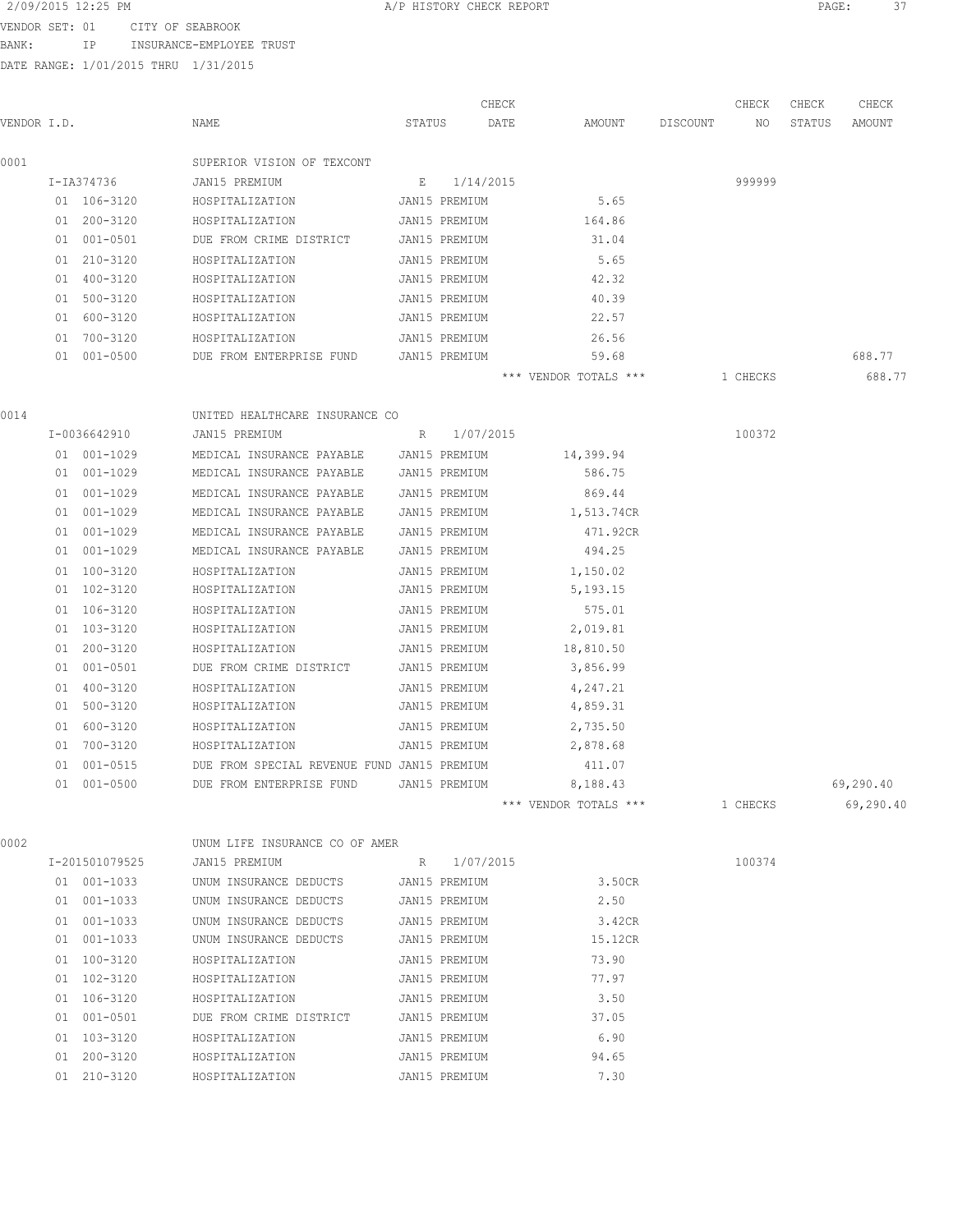VENDOR SET: 01 CITY OF SEABROOK

BANK: IP INSURANCE-EMPLOYEE TRUST

DATE RANGE: 1/01/2015 THRU 1/31/2015

| VENDOR I.D. |    |                 | NAME                                        | STATUS |               | CHECK<br>DATE | AMOUNT                | DISCOUNT | CHECK<br>NO. | CHECK<br>STATUS | CHECK<br>AMOUNT |
|-------------|----|-----------------|---------------------------------------------|--------|---------------|---------------|-----------------------|----------|--------------|-----------------|-----------------|
| 0001        |    |                 | SUPERIOR VISION OF TEXCONT                  |        |               |               |                       |          |              |                 |                 |
|             |    | I-IA374736      | JAN15 PREMIUM                               | E      | 1/14/2015     |               |                       |          | 999999       |                 |                 |
|             |    | 01 106-3120     | HOSPITALIZATION                             |        | JAN15 PREMIUM |               | 5.65                  |          |              |                 |                 |
|             |    | 01 200-3120     | HOSPITALIZATION                             |        | JAN15 PREMIUM |               | 164.86                |          |              |                 |                 |
|             |    | 01 001-0501     | DUE FROM CRIME DISTRICT                     |        | JAN15 PREMIUM |               | 31.04                 |          |              |                 |                 |
|             |    | 01 210-3120     | HOSPITALIZATION                             |        | JAN15 PREMIUM |               | 5.65                  |          |              |                 |                 |
|             |    | 01 400-3120     | HOSPITALIZATION                             |        | JAN15 PREMIUM |               | 42.32                 |          |              |                 |                 |
|             |    | 01 500-3120     | HOSPITALIZATION                             |        | JAN15 PREMIUM |               | 40.39                 |          |              |                 |                 |
|             |    | 01 600-3120     | HOSPITALIZATION                             |        | JAN15 PREMIUM |               | 22.57                 |          |              |                 |                 |
|             |    | 01 700-3120     | HOSPITALIZATION                             |        | JAN15 PREMIUM |               | 26.56                 |          |              |                 |                 |
|             |    | 01 001-0500     | DUE FROM ENTERPRISE FUND                    |        | JAN15 PREMIUM |               | 59.68                 |          |              |                 | 688.77          |
|             |    |                 |                                             |        |               |               | *** VENDOR TOTALS *** |          | 1 CHECKS     |                 | 688.77          |
| 0014        |    |                 | UNITED HEALTHCARE INSURANCE CO              |        |               |               |                       |          |              |                 |                 |
|             |    | I-0036642910    | JAN15 PREMIUM                               | R      | 1/07/2015     |               |                       |          | 100372       |                 |                 |
|             |    | $01 001 - 1029$ | MEDICAL INSURANCE PAYABLE                   |        | JAN15 PREMIUM |               | 14,399.94             |          |              |                 |                 |
|             |    | 01 001-1029     | MEDICAL INSURANCE PAYABLE                   |        | JAN15 PREMIUM |               | 586.75                |          |              |                 |                 |
|             |    | 01 001-1029     | MEDICAL INSURANCE PAYABLE                   |        | JAN15 PREMIUM |               | 869.44                |          |              |                 |                 |
|             |    | 01 001-1029     | MEDICAL INSURANCE PAYABLE                   |        | JAN15 PREMIUM |               | 1,513.74CR            |          |              |                 |                 |
|             |    | 01 001-1029     | MEDICAL INSURANCE PAYABLE                   |        | JAN15 PREMIUM |               | 471.92CR              |          |              |                 |                 |
|             |    | 01 001-1029     | MEDICAL INSURANCE PAYABLE                   |        | JAN15 PREMIUM |               | 494.25                |          |              |                 |                 |
|             |    | 01 100-3120     | HOSPITALIZATION                             |        | JAN15 PREMIUM |               | 1,150.02              |          |              |                 |                 |
|             |    | 01 102-3120     | HOSPITALIZATION                             |        | JAN15 PREMIUM |               | 5, 193. 15            |          |              |                 |                 |
|             |    | 01 106-3120     | HOSPITALIZATION                             |        | JAN15 PREMIUM |               | 575.01                |          |              |                 |                 |
|             |    | 01 103-3120     | HOSPITALIZATION                             |        | JAN15 PREMIUM |               | 2,019.81              |          |              |                 |                 |
|             | 01 | 200-3120        | HOSPITALIZATION                             |        | JAN15 PREMIUM |               | 18,810.50             |          |              |                 |                 |
|             |    | 01 001-0501     | DUE FROM CRIME DISTRICT                     |        | JAN15 PREMIUM |               | 3,856.99              |          |              |                 |                 |
|             |    | 01 400-3120     | HOSPITALIZATION                             |        | JAN15 PREMIUM |               | 4,247.21              |          |              |                 |                 |
|             |    | 01 500-3120     | HOSPITALIZATION                             |        | JAN15 PREMIUM |               | 4,859.31              |          |              |                 |                 |
|             |    | 01 600-3120     | HOSPITALIZATION                             |        | JAN15 PREMIUM |               | 2,735.50              |          |              |                 |                 |
|             |    | 01 700-3120     | HOSPITALIZATION                             |        | JAN15 PREMIUM |               | 2,878.68              |          |              |                 |                 |
|             |    | 01 001-0515     | DUE FROM SPECIAL REVENUE FUND JAN15 PREMIUM |        |               |               | 411.07                |          |              |                 |                 |
|             | 01 | $001 - 0500$    | DUE FROM ENTERPRISE FUND                    |        | JAN15 PREMIUM |               | 8,188.43              |          |              |                 | 69,290.40       |
|             |    |                 |                                             |        |               |               | *** VENDOR TOTALS *** |          | 1 CHECKS     |                 | 69,290.40       |
| 0002        |    |                 | UNUM LIFE INSURANCE CO OF AMER              |        |               |               |                       |          |              |                 |                 |
|             |    | I-201501079525  | JAN15 PREMIUM                               | R      | 1/07/2015     |               |                       |          | 100374       |                 |                 |
|             |    | $01 001 - 1033$ | UNUM INSURANCE DEDUCTS                      |        | JAN15 PREMIUM |               | 3.50CR                |          |              |                 |                 |
|             |    | 01 001-1033     | UNUM INSURANCE DEDUCTS                      |        | JAN15 PREMIUM |               | 2.50                  |          |              |                 |                 |
|             |    | 01 001-1033     | UNUM INSURANCE DEDUCTS                      |        | JAN15 PREMIUM |               | 3.42CR                |          |              |                 |                 |
|             |    | 01 001-1033     | UNUM INSURANCE DEDUCTS                      |        | JAN15 PREMIUM |               | 15.12CR               |          |              |                 |                 |
|             |    | 01 100-3120     | HOSPITALIZATION                             |        | JAN15 PREMIUM |               | 73.90                 |          |              |                 |                 |
|             |    | 01 102-3120     | HOSPITALIZATION                             |        | JAN15 PREMIUM |               | 77.97                 |          |              |                 |                 |
|             |    | 01 106-3120     | HOSPITALIZATION                             |        | JAN15 PREMIUM |               | 3.50                  |          |              |                 |                 |
|             |    | 01 001-0501     | DUE FROM CRIME DISTRICT                     |        | JAN15 PREMIUM |               | 37.05                 |          |              |                 |                 |

 01 103-3120 HOSPITALIZATION JAN15 PREMIUM 6.90 01 200-3120 HOSPITALIZATION JAN15 PREMIUM 94.65 01 210-3120 HOSPITALIZATION JAN15 PREMIUM 7.30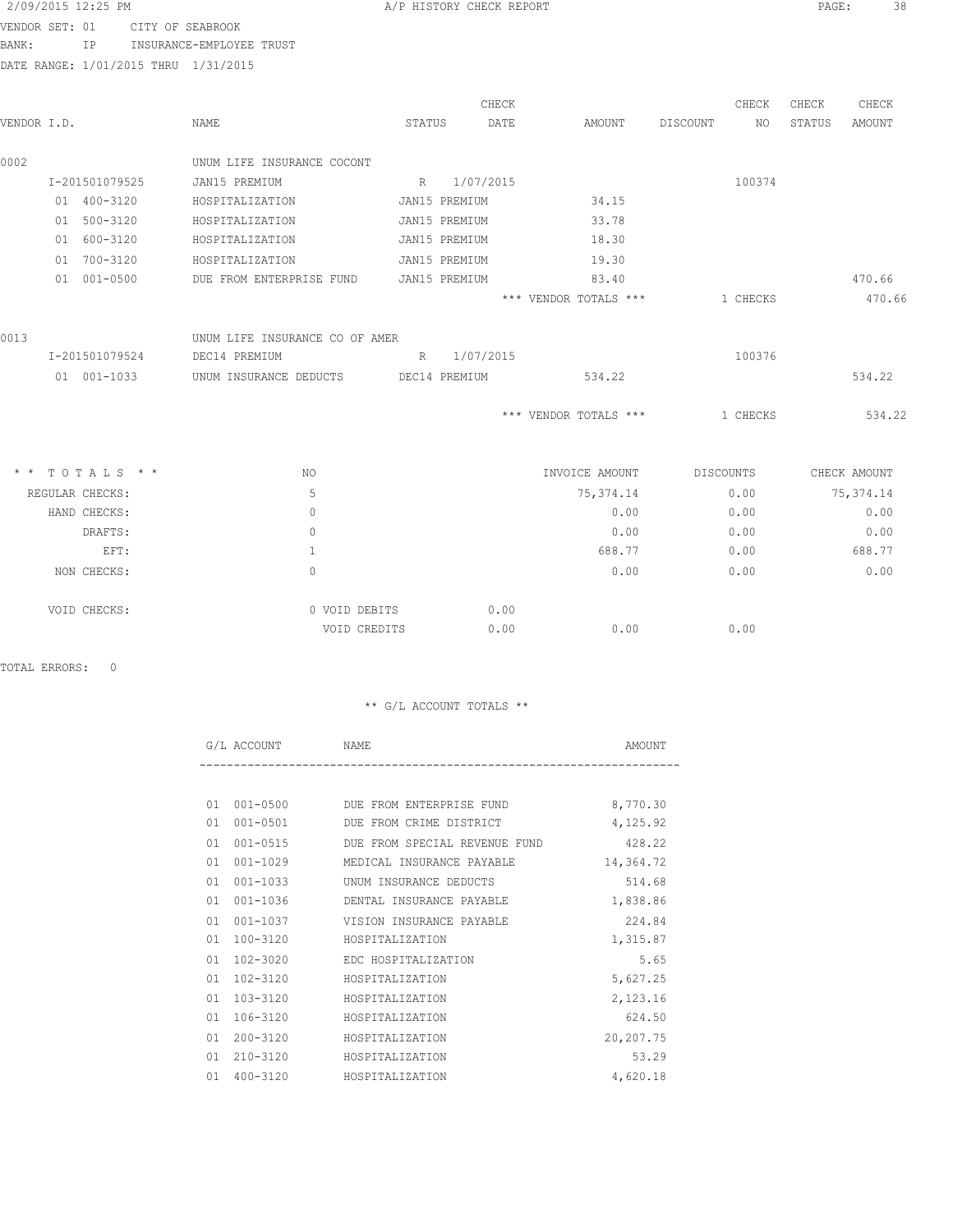|                | 2/09/2015 12:25 PM |                                      |        | A/P HISTORY CHECK REPORT |      |                       |          |           | PAGE:  | 38           |
|----------------|--------------------|--------------------------------------|--------|--------------------------|------|-----------------------|----------|-----------|--------|--------------|
| VENDOR SET: 01 |                    | CITY OF SEABROOK                     |        |                          |      |                       |          |           |        |              |
| BANK:          | IP.                | INSURANCE-EMPLOYEE TRUST             |        |                          |      |                       |          |           |        |              |
|                |                    | DATE RANGE: 1/01/2015 THRU 1/31/2015 |        |                          |      |                       |          |           |        |              |
|                |                    |                                      |        | CHECK                    |      |                       |          | CHECK     | CHECK  | CHECK        |
| VENDOR I.D.    |                    | <b>NAME</b>                          | STATUS |                          | DATE | AMOUNT                | DISCOUNT | NO        | STATUS | AMOUNT       |
| 0002           |                    | UNUM LIFE INSURANCE COCONT           |        |                          |      |                       |          |           |        |              |
|                | I-201501079525     | JAN15 PREMIUM                        |        | R 1/07/2015              |      |                       |          | 100374    |        |              |
|                | 01 400-3120        | HOSPITALIZATION                      |        | JAN15 PREMIUM            |      | 34.15                 |          |           |        |              |
|                | 01 500-3120        | HOSPITALIZATION                      |        | JAN15 PREMIUM            |      | 33.78                 |          |           |        |              |
|                | 01 600-3120        | HOSPITALIZATION                      |        | JAN15 PREMIUM            |      | 18.30                 |          |           |        |              |
|                | 01 700-3120        | HOSPITALIZATION                      |        | JAN15 PREMIUM            |      | 19.30                 |          |           |        |              |
|                | 01 001-0500        | DUE FROM ENTERPRISE FUND             |        | JAN15 PREMIUM            |      | 83.40                 |          |           |        | 470.66       |
|                |                    |                                      |        |                          |      | *** VENDOR TOTALS *** |          | 1 CHECKS  |        | 470.66       |
| 0013           |                    | UNUM LIFE INSURANCE CO OF AMER       |        |                          |      |                       |          |           |        |              |
|                | I-201501079524     | DEC14 PREMIUM                        |        | R 1/07/2015              |      |                       |          | 100376    |        |              |
|                | 01 001-1033        | UNUM INSURANCE DEDUCTS               |        | DEC14 PREMIUM            |      | 534.22                |          |           |        | 534.22       |
|                |                    |                                      |        |                          |      | *** VENDOR TOTALS *** |          | 1 CHECKS  |        | 534.22       |
|                | * * TOTALS * *     | NO                                   |        |                          |      | INVOICE AMOUNT        |          | DISCOUNTS |        | CHECK AMOUNT |
|                | REGULAR CHECKS:    | 5                                    |        |                          |      | 75, 374.14            |          | 0.00      |        | 75, 374.14   |
|                | HAND CHECKS:       | $\mathbf{0}$                         |        |                          |      | 0.00                  |          | 0.00      |        | 0.00         |
|                | DRAFTS:            | $\mathbf{0}$                         |        |                          |      | 0.00                  |          | 0.00      |        | 0.00         |
|                | EFT:               | $\mathbf{1}$                         |        |                          |      | 688.77                |          | 0.00      |        | 688.77       |
|                | NON CHECKS:        | $\Omega$                             |        |                          |      | 0.00                  |          | 0.00      |        | 0.00         |
|                | VOID CHECKS:       | 0 VOID DEBITS                        |        |                          | 0.00 |                       |          |           |        |              |
|                |                    | VOID CREDITS                         |        |                          | 0.00 |                       |          | 0.00      |        |              |

TOTAL ERRORS: 0

|    | G/L ACCOUNT  | NAME                                 | AMOUNT    |
|----|--------------|--------------------------------------|-----------|
|    |              |                                      |           |
|    |              | 01 001-0500 DUE FROM ENTERPRISE FUND | 8,770.30  |
| 01 | 001-0501     | DUE FROM CRIME DISTRICT              | 4,125.92  |
| 01 | $001 - 0515$ | DUE FROM SPECIAL REVENUE FUND 428.22 |           |
| 01 | 001-1029     | MEDICAL INSURANCE PAYABLE            | 14,364.72 |
| 01 | $001 - 1033$ | UNUM INSURANCE DEDUCTS               | 514.68    |
| 01 | 001-1036     | DENTAL INSURANCE PAYABLE             | 1,838.86  |
| 01 | 001-1037     | VISION INSURANCE PAYABLE             | 224.84    |
| 01 | 100-3120     | HOSPITALIZATION                      | 1,315.87  |
| 01 | $102 - 3020$ | EDC HOSPITALIZATION                  | 5.65      |
| 01 | 102-3120     | HOSPITALIZATION                      | 5,627.25  |
| 01 | 103-3120     | HOSPITALIZATION                      | 2,123.16  |
| 01 | 106-3120     | HOSPITALIZATION                      | 624.50    |
| 01 | 200-3120     | HOSPITALIZATION                      | 20,207.75 |
| 01 | 210-3120     | HOSPITALIZATION                      | 53.29     |
| 01 | 400-3120     | HOSPITALIZATION                      | 4,620.18  |
|    |              |                                      |           |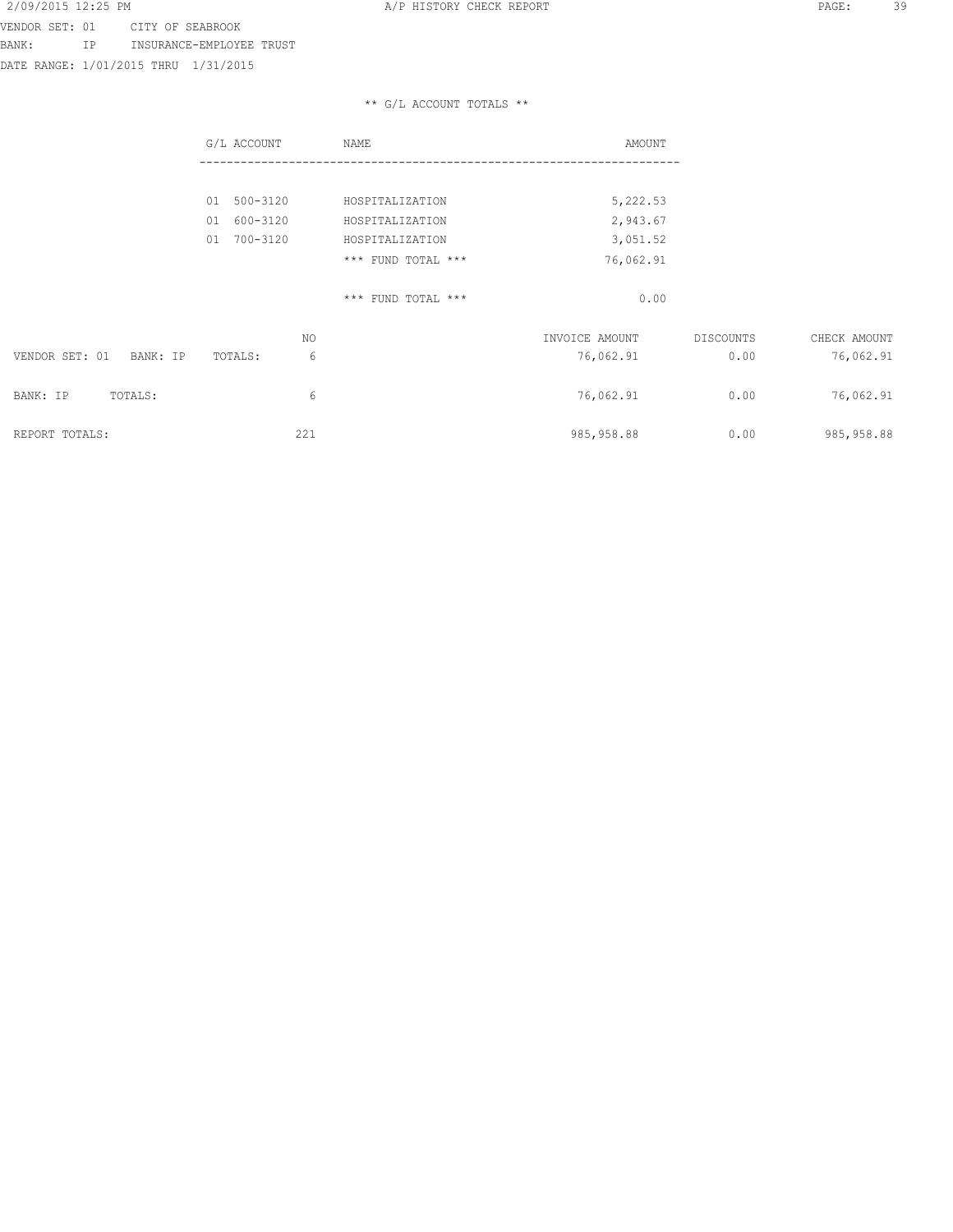VENDOR SET: 01 CITY OF SEABROOK BANK: IP INSURANCE-EMPLOYEE TRUST

DATE RANGE: 1/01/2015 THRU 1/31/2015

|                            | G/L ACCOUNT    | NAME               | AMOUNT         |           |              |
|----------------------------|----------------|--------------------|----------------|-----------|--------------|
|                            |                |                    |                |           |              |
|                            | 01 500-3120    | HOSPITALIZATION    | 5,222.53       |           |              |
|                            | 600-3120<br>01 | HOSPITALIZATION    | 2,943.67       |           |              |
|                            | 700-3120<br>01 | HOSPITALIZATION    | 3,051.52       |           |              |
|                            |                | *** FUND TOTAL *** | 76,062.91      |           |              |
|                            |                | *** FUND TOTAL *** | 0.00           |           |              |
|                            | ΝO             |                    | INVOICE AMOUNT | DISCOUNTS | CHECK AMOUNT |
| VENDOR SET: 01<br>BANK: IP | 6<br>TOTALS:   |                    | 76,062.91      | 0.00      | 76,062.91    |
| BANK: IP<br>TOTALS:        | 6              |                    | 76,062.91      | 0.00      | 76,062.91    |
| REPORT TOTALS:             | 221            |                    | 985, 958.88    | 0.00      | 985, 958.88  |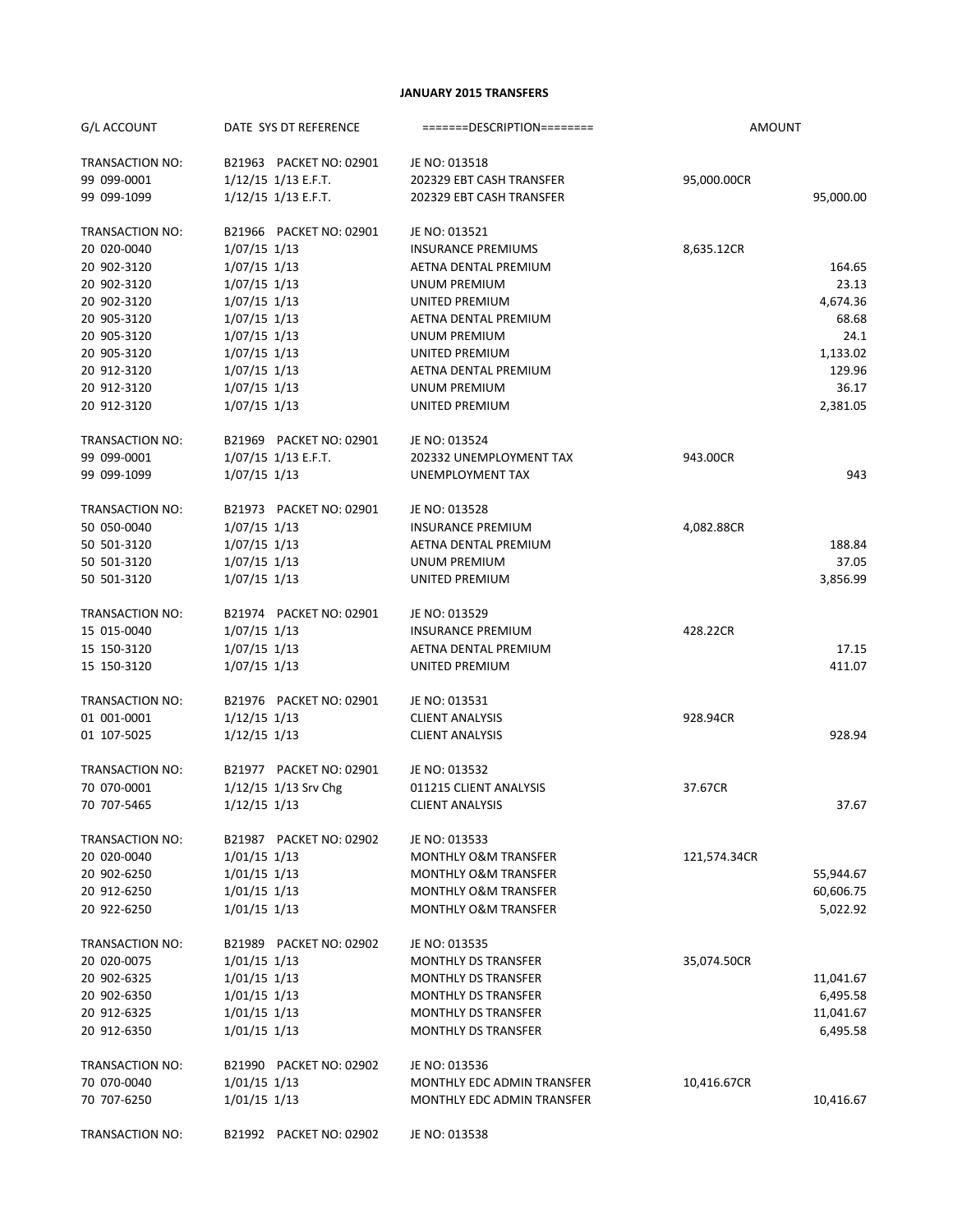#### **JANUARY 2015 TRANSFERS**

| G/L ACCOUNT            | DATE SYS DT REFERENCE   | $=$ ======DESCRIPTION========   | <b>AMOUNT</b> |           |
|------------------------|-------------------------|---------------------------------|---------------|-----------|
| TRANSACTION NO:        | B21963 PACKET NO: 02901 | JE NO: 013518                   |               |           |
| 99 099-0001            | $1/12/15$ $1/13$ E.F.T. | 202329 EBT CASH TRANSFER        | 95,000.00CR   |           |
| 99 099-1099            | 1/12/15 1/13 E.F.T.     | 202329 EBT CASH TRANSFER        |               | 95,000.00 |
| <b>TRANSACTION NO:</b> | B21966 PACKET NO: 02901 | JE NO: 013521                   |               |           |
| 20 020-0040            | $1/07/15$ 1/13          | <b>INSURANCE PREMIUMS</b>       | 8,635.12CR    |           |
| 20 902-3120            | $1/07/15$ 1/13          | AETNA DENTAL PREMIUM            |               | 164.65    |
| 20 902-3120            | $1/07/15$ 1/13          | UNUM PREMIUM                    |               | 23.13     |
| 20 902-3120            | $1/07/15$ 1/13          | UNITED PREMIUM                  |               | 4,674.36  |
| 20 905-3120            | $1/07/15$ 1/13          | AETNA DENTAL PREMIUM            |               | 68.68     |
| 20 905-3120            | $1/07/15$ 1/13          | <b>UNUM PREMIUM</b>             |               | 24.1      |
| 20 905-3120            | $1/07/15$ 1/13          | UNITED PREMIUM                  |               | 1,133.02  |
| 20 912-3120            | $1/07/15$ $1/13$        | AETNA DENTAL PREMIUM            |               | 129.96    |
| 20 912-3120            | $1/07/15$ 1/13          | UNUM PREMIUM                    |               | 36.17     |
| 20 912-3120            | $1/07/15$ 1/13          | UNITED PREMIUM                  |               | 2,381.05  |
| TRANSACTION NO:        | B21969 PACKET NO: 02901 | JE NO: 013524                   |               |           |
| 99 099-0001            | 1/07/15 1/13 E.F.T.     | 202332 UNEMPLOYMENT TAX         | 943.00CR      |           |
| 99 099-1099            | $1/07/15$ 1/13          | UNEMPLOYMENT TAX                |               | 943       |
| TRANSACTION NO:        | B21973 PACKET NO: 02901 | JE NO: 013528                   |               |           |
| 50 050-0040            | $1/07/15$ 1/13          | <b>INSURANCE PREMIUM</b>        | 4,082.88CR    |           |
| 50 501-3120            | $1/07/15$ 1/13          | AETNA DENTAL PREMIUM            |               | 188.84    |
| 50 501-3120            | $1/07/15$ 1/13          | UNUM PREMIUM                    |               | 37.05     |
| 50 501-3120            | $1/07/15$ 1/13          | UNITED PREMIUM                  |               | 3,856.99  |
| TRANSACTION NO:        | B21974 PACKET NO: 02901 | JE NO: 013529                   |               |           |
| 15 015-0040            | $1/07/15$ 1/13          | <b>INSURANCE PREMIUM</b>        | 428.22CR      |           |
| 15 150-3120            | $1/07/15$ 1/13          | AETNA DENTAL PREMIUM            |               | 17.15     |
| 15 150-3120            | $1/07/15$ 1/13          | UNITED PREMIUM                  |               | 411.07    |
| TRANSACTION NO:        | B21976 PACKET NO: 02901 | JE NO: 013531                   |               |           |
| 01 001-0001            | $1/12/15$ 1/13          | <b>CLIENT ANALYSIS</b>          | 928.94CR      |           |
| 01 107-5025            | $1/12/15$ $1/13$        | <b>CLIENT ANALYSIS</b>          |               | 928.94    |
| <b>TRANSACTION NO:</b> | B21977 PACKET NO: 02901 | JE NO: 013532                   |               |           |
| 70 070-0001            | 1/12/15 1/13 Srv Chg    | 011215 CLIENT ANALYSIS          | 37.67CR       |           |
| 70 707-5465            | $1/12/15$ 1/13          | <b>CLIENT ANALYSIS</b>          |               | 37.67     |
| TRANSACTION NO:        | B21987 PACKET NO: 02902 | JE NO: 013533                   |               |           |
| 20 020-0040            | $1/01/15$ 1/13          | <b>MONTHLY O&amp;M TRANSFER</b> | 121,574.34CR  |           |
| 20 902-6250            | $1/01/15$ $1/13$        | <b>MONTHLY O&amp;M TRANSFER</b> |               | 55,944.67 |
| 20 912-6250            | $1/01/15$ 1/13          | <b>MONTHLY O&amp;M TRANSFER</b> |               | 60,606.75 |
| 20 922-6250            | $1/01/15$ 1/13          | <b>MONTHLY O&amp;M TRANSFER</b> |               | 5,022.92  |
| <b>TRANSACTION NO:</b> | B21989 PACKET NO: 02902 | JE NO: 013535                   |               |           |
| 20 020-0075            | $1/01/15$ 1/13          | <b>MONTHLY DS TRANSFER</b>      | 35,074.50CR   |           |
| 20 902-6325            | $1/01/15$ 1/13          | <b>MONTHLY DS TRANSFER</b>      |               | 11,041.67 |
| 20 902-6350            | $1/01/15$ $1/13$        | <b>MONTHLY DS TRANSFER</b>      |               | 6,495.58  |
| 20 912-6325            | $1/01/15$ $1/13$        | <b>MONTHLY DS TRANSFER</b>      |               | 11,041.67 |
| 20 912-6350            | $1/01/15$ 1/13          | <b>MONTHLY DS TRANSFER</b>      |               | 6,495.58  |
| TRANSACTION NO:        | B21990 PACKET NO: 02902 | JE NO: 013536                   |               |           |
| 70 070-0040            | $1/01/15$ 1/13          | MONTHLY EDC ADMIN TRANSFER      | 10,416.67CR   |           |
| 70 707-6250            | $1/01/15$ $1/13$        | MONTHLY EDC ADMIN TRANSFER      |               | 10,416.67 |
| TRANSACTION NO:        | B21992 PACKET NO: 02902 | JE NO: 013538                   |               |           |